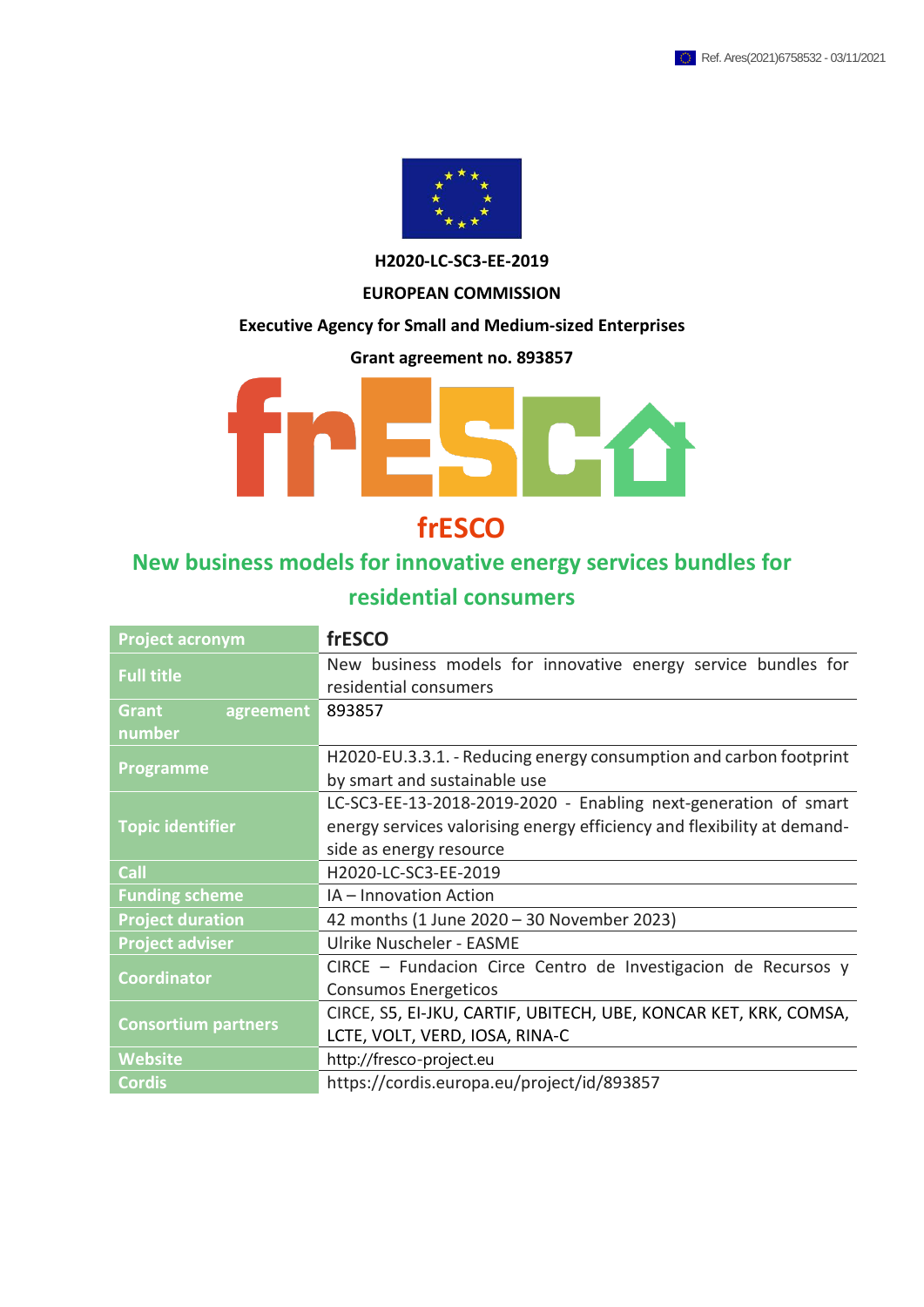

**H2020-LC-SC3-EE-2019**

#### **EUROPEAN COMMISSION**

#### **Executive Agency for Small and Medium-sized Enterprises**

**Grant agreement no. 893857**



### **frESCO**

### **New business models for innovative energy services bundles for**

### **residential consumers**

| <b>Project acronym</b>     | frESCO                                                                  |
|----------------------------|-------------------------------------------------------------------------|
| <b>Full title</b>          | New business models for innovative energy service bundles for           |
|                            | residential consumers                                                   |
| Grant<br>agreement         | 893857                                                                  |
| number                     |                                                                         |
| <b>Programme</b>           | H2020-EU.3.3.1. - Reducing energy consumption and carbon footprint      |
|                            | by smart and sustainable use                                            |
|                            | LC-SC3-EE-13-2018-2019-2020 - Enabling next-generation of smart         |
| <b>Topic identifier</b>    | energy services valorising energy efficiency and flexibility at demand- |
|                            | side as energy resource                                                 |
| Call                       | H2020-LC-SC3-EE-2019                                                    |
| <b>Funding scheme</b>      | IA - Innovation Action                                                  |
| <b>Project duration</b>    | 42 months (1 June 2020 - 30 November 2023)                              |
| <b>Project adviser</b>     | Ulrike Nuscheler - EASME                                                |
| <b>Coordinator</b>         | CIRCE - Fundacion Circe Centro de Investigacion de Recursos y           |
|                            | <b>Consumos Energeticos</b>                                             |
|                            | CIRCE, S5, EI-JKU, CARTIF, UBITECH, UBE, KONCAR KET, KRK, COMSA,        |
| <b>Consortium partners</b> | LCTE, VOLT, VERD, IOSA, RINA-C                                          |
| <b>Website</b>             | http://fresco-project.eu                                                |
| <b>Cordis</b>              | https://cordis.europa.eu/project/id/893857                              |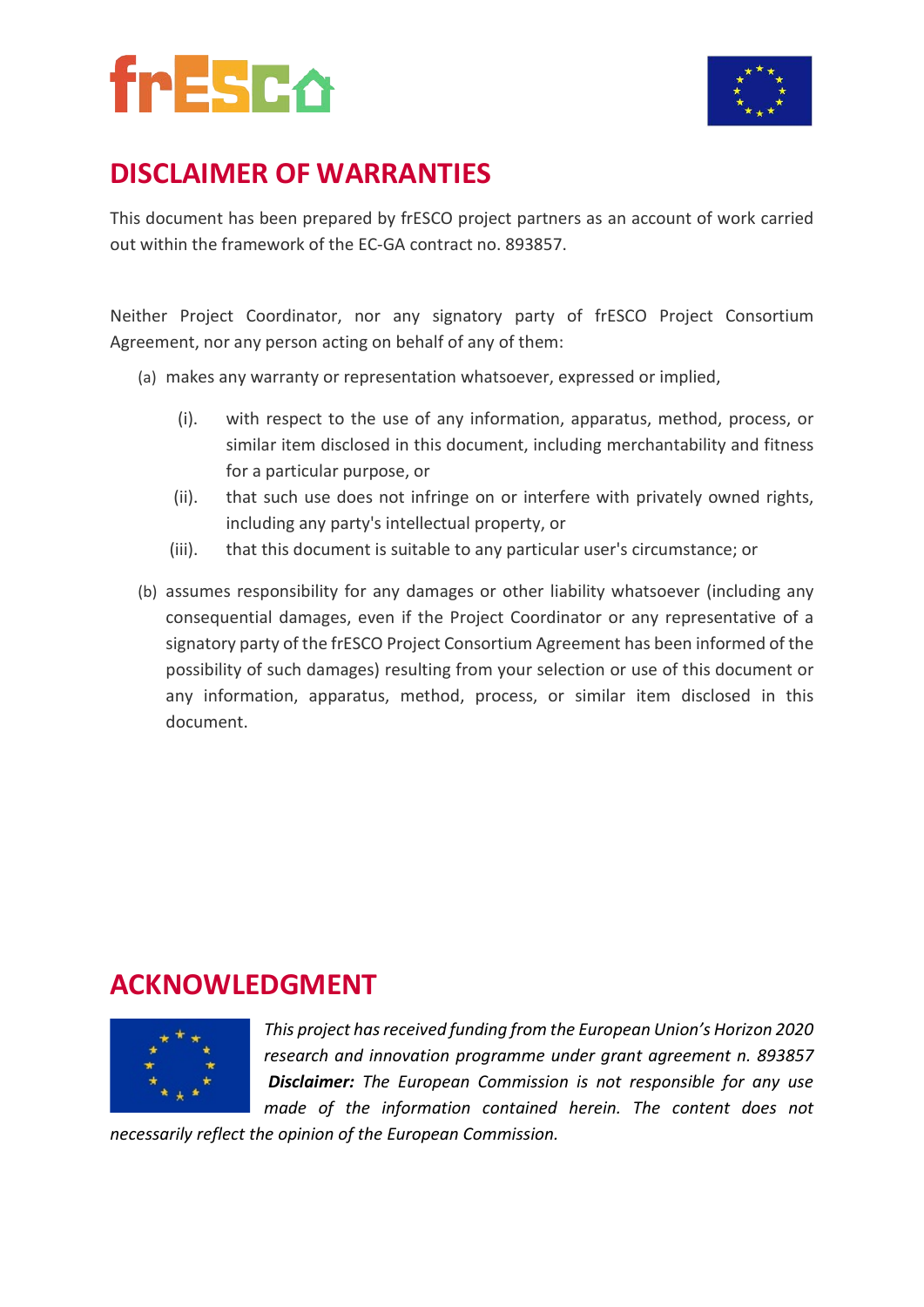

## **DISCLAIMER OF WARRANTIES**

This document has been prepared by frESCO project partners as an account of work carried out within the framework of the EC-GA contract no. 893857.

Neither Project Coordinator, nor any signatory party of frESCO Project Consortium Agreement, nor any person acting on behalf of any of them:

- (a) makes any warranty or representation whatsoever, expressed or implied,
	- (i). with respect to the use of any information, apparatus, method, process, or similar item disclosed in this document, including merchantability and fitness for a particular purpose, or
	- (ii). that such use does not infringe on or interfere with privately owned rights, including any party's intellectual property, or
	- (iii). that this document is suitable to any particular user's circumstance; or
- (b) assumes responsibility for any damages or other liability whatsoever (including any consequential damages, even if the Project Coordinator or any representative of a signatory party of the frESCO Project Consortium Agreement has been informed of the possibility of such damages) resulting from your selection or use of this document or any information, apparatus, method, process, or similar item disclosed in this document.

### **ACKNOWLEDGMENT**



*This project has received funding from the European Union's Horizon 2020 research and innovation programme under grant agreement n. 893857 Disclaimer: The European Commission is not responsible for any use made of the information contained herein. The content does not* 

*necessarily reflect the opinion of the European Commission.*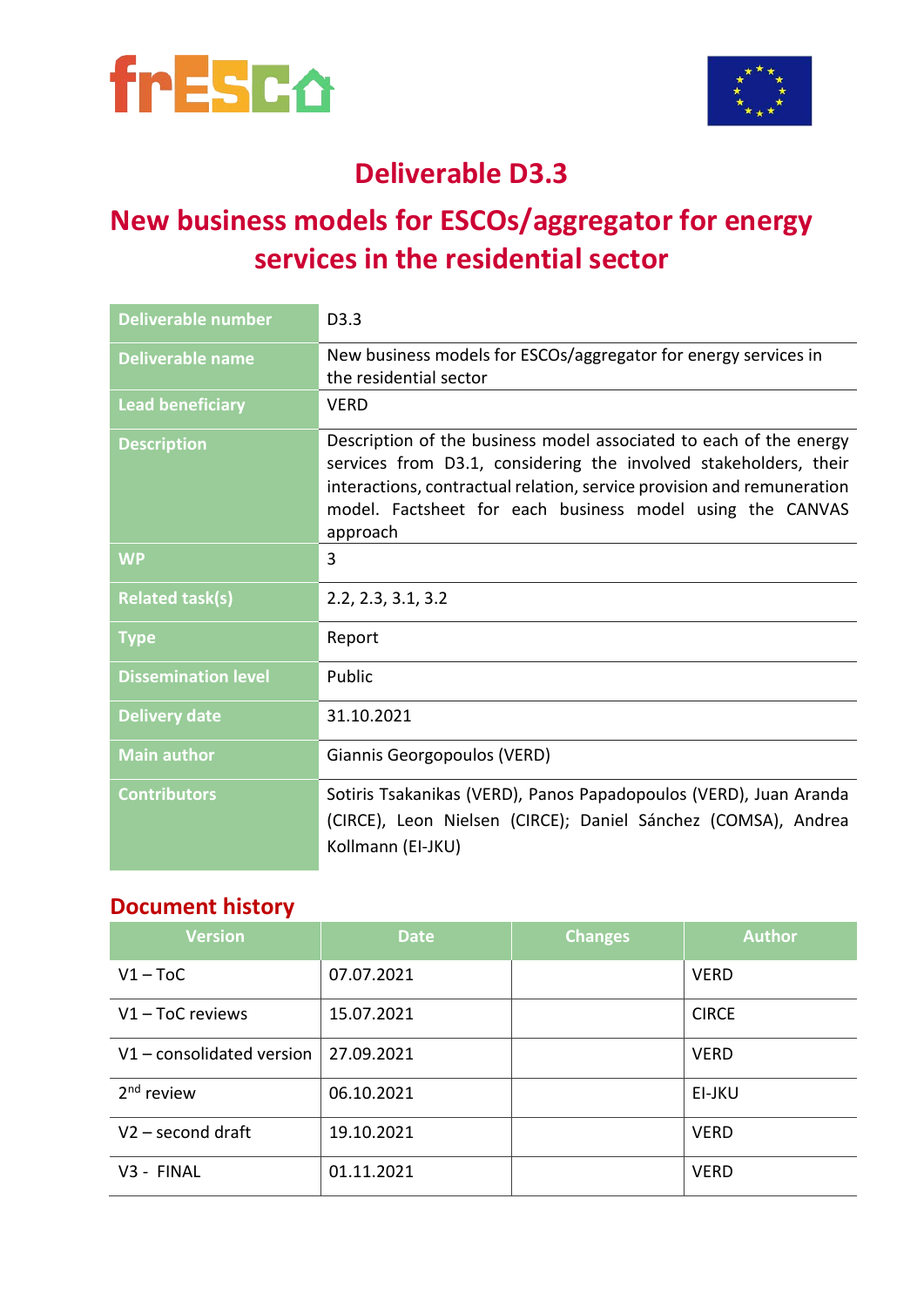



## **Deliverable D3.3**

## **New business models for ESCOs/aggregator for energy services in the residential sector**

| <b>Deliverable number</b>  | D <sub>3.3</sub>                                                                                                                                                                                                                                                                          |
|----------------------------|-------------------------------------------------------------------------------------------------------------------------------------------------------------------------------------------------------------------------------------------------------------------------------------------|
| <b>Deliverable name</b>    | New business models for ESCOs/aggregator for energy services in<br>the residential sector                                                                                                                                                                                                 |
| <b>Lead beneficiary</b>    | <b>VERD</b>                                                                                                                                                                                                                                                                               |
| <b>Description</b>         | Description of the business model associated to each of the energy<br>services from D3.1, considering the involved stakeholders, their<br>interactions, contractual relation, service provision and remuneration<br>model. Factsheet for each business model using the CANVAS<br>approach |
| <b>WP</b>                  | 3                                                                                                                                                                                                                                                                                         |
| <b>Related task(s)</b>     | 2.2, 2.3, 3.1, 3.2                                                                                                                                                                                                                                                                        |
| <b>Type</b>                | Report                                                                                                                                                                                                                                                                                    |
| <b>Dissemination level</b> | Public                                                                                                                                                                                                                                                                                    |
| <b>Delivery date</b>       | 31.10.2021                                                                                                                                                                                                                                                                                |
| <b>Main author</b>         | Giannis Georgopoulos (VERD)                                                                                                                                                                                                                                                               |
| <b>Contributors</b>        | Sotiris Tsakanikas (VERD), Panos Papadopoulos (VERD), Juan Aranda<br>(CIRCE), Leon Nielsen (CIRCE); Daniel Sánchez (COMSA), Andrea<br>Kollmann (EI-JKU)                                                                                                                                   |

### **Document history**

| <b>Version</b>          | <b>Date</b> | <b>Changes</b> | <b>Author</b> |
|-------------------------|-------------|----------------|---------------|
| $V1 - ToC$              | 07.07.2021  |                | <b>VERD</b>   |
| $V1 - ToC$ reviews      | 15.07.2021  |                | <b>CIRCE</b>  |
| V1-consolidated version | 27.09.2021  |                | <b>VERD</b>   |
| $2nd$ review            | 06.10.2021  |                | EI-JKU        |
| $V2$ – second draft     | 19.10.2021  |                | <b>VERD</b>   |
| V3 - FINAL              | 01.11.2021  |                | <b>VERD</b>   |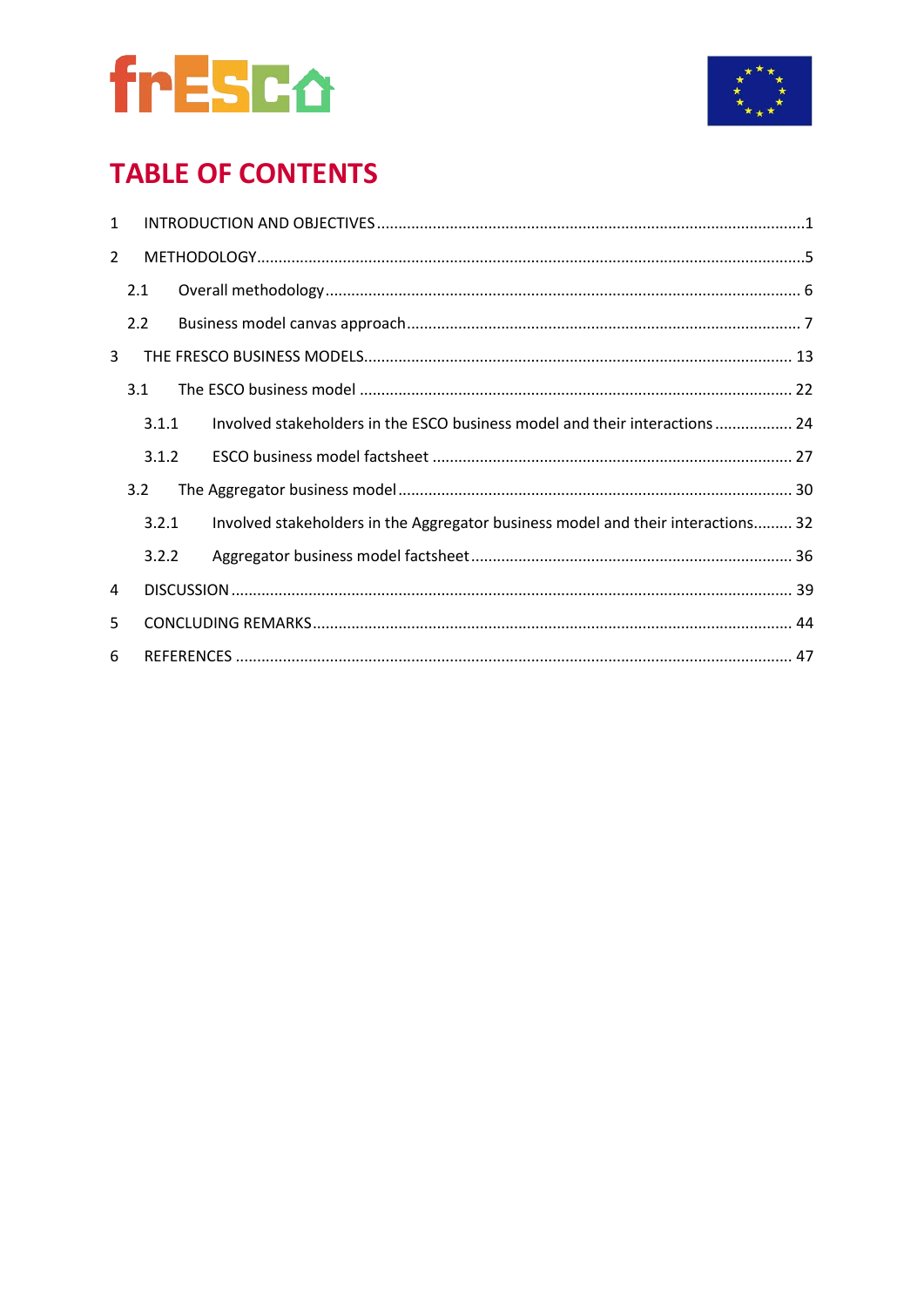



## **TABLE OF CONTENTS**

| $\mathbf{1}$   |     |       |                                                                                  |
|----------------|-----|-------|----------------------------------------------------------------------------------|
| $\overline{2}$ |     |       |                                                                                  |
|                | 2.1 |       |                                                                                  |
|                | 2.2 |       |                                                                                  |
| 3              |     |       |                                                                                  |
|                | 3.1 |       |                                                                                  |
|                |     | 3.1.1 | Involved stakeholders in the ESCO business model and their interactions  24      |
|                |     | 3.1.2 |                                                                                  |
|                | 3.2 |       |                                                                                  |
|                |     | 3.2.1 | Involved stakeholders in the Aggregator business model and their interactions 32 |
|                |     | 3.2.2 |                                                                                  |
| 4              |     |       |                                                                                  |
| 5              |     |       |                                                                                  |
| 6              |     |       |                                                                                  |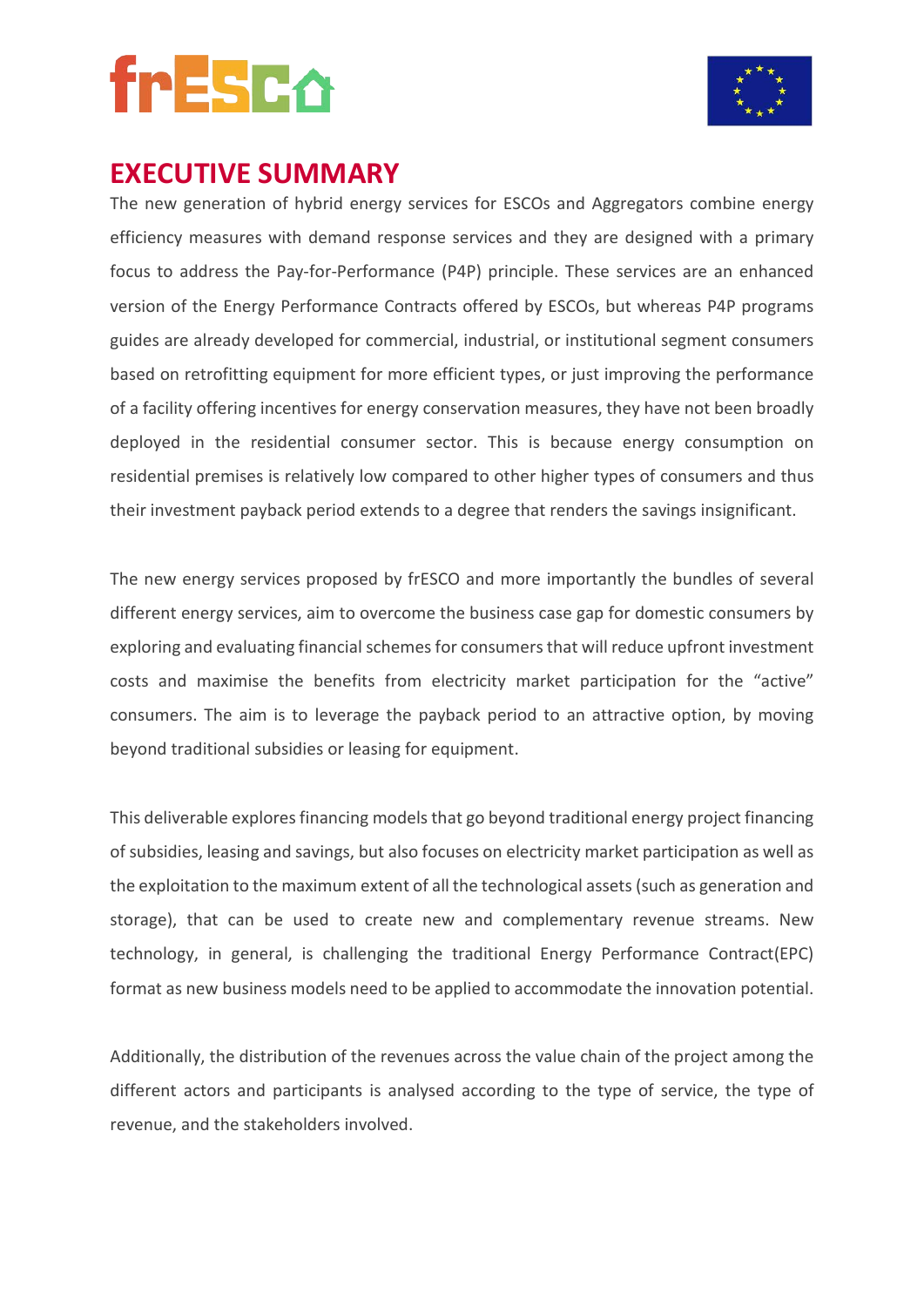



## **EXECUTIVE SUMMARY**

The new generation of hybrid energy services for ESCOs and Aggregators combine energy efficiency measures with demand response services and they are designed with a primary focus to address the Pay-for-Performance (P4P) principle. These services are an enhanced version of the Energy Performance Contracts offered by ESCOs, but whereas P4P programs guides are already developed for commercial, industrial, or institutional segment consumers based on retrofitting equipment for more efficient types, or just improving the performance of a facility offering incentives for energy conservation measures, they have not been broadly deployed in the residential consumer sector. This is because energy consumption on residential premises is relatively low compared to other higher types of consumers and thus their investment payback period extends to a degree that renders the savings insignificant.

The new energy services proposed by frESCO and more importantly the bundles of several different energy services, aim to overcome the business case gap for domestic consumers by exploring and evaluating financial schemes for consumers that will reduce upfront investment costs and maximise the benefits from electricity market participation for the "active" consumers. The aim is to leverage the payback period to an attractive option, by moving beyond traditional subsidies or leasing for equipment.

This deliverable explores financing models that go beyond traditional energy project financing of subsidies, leasing and savings, but also focuses on electricity market participation as well as the exploitation to the maximum extent of all the technological assets (such as generation and storage), that can be used to create new and complementary revenue streams. New technology, in general, is challenging the traditional Energy Performance Contract(EPC) format as new business models need to be applied to accommodate the innovation potential.

Additionally, the distribution of the revenues across the value chain of the project among the different actors and participants is analysed according to the type of service, the type of revenue, and the stakeholders involved.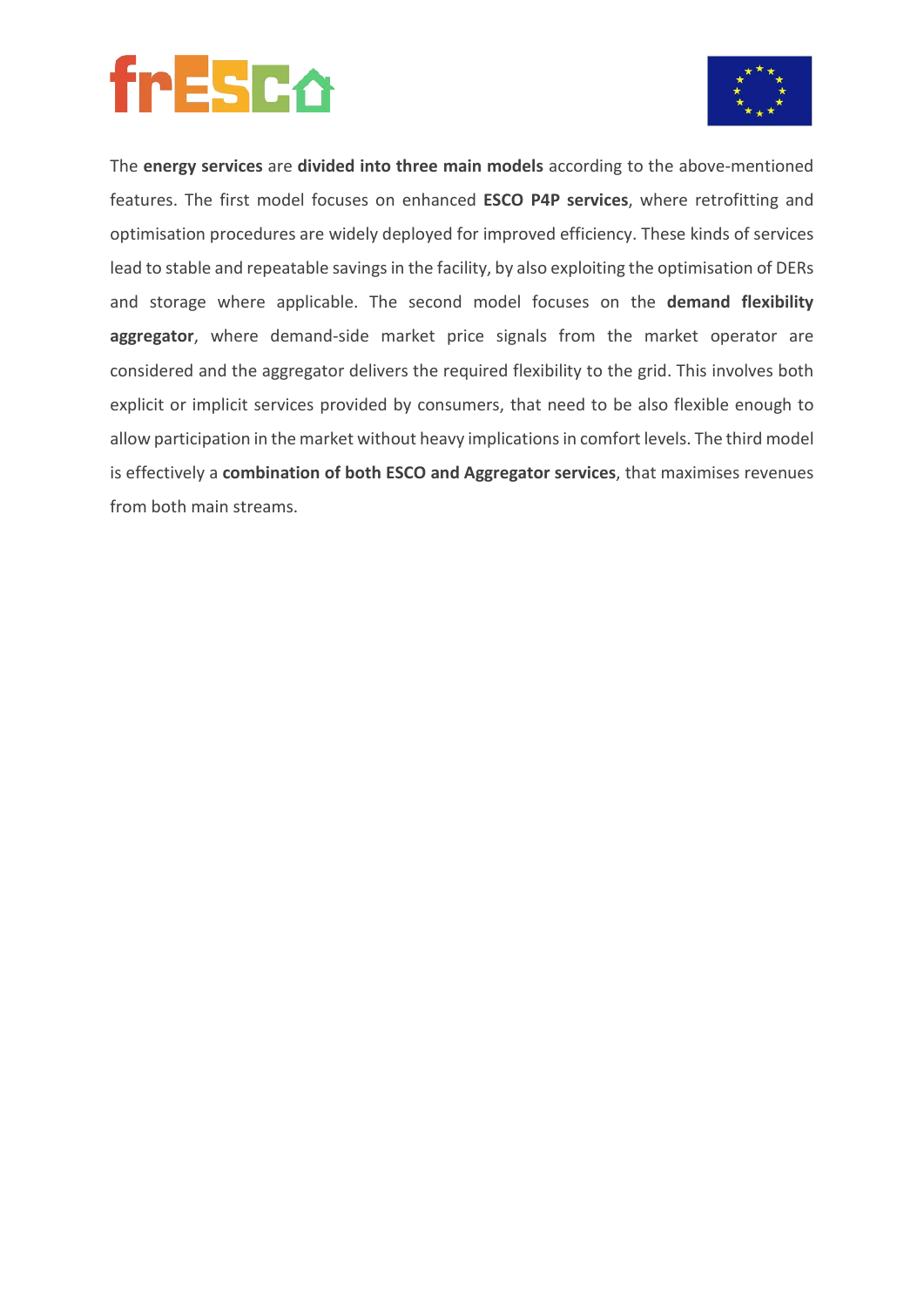

The **energy services** are **divided into three main models** according to the above-mentioned features. The first model focuses on enhanced **ESCO P4P services**, where retrofitting and optimisation procedures are widely deployed for improved efficiency. These kinds of services lead to stable and repeatable savings in the facility, by also exploiting the optimisation of DERs and storage where applicable. The second model focuses on the **demand flexibility aggregator**, where demand-side market price signals from the market operator are considered and the aggregator delivers the required flexibility to the grid. This involves both explicit or implicit services provided by consumers, that need to be also flexible enough to allow participation in the market without heavy implications in comfort levels. The third model is effectively a **combination of both ESCO and Aggregator services**, that maximises revenues from both main streams.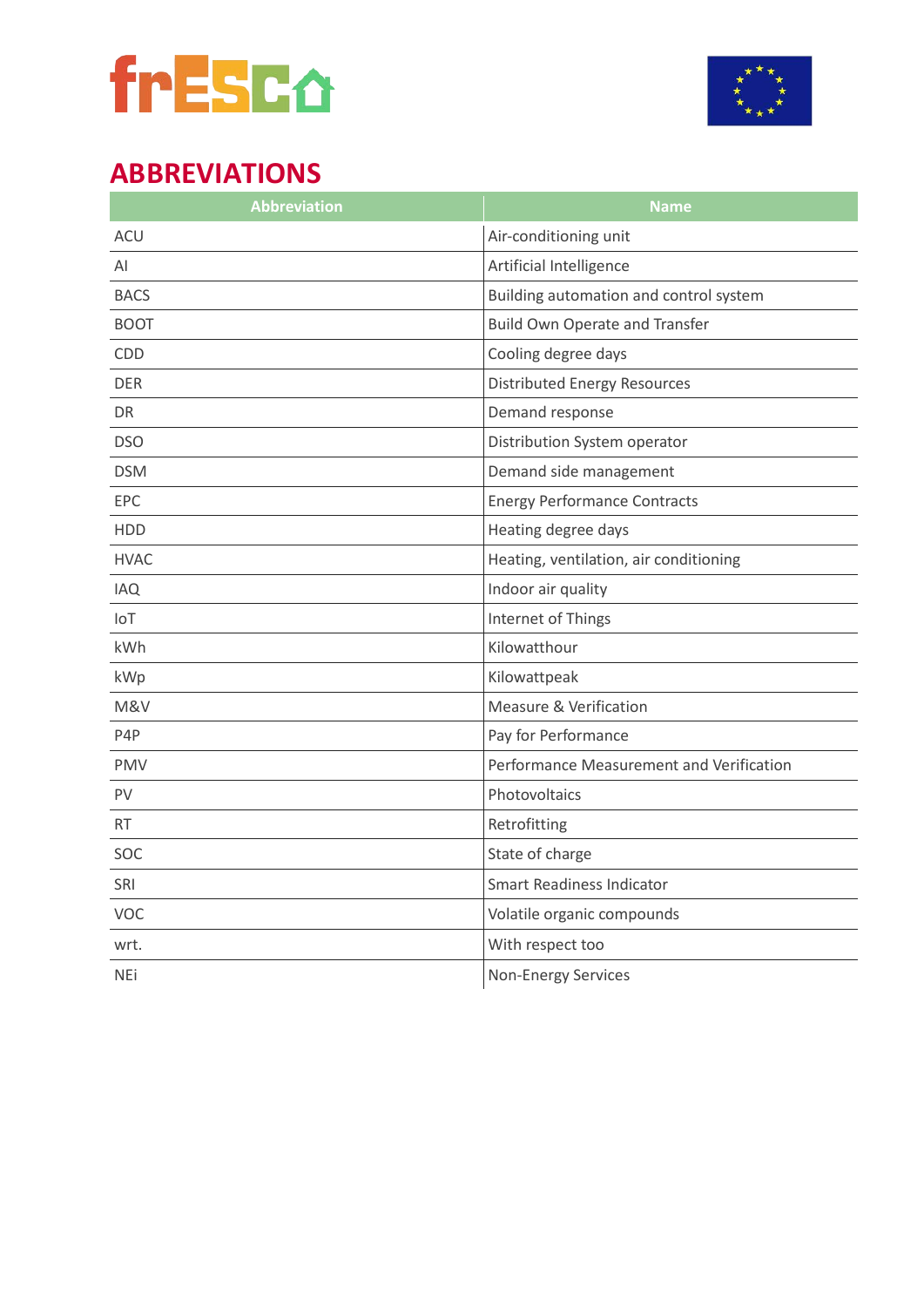



## **ABBREVIATIONS**

| <b>Abbreviation</b> | <b>Name</b>                              |
|---------------------|------------------------------------------|
| <b>ACU</b>          | Air-conditioning unit                    |
| AI                  | Artificial Intelligence                  |
| <b>BACS</b>         | Building automation and control system   |
| <b>BOOT</b>         | <b>Build Own Operate and Transfer</b>    |
| CDD                 | Cooling degree days                      |
| <b>DER</b>          | <b>Distributed Energy Resources</b>      |
| <b>DR</b>           | Demand response                          |
| <b>DSO</b>          | Distribution System operator             |
| <b>DSM</b>          | Demand side management                   |
| EPC                 | <b>Energy Performance Contracts</b>      |
| <b>HDD</b>          | Heating degree days                      |
| <b>HVAC</b>         | Heating, ventilation, air conditioning   |
| <b>IAQ</b>          | Indoor air quality                       |
| IoT                 | Internet of Things                       |
| kWh                 | Kilowatthour                             |
| kWp                 | Kilowattpeak                             |
| M&V                 | Measure & Verification                   |
| P4P                 | Pay for Performance                      |
| <b>PMV</b>          | Performance Measurement and Verification |
| <b>PV</b>           | Photovoltaics                            |
| <b>RT</b>           | Retrofitting                             |
| SOC                 | State of charge                          |
| SRI                 | <b>Smart Readiness Indicator</b>         |
| <b>VOC</b>          | Volatile organic compounds               |
| wrt.                | With respect too                         |
| <b>NEi</b>          | <b>Non-Energy Services</b>               |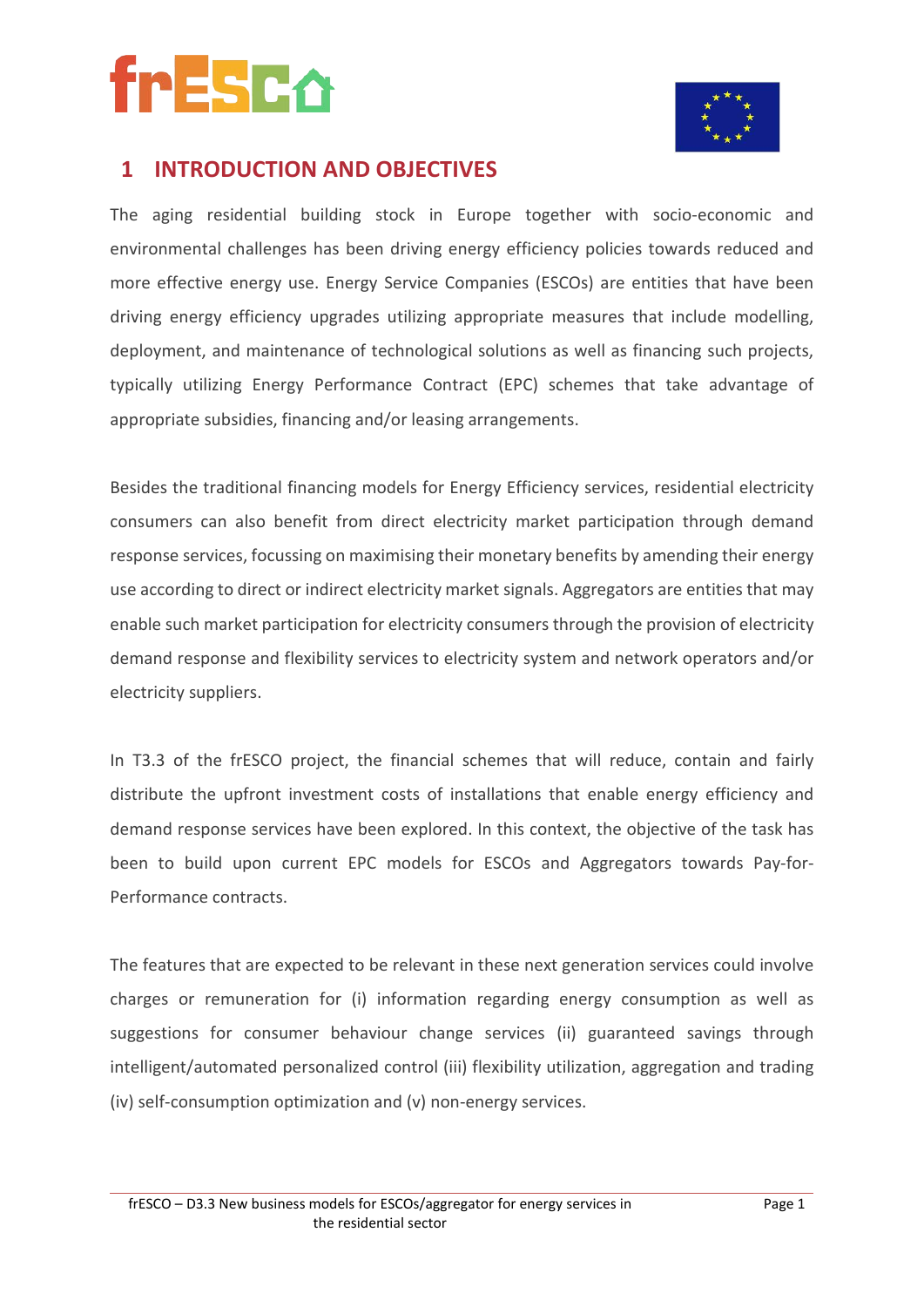



### **1 INTRODUCTION AND OBJECTIVES**

The aging residential building stock in Europe together with socio-economic and environmental challenges has been driving energy efficiency policies towards reduced and more effective energy use. Energy Service Companies (ESCOs) are entities that have been driving energy efficiency upgrades utilizing appropriate measures that include modelling, deployment, and maintenance of technological solutions as well as financing such projects, typically utilizing Energy Performance Contract (EPC) schemes that take advantage of appropriate subsidies, financing and/or leasing arrangements.

Besides the traditional financing models for Energy Efficiency services, residential electricity consumers can also benefit from direct electricity market participation through demand response services, focussing on maximising their monetary benefits by amending their energy use according to direct or indirect electricity market signals. Aggregators are entities that may enable such market participation for electricity consumers through the provision of electricity demand response and flexibility services to electricity system and network operators and/or electricity suppliers.

In T3.3 of the frESCO project, the financial schemes that will reduce, contain and fairly distribute the upfront investment costs of installations that enable energy efficiency and demand response services have been explored. In this context, the objective of the task has been to build upon current EPC models for ESCOs and Aggregators towards Pay-for-Performance contracts.

The features that are expected to be relevant in these next generation services could involve charges or remuneration for (i) information regarding energy consumption as well as suggestions for consumer behaviour change services (ii) guaranteed savings through intelligent/automated personalized control (iii) flexibility utilization, aggregation and trading (iv) self-consumption optimization and (v) non-energy services.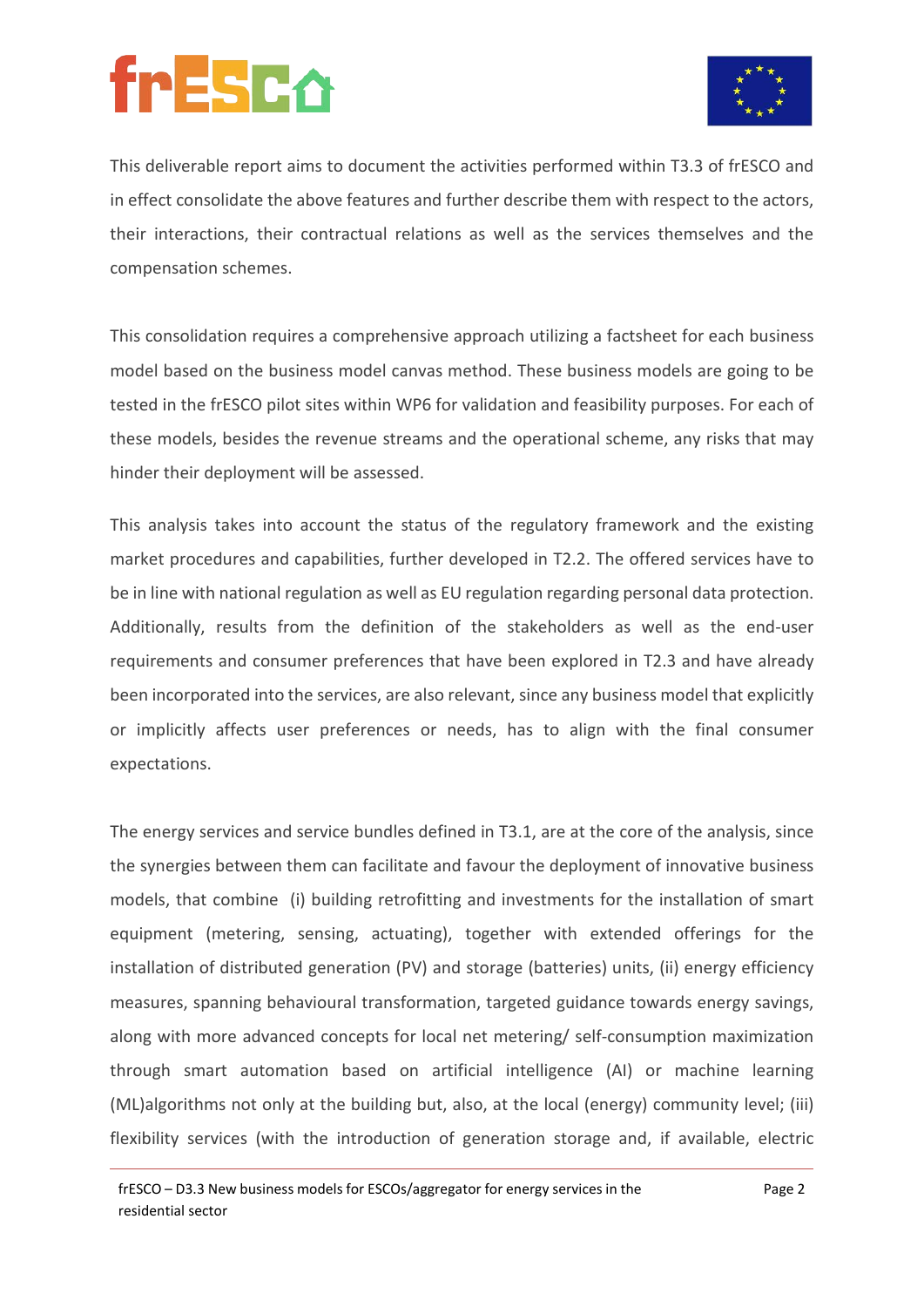

This deliverable report aims to document the activities performed within T3.3 of frESCO and in effect consolidate the above features and further describe them with respect to the actors, their interactions, their contractual relations as well as the services themselves and the compensation schemes.

This consolidation requires a comprehensive approach utilizing a factsheet for each business model based on the business model canvas method. These business models are going to be tested in the frESCO pilot sites within WP6 for validation and feasibility purposes. For each of these models, besides the revenue streams and the operational scheme, any risks that may hinder their deployment will be assessed.

This analysis takes into account the status of the regulatory framework and the existing market procedures and capabilities, further developed in T2.2. The offered services have to be in line with national regulation as well as EU regulation regarding personal data protection. Additionally, results from the definition of the stakeholders as well as the end-user requirements and consumer preferences that have been explored in T2.3 and have already been incorporated into the services, are also relevant, since any business model that explicitly or implicitly affects user preferences or needs, has to align with the final consumer expectations.

The energy services and service bundles defined in T3.1, are at the core of the analysis, since the synergies between them can facilitate and favour the deployment of innovative business models, that combine (i) building retrofitting and investments for the installation of smart equipment (metering, sensing, actuating), together with extended offerings for the installation of distributed generation (PV) and storage (batteries) units, (ii) energy efficiency measures, spanning behavioural transformation, targeted guidance towards energy savings, along with more advanced concepts for local net metering/ self-consumption maximization through smart automation based on artificial intelligence (AI) or machine learning (ML)algorithms not only at the building but, also, at the local (energy) community level; (iii) flexibility services (with the introduction of generation storage and, if available, electric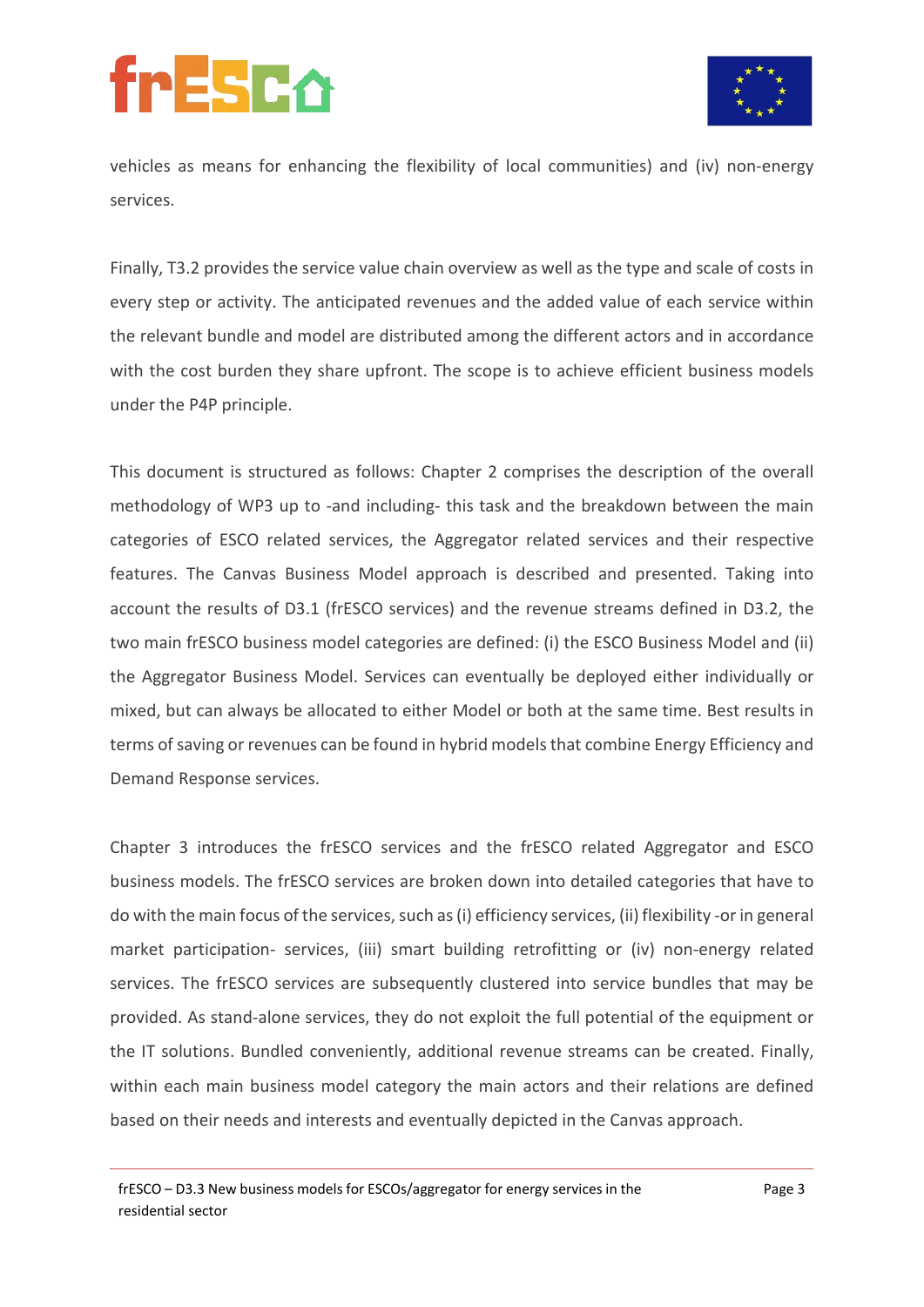

vehicles as means for enhancing the flexibility of local communities) and (iv) non-energy services.

Finally, T3.2 provides the service value chain overview as well as the type and scale of costs in every step or activity. The anticipated revenues and the added value of each service within the relevant bundle and model are distributed among the different actors and in accordance with the cost burden they share upfront. The scope is to achieve efficient business models under the P4P principle.

This document is structured as follows: Chapter 2 comprises the description of the overall methodology of WP3 up to -and including- this task and the breakdown between the main categories of ESCO related services, the Aggregator related services and their respective features. The Canvas Business Model approach is described and presented. Taking into account the results of D3.1 (frESCO services) and the revenue streams defined in D3.2, the two main frESCO business model categories are defined: (i) the ESCO Business Model and (ii) the Aggregator Business Model. Services can eventually be deployed either individually or mixed, but can always be allocated to either Model or both at the same time. Best results in terms of saving or revenues can be found in hybrid modelsthat combine Energy Efficiency and Demand Response services.

Chapter 3 introduces the frESCO services and the frESCO related Aggregator and ESCO business models. The frESCO services are broken down into detailed categories that have to do with the main focus of the services, such as(i) efficiency services, (ii) flexibility -or in general market participation- services, (iii) smart building retrofitting or (iv) non-energy related services. The frESCO services are subsequently clustered into service bundles that may be provided. As stand-alone services, they do not exploit the full potential of the equipment or the IT solutions. Bundled conveniently, additional revenue streams can be created. Finally, within each main business model category the main actors and their relations are defined based on their needs and interests and eventually depicted in the Canvas approach.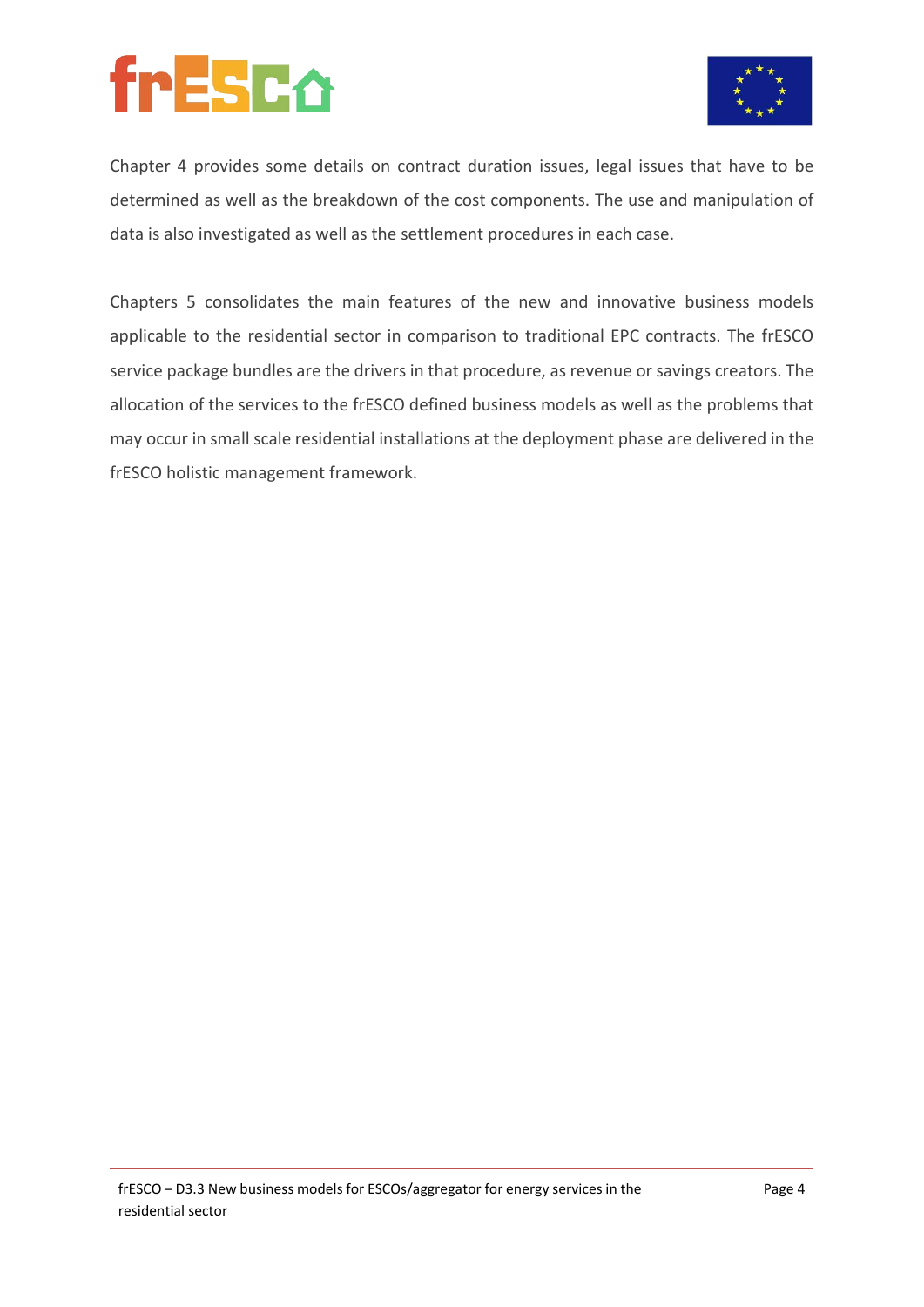## frESCO



Chapter 4 provides some details on contract duration issues, legal issues that have to be determined as well as the breakdown of the cost components. The use and manipulation of data is also investigated as well as the settlement procedures in each case.

Chapters 5 consolidates the main features of the new and innovative business models applicable to the residential sector in comparison to traditional EPC contracts. The frESCO service package bundles are the drivers in that procedure, as revenue or savings creators. The allocation of the services to the frESCO defined business models as well as the problems that may occur in small scale residential installations at the deployment phase are delivered in the frESCO holistic management framework.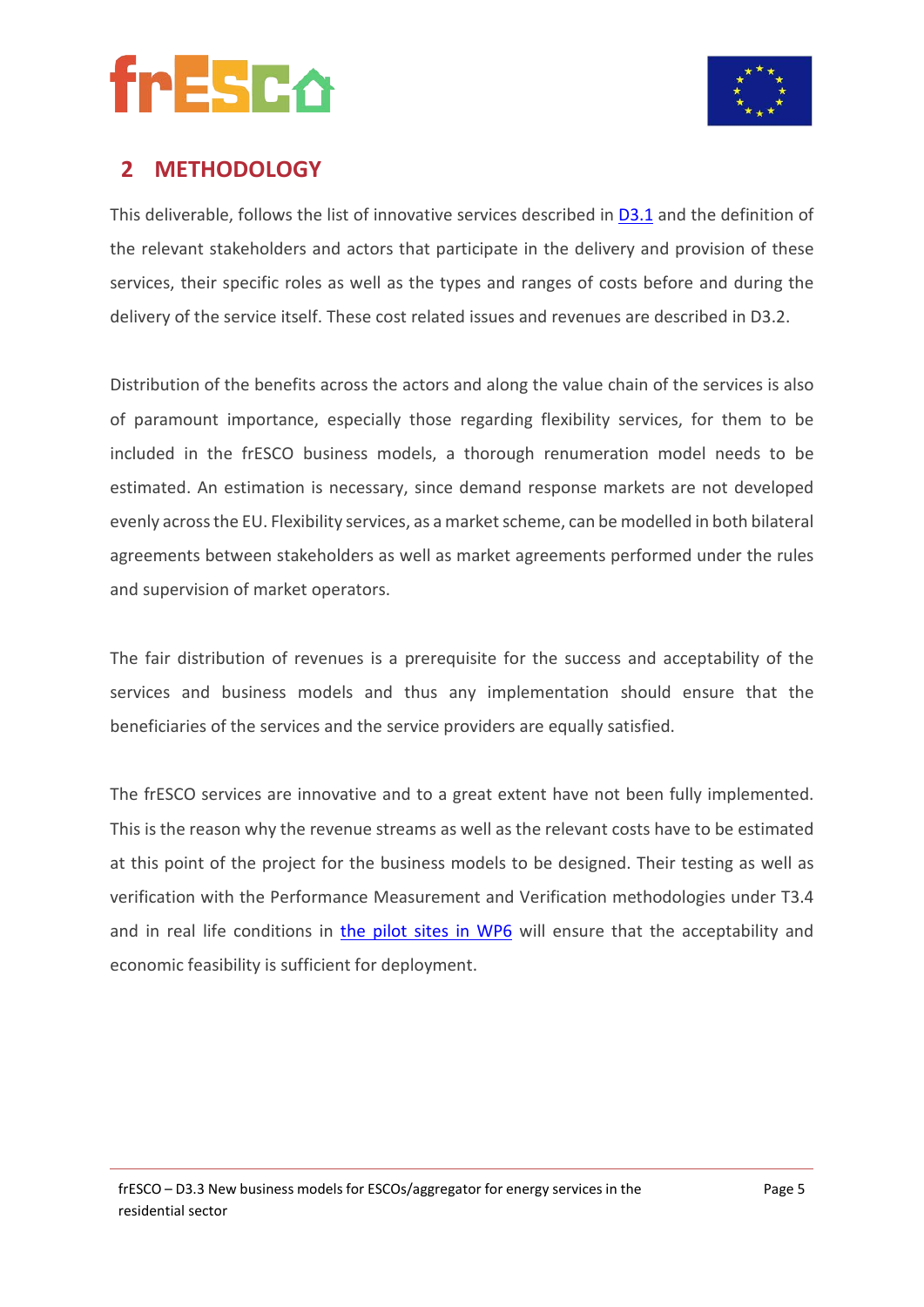



### **2 METHODOLOGY**

This deliverable, follows the list of innovative services described in [D3.1](https://www.fresco-project.eu/wp-content/uploads/2021/04/Deliverable-3.1-Definition-of-the-novel-energy-services-for-residentialconsumers.pdf) and the definition of the relevant stakeholders and actors that participate in the delivery and provision of these services, their specific roles as well as the types and ranges of costs before and during the delivery of the service itself. These cost related issues and revenues are described in D3.2.

Distribution of the benefits across the actors and along the value chain of the services is also of paramount importance, especially those regarding flexibility services, for them to be included in the frESCO business models, a thorough renumeration model needs to be estimated. An estimation is necessary, since demand response markets are not developed evenly across the EU. Flexibility services, as a market scheme, can be modelled in both bilateral agreements between stakeholders as well as market agreements performed under the rules and supervision of market operators.

The fair distribution of revenues is a prerequisite for the success and acceptability of the services and business models and thus any implementation should ensure that the beneficiaries of the services and the service providers are equally satisfied.

The frESCO services are innovative and to a great extent have not been fully implemented. This is the reason why the revenue streams as well as the relevant costs have to be estimated at this point of the project for the business models to be designed. Their testing as well as verification with the Performance Measurement and Verification methodologies under T3.4 and in real life conditions in [the pilot sites in WP6](https://www.fresco-project.eu/demosites/) will ensure that the acceptability and economic feasibility is sufficient for deployment.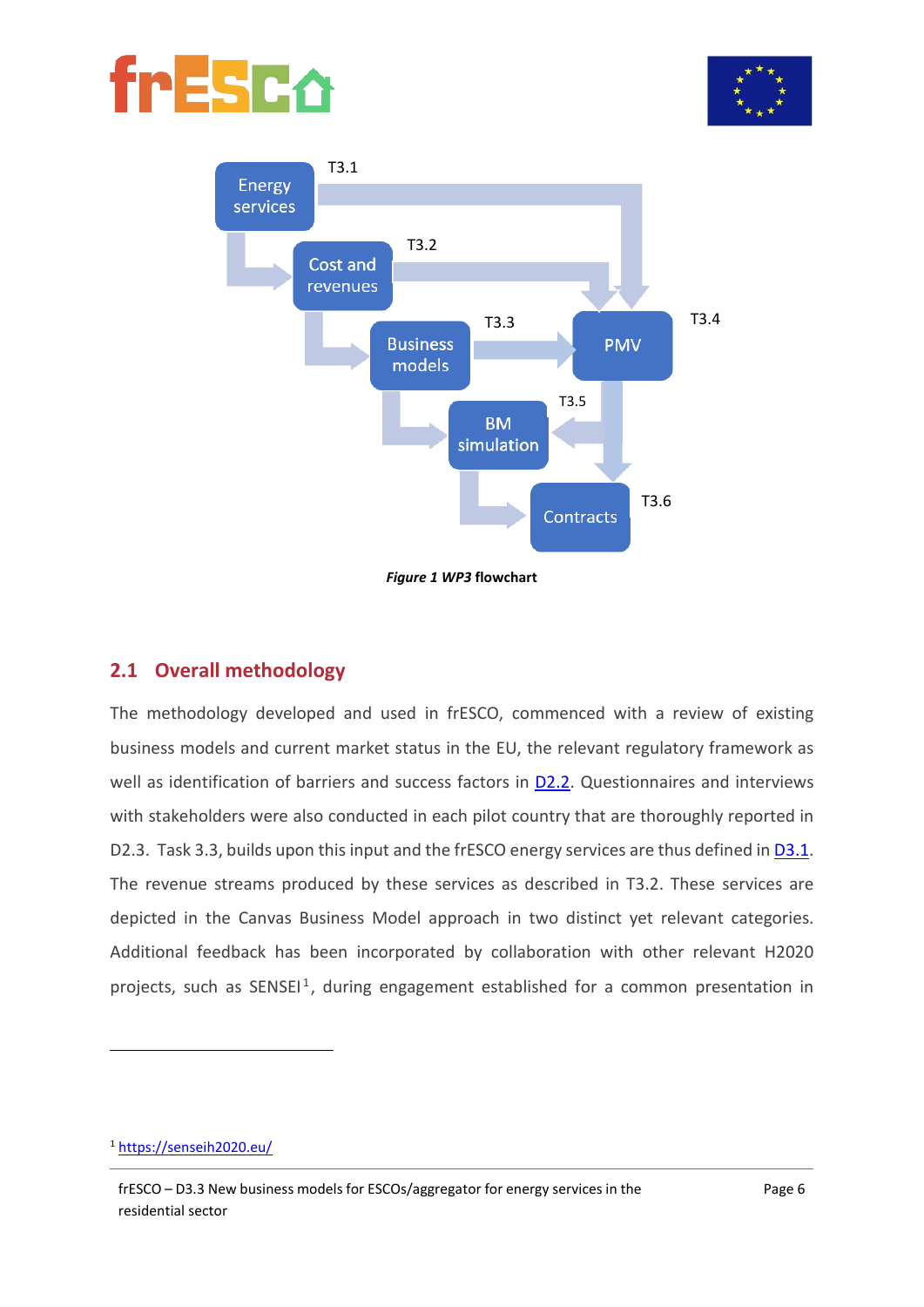





*Figure 1 WP3* **flowchart**

#### **2.1 Overall methodology**

The methodology developed and used in frESCO, commenced with a review of existing business models and current market status in the EU, the relevant regulatory framework as well as identification of barriers and success factors in [D2.2.](https://www.fresco-project.eu/wp-content/uploads/2021/04/Deliverable-2.2-Overview-of-the-regulatory-and-market-framework-forenergy-services-in-the-residential-sector-2.pdf) Questionnaires and interviews with stakeholders were also conducted in each pilot country that are thoroughly reported in D2.3. Task 3.3, builds upon this input and the frESCO energy services are thus defined in [D3.1.](https://www.fresco-project.eu/wp-content/uploads/2021/04/Deliverable-3.1-Definition-of-the-novel-energy-services-for-residentialconsumers.pdf) The revenue streams produced by these services as described in T3.2. These services are depicted in the Canvas Business Model approach in two distinct yet relevant categories. Additional feedback has been incorporated by collaboration with other relevant H2020 projects, such as  $SENSEI<sup>1</sup>$  $SENSEI<sup>1</sup>$  $SENSEI<sup>1</sup>$ , during engagement established for a common presentation in

<span id="page-12-0"></span><sup>1</sup> <https://senseih2020.eu/>

frESCO – D3.3 New business models for ESCOs/aggregator for energy services in the residential sector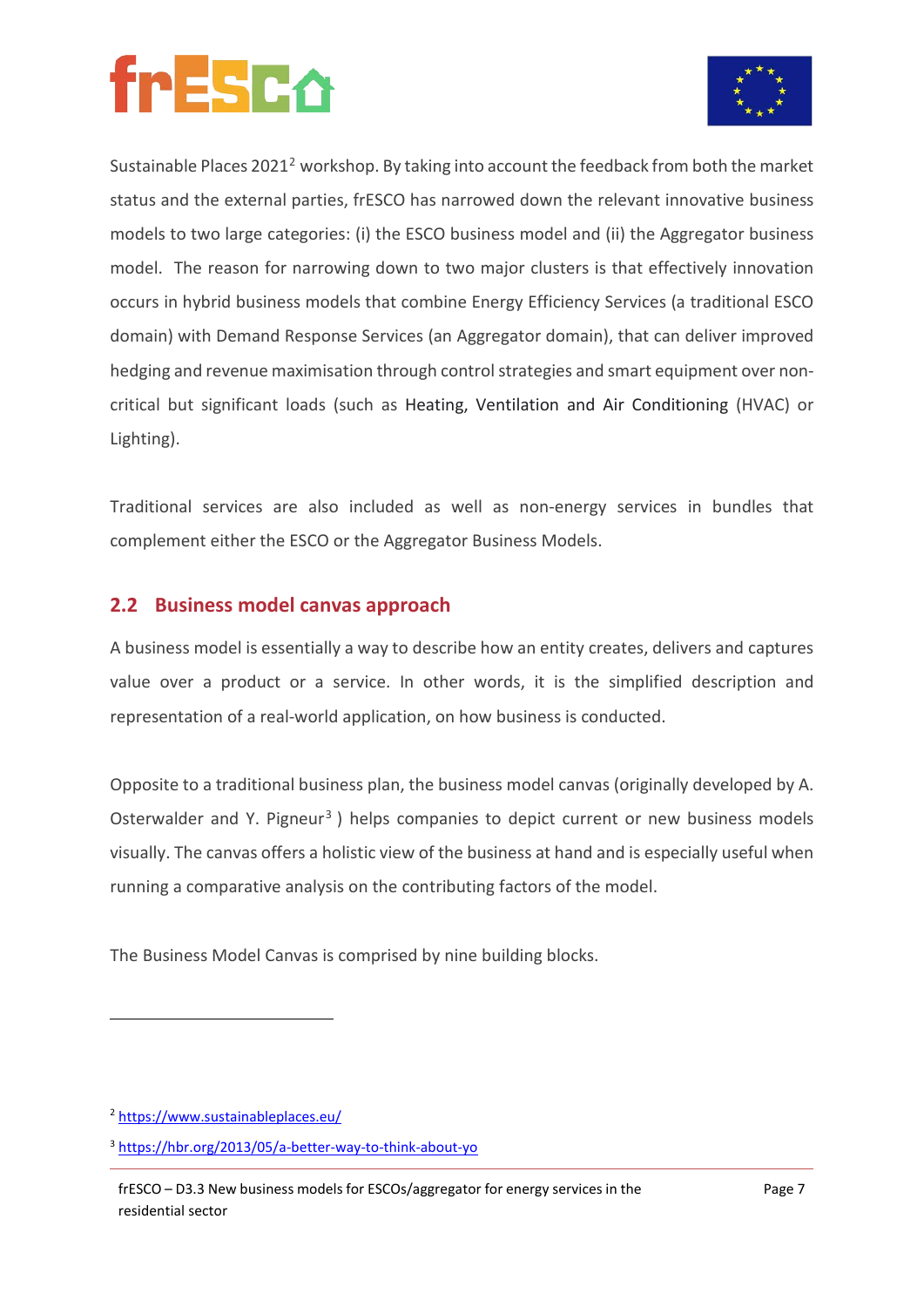

Sustainable Places 202[12](#page-13-0) workshop. By taking into account the feedback from both the market status and the external parties, frESCO has narrowed down the relevant innovative business models to two large categories: (i) the ESCO business model and (ii) the Aggregator business model. The reason for narrowing down to two major clusters is that effectively innovation occurs in hybrid business models that combine Energy Efficiency Services (a traditional ESCO domain) with Demand Response Services (an Aggregator domain), that can deliver improved hedging and revenue maximisation through control strategies and smart equipment over noncritical but significant loads (such as Heating, Ventilation and Air Conditioning (HVAC) or Lighting).

Traditional services are also included as well as non-energy services in bundles that complement either the ESCO or the Aggregator Business Models.

#### **2.2 Business model canvas approach**

A business model is essentially a way to describe how an entity creates, delivers and captures value over a product or a service. In other words, it is the simplified description and representation of a real-world application, on how business is conducted.

Opposite to a traditional business plan, the business model canvas (originally developed by A. Osterwalder and Y. Pigneur<sup>[3](#page-13-1)</sup> ) helps companies to depict current or new business models visually. The canvas offers a holistic view of the business at hand and is especially useful when running a comparative analysis on the contributing factors of the model.

The Business Model Canvas is comprised by nine building blocks.

<span id="page-13-0"></span><sup>2</sup> <https://www.sustainableplaces.eu/>

<span id="page-13-1"></span><sup>3</sup> <https://hbr.org/2013/05/a-better-way-to-think-about-yo>

frESCO – D3.3 New business models for ESCOs/aggregator for energy services in the residential sector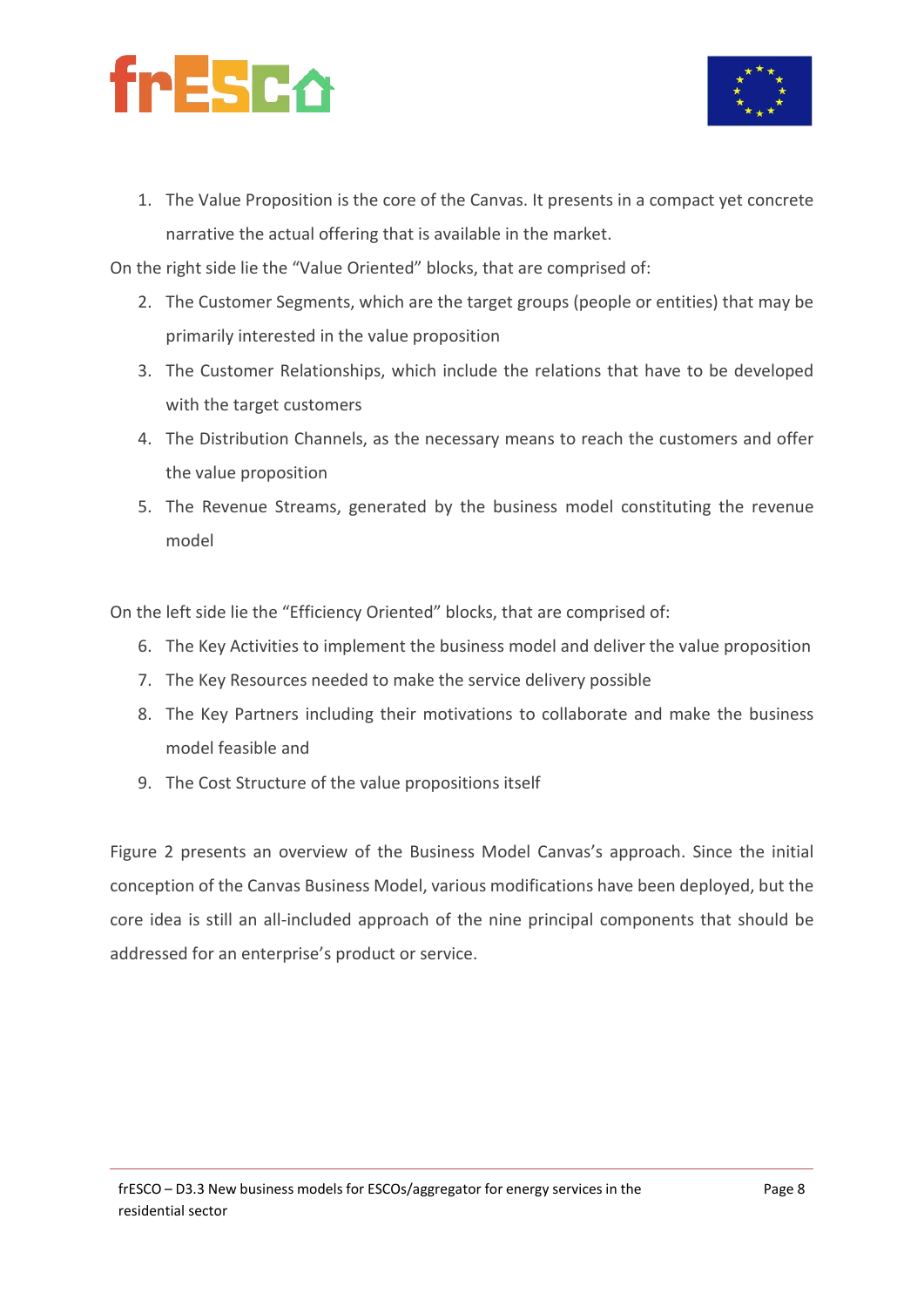



1. The Value Proposition is the core of the Canvas. It presents in a compact yet concrete narrative the actual offering that is available in the market.

On the right side lie the "Value Oriented" blocks, that are comprised of:

- 2. The Customer Segments, which are the target groups (people or entities) that may be primarily interested in the value proposition
- 3. The Customer Relationships, which include the relations that have to be developed with the target customers
- 4. The Distribution Channels, as the necessary means to reach the customers and offer the value proposition
- 5. The Revenue Streams, generated by the business model constituting the revenue model

On the left side lie the "Efficiency Oriented" blocks, that are comprised of:

- 6. The Key Activities to implement the business model and deliver the value proposition
- 7. The Key Resources needed to make the service delivery possible
- 8. The Key Partners including their motivations to collaborate and make the business model feasible and
- 9. The Cost Structure of the value propositions itself

[Figure 2](#page-15-0) presents an overview of the Business Model Canvas's approach. Since the initial conception of the Canvas Business Model, various modifications have been deployed, but the core idea is still an all-included approach of the nine principal components that should be addressed for an enterprise's product or service.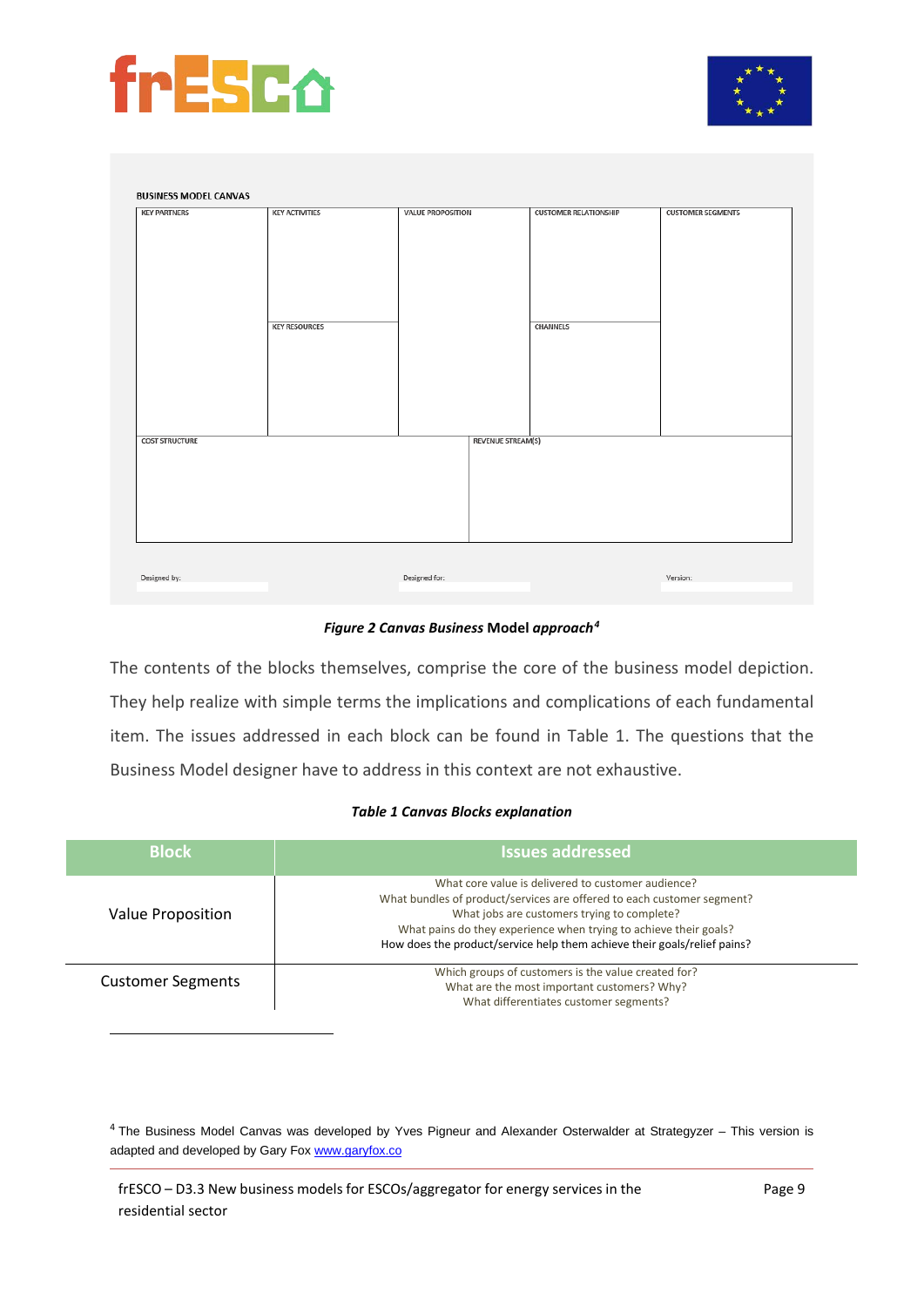



| <b>KEY PARTNERS</b>   | <b>KEY ACTIVITIES</b> | <b>VALUE PROPOSITION</b> | <b>CUSTOMER RELATIONSHIP</b> | <b>CUSTOMER SEGMENTS</b> |
|-----------------------|-----------------------|--------------------------|------------------------------|--------------------------|
|                       | <b>KEY RESOURCES</b>  |                          | <b>CHANNELS</b>              |                          |
| <b>COST STRUCTURE</b> |                       | <b>REVENUE STREAM(S)</b> |                              |                          |
|                       |                       |                          |                              |                          |
| Designed by:          |                       | Designed for:            |                              | Version:                 |

*Figure 2 Canvas Business* **Model** *approach[4](#page-15-2)*

<span id="page-15-0"></span>The contents of the blocks themselves, comprise the core of the business model depiction. They help realize with simple terms the implications and complications of each fundamental item. The issues addressed in each block can be found in [Table 1.](#page-15-1) The questions that the Business Model designer have to address in this context are not exhaustive.

#### *Table 1 Canvas Blocks explanation*

<span id="page-15-1"></span>

| <b>Block</b>             | <b>Issues addressed</b>                                                                                                                                                                                                                                                                                                      |
|--------------------------|------------------------------------------------------------------------------------------------------------------------------------------------------------------------------------------------------------------------------------------------------------------------------------------------------------------------------|
| Value Proposition        | What core value is delivered to customer audience?<br>What bundles of product/services are offered to each customer segment?<br>What jobs are customers trying to complete?<br>What pains do they experience when trying to achieve their goals?<br>How does the product/service help them achieve their goals/relief pains? |
| <b>Customer Segments</b> | Which groups of customers is the value created for?<br>What are the most important customers? Why?<br>What differentiates customer segments?                                                                                                                                                                                 |

<span id="page-15-2"></span><sup>4</sup> The Business Model Canvas was developed by Yves Pigneur and Alexander Osterwalder at Strategyzer – This version is adapted and developed by Gary Fo[x www.garyfox.co](https://www.garyfox.co/canvas-models/lean-canvas-model/)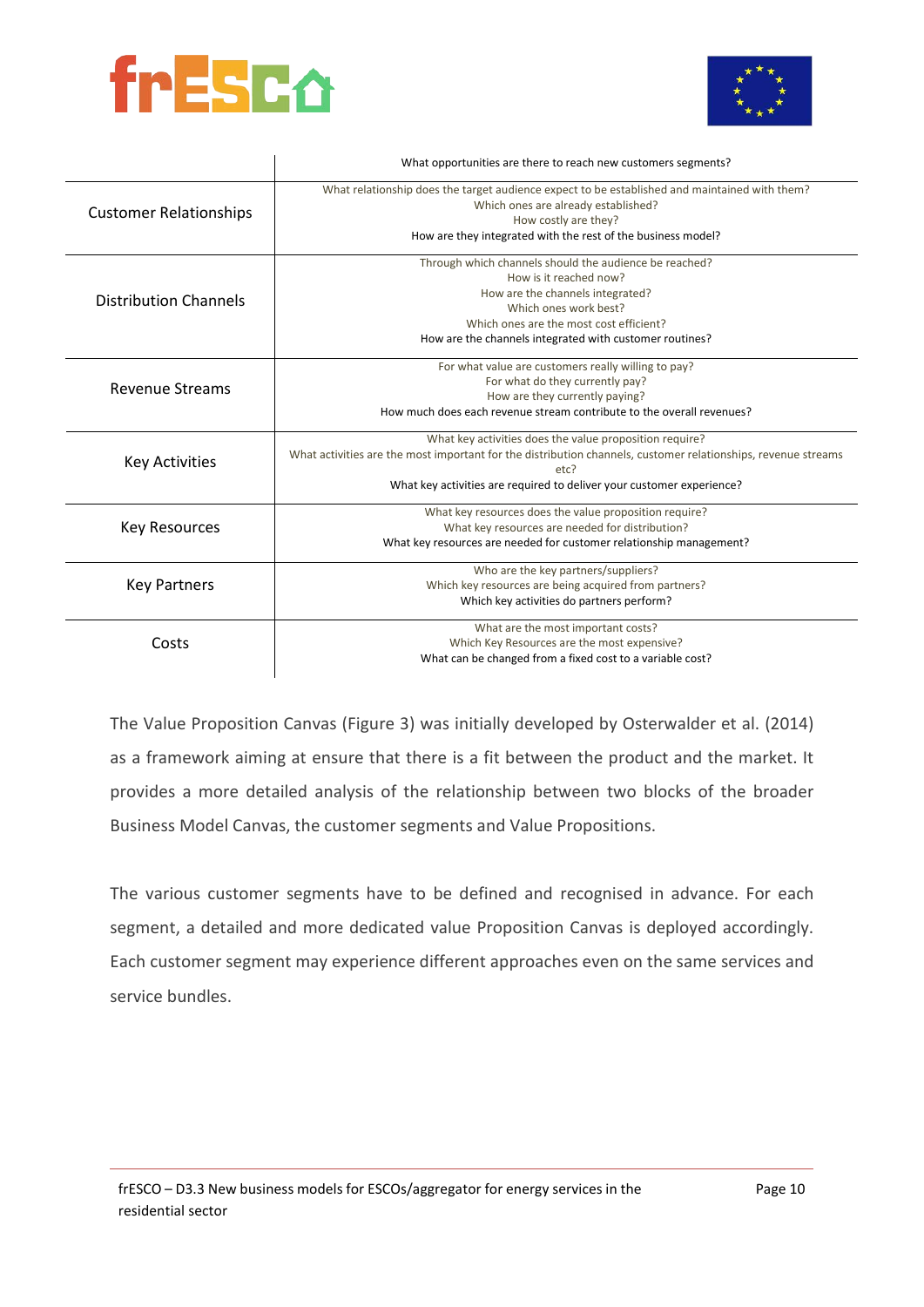



|                               | What opportunities are there to reach new customers segments?                                                                                                                                                                                             |
|-------------------------------|-----------------------------------------------------------------------------------------------------------------------------------------------------------------------------------------------------------------------------------------------------------|
| <b>Customer Relationships</b> | What relationship does the target audience expect to be established and maintained with them?<br>Which ones are already established?<br>How costly are they?<br>How are they integrated with the rest of the business model?                              |
| <b>Distribution Channels</b>  | Through which channels should the audience be reached?<br>How is it reached now?<br>How are the channels integrated?<br>Which ones work best?<br>Which ones are the most cost efficient?<br>How are the channels integrated with customer routines?       |
| <b>Revenue Streams</b>        | For what value are customers really willing to pay?<br>For what do they currently pay?<br>How are they currently paying?<br>How much does each revenue stream contribute to the overall revenues?                                                         |
| <b>Key Activities</b>         | What key activities does the value proposition require?<br>What activities are the most important for the distribution channels, customer relationships, revenue streams<br>etc?<br>What key activities are required to deliver your customer experience? |
| <b>Key Resources</b>          | What key resources does the value proposition require?<br>What key resources are needed for distribution?<br>What key resources are needed for customer relationship management?                                                                          |
| <b>Key Partners</b>           | Who are the key partners/suppliers?<br>Which key resources are being acquired from partners?<br>Which key activities do partners perform?                                                                                                                 |
| Costs                         | What are the most important costs?<br>Which Key Resources are the most expensive?<br>What can be changed from a fixed cost to a variable cost?                                                                                                            |

The Value Proposition Canvas [\(Figure 3\)](#page-17-0) was initially developed by Osterwalder et al. (2014) as a framework aiming at ensure that there is a fit between the product and the market. It provides a more detailed analysis of the relationship between two blocks of the broader Business Model Canvas, the customer segments and Value Propositions.

The various customer segments have to be defined and recognised in advance. For each segment, a detailed and more dedicated value Proposition Canvas is deployed accordingly. Each customer segment may experience different approaches even on the same services and service bundles.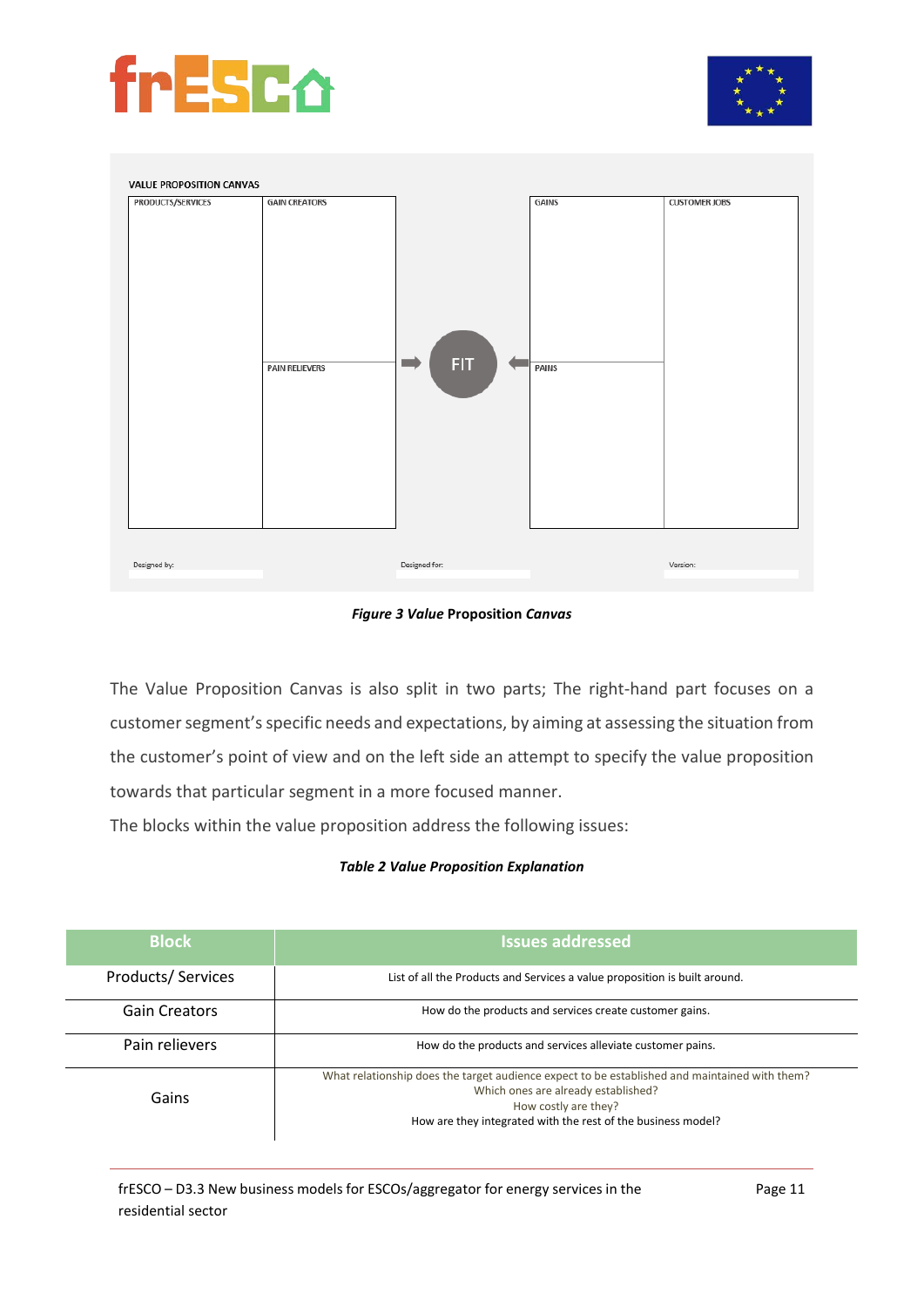





#### *Figure 3 Value* **Proposition** *Canvas*

<span id="page-17-0"></span>The Value Proposition Canvas is also split in two parts; The right-hand part focuses on a customer segment's specific needs and expectations, by aiming at assessing the situation from the customer's point of view and on the left side an attempt to specify the value proposition towards that particular segment in a more focused manner.

The blocks within the value proposition address the following issues:

#### *Table 2 Value Proposition Explanation*

| <b>Block</b>         | <b>Issues addressed</b>                                                                                                                                                                                                      |
|----------------------|------------------------------------------------------------------------------------------------------------------------------------------------------------------------------------------------------------------------------|
| Products/Services    | List of all the Products and Services a value proposition is built around.                                                                                                                                                   |
| <b>Gain Creators</b> | How do the products and services create customer gains.                                                                                                                                                                      |
| Pain relievers       | How do the products and services alleviate customer pains.                                                                                                                                                                   |
| Gains                | What relationship does the target audience expect to be established and maintained with them?<br>Which ones are already established?<br>How costly are they?<br>How are they integrated with the rest of the business model? |

frESCO – D3.3 New business models for ESCOs/aggregator for energy services in the residential sector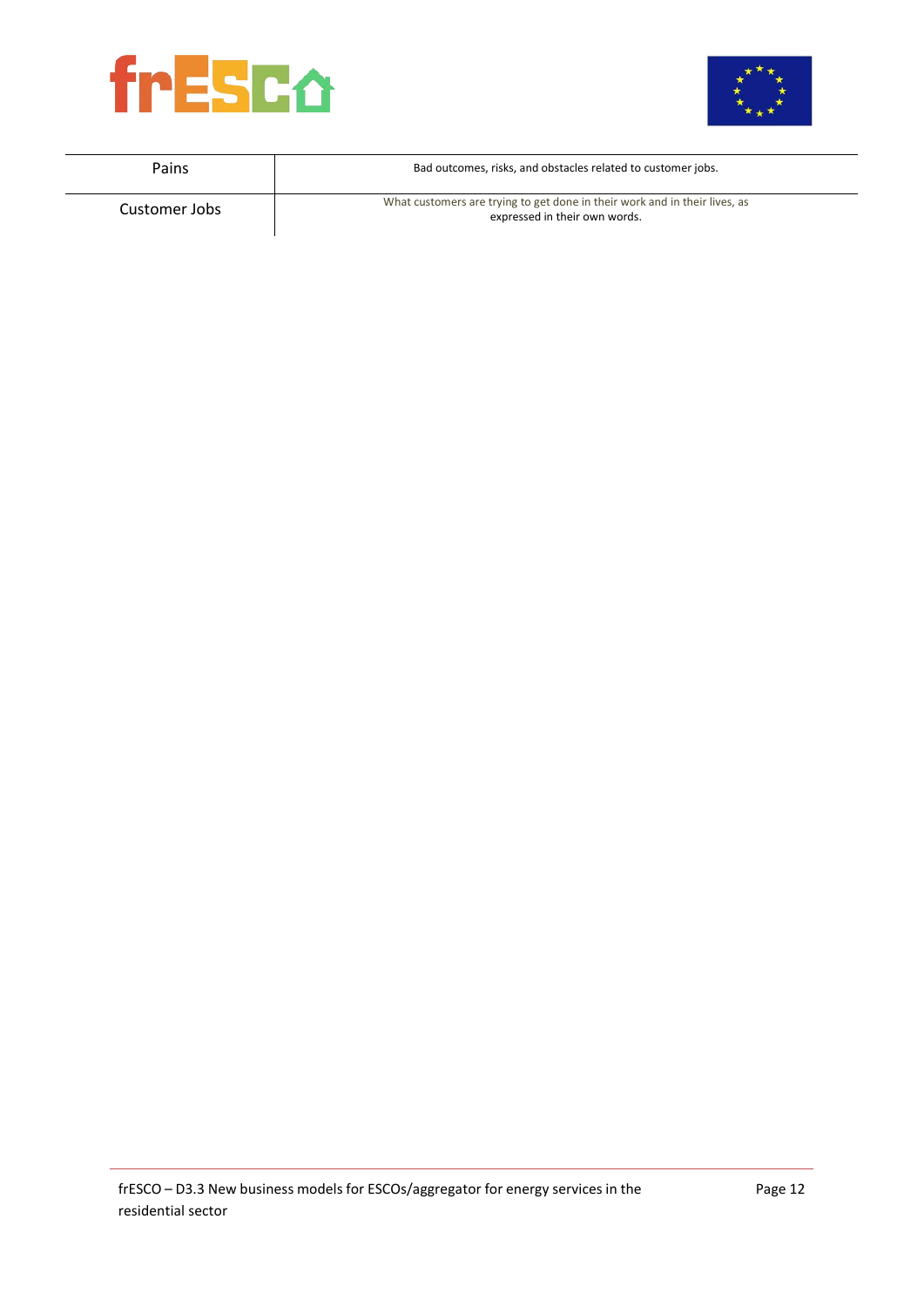



| Pains         | Bad outcomes, risks, and obstacles related to customer jobs.                                                |
|---------------|-------------------------------------------------------------------------------------------------------------|
| Customer Jobs | What customers are trying to get done in their work and in their lives, as<br>expressed in their own words. |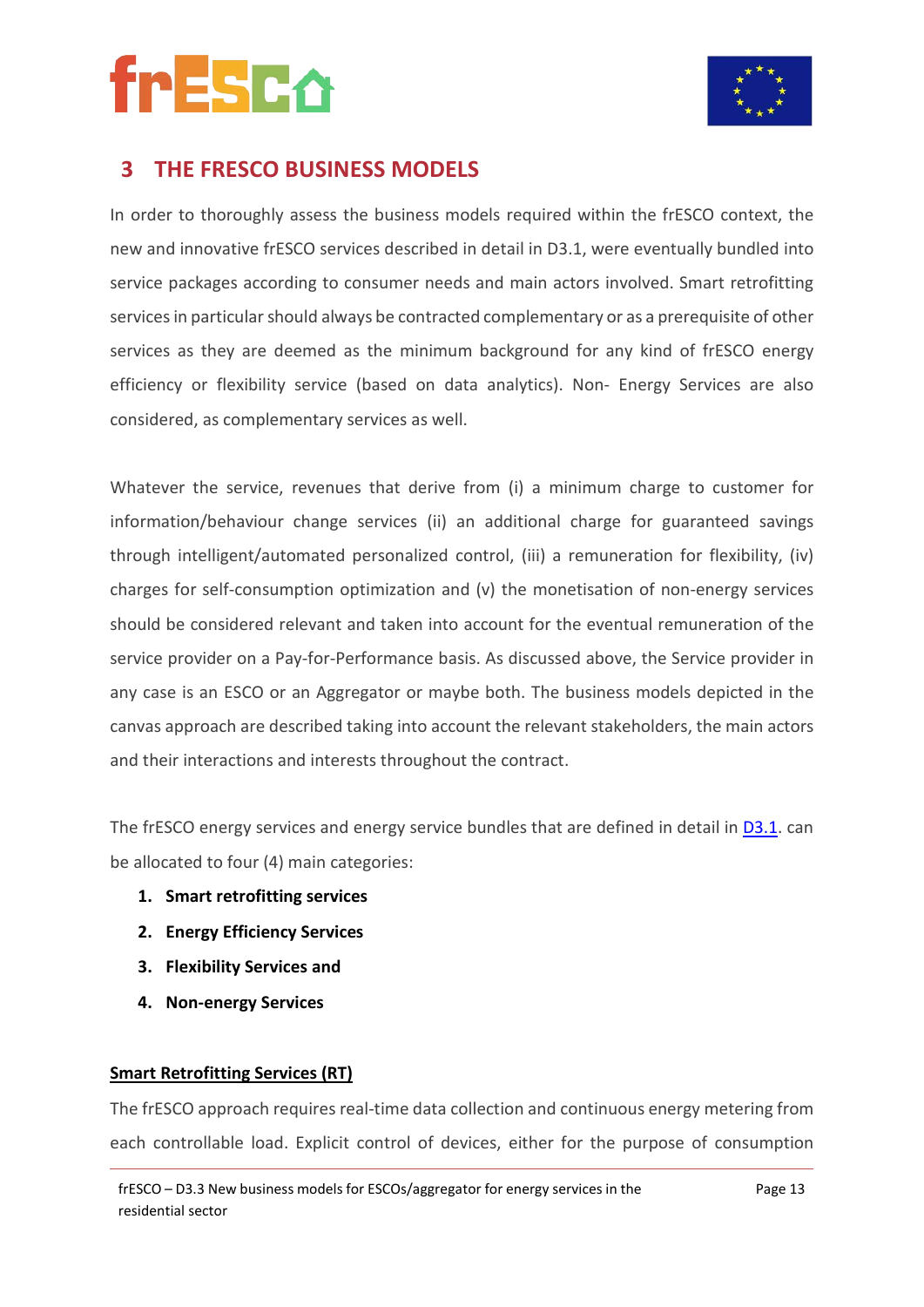



### **3 THE FRESCO BUSINESS MODELS**

In order to thoroughly assess the business models required within the frESCO context, the new and innovative frESCO services described in detail in D3.1, were eventually bundled into service packages according to consumer needs and main actors involved. Smart retrofitting services in particular should always be contracted complementary or as a prerequisite of other services as they are deemed as the minimum background for any kind of frESCO energy efficiency or flexibility service (based on data analytics). Non- Energy Services are also considered, as complementary services as well.

Whatever the service, revenues that derive from (i) a minimum charge to customer for information/behaviour change services (ii) an additional charge for guaranteed savings through intelligent/automated personalized control, (iii) a remuneration for flexibility, (iv) charges for self-consumption optimization and (v) the monetisation of non-energy services should be considered relevant and taken into account for the eventual remuneration of the service provider on a Pay-for-Performance basis. As discussed above, the Service provider in any case is an ESCO or an Aggregator or maybe both. The business models depicted in the canvas approach are described taking into account the relevant stakeholders, the main actors and their interactions and interests throughout the contract.

The frESCO energy services and energy service bundles that are defined in detail in [D3.1.](https://www.fresco-project.eu/wp-content/uploads/2021/04/Deliverable-3.1-Definition-of-the-novel-energy-services-for-residentialconsumers.pdf) can be allocated to four (4) main categories:

- **1. Smart retrofitting services**
- **2. Energy Efficiency Services**
- **3. Flexibility Services and**
- **4. Non-energy Services**

#### **Smart Retrofitting Services (RT)**

The frESCO approach requires real-time data collection and continuous energy metering from each controllable load. Explicit control of devices, either for the purpose of consumption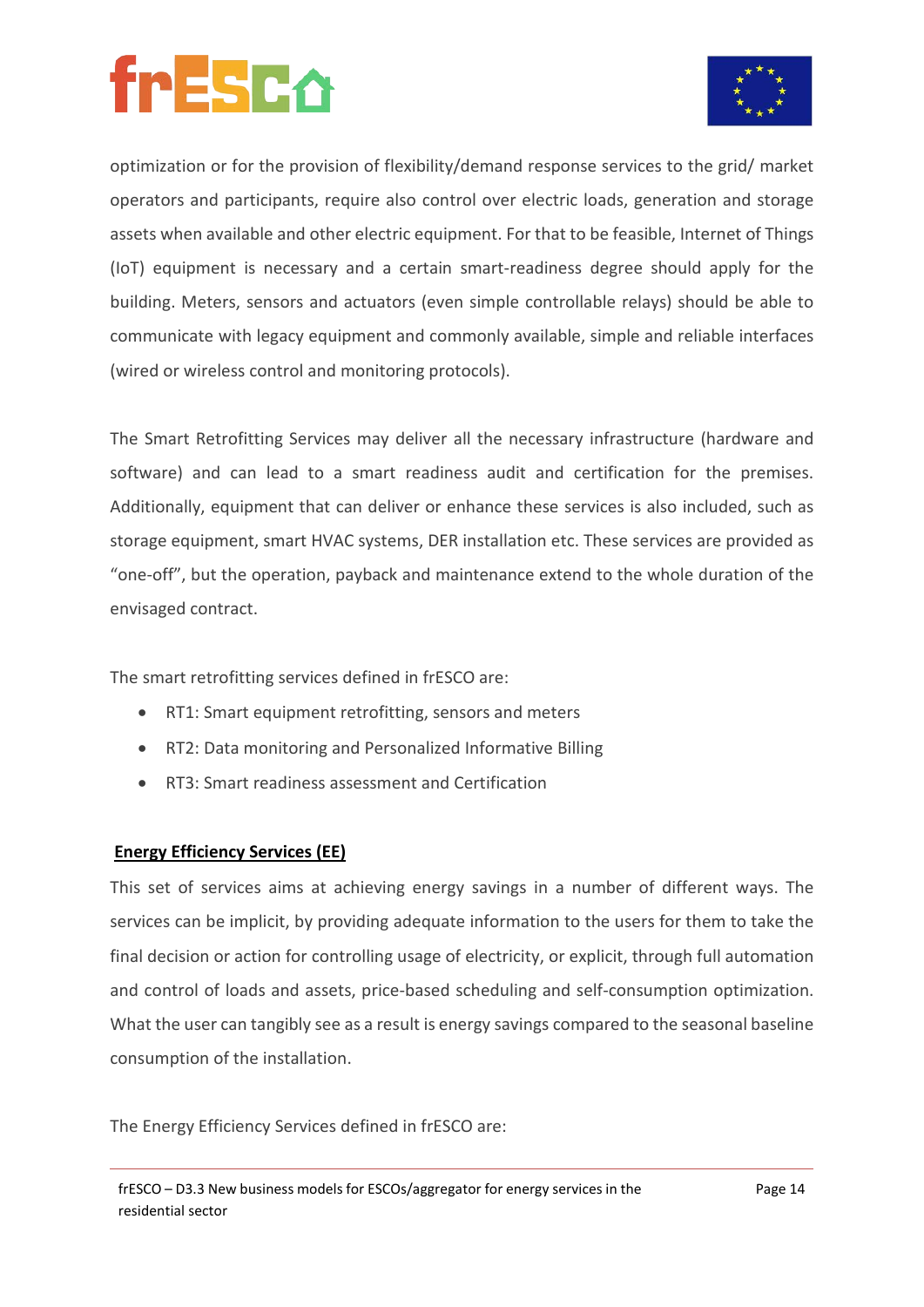

optimization or for the provision of flexibility/demand response services to the grid/ market operators and participants, require also control over electric loads, generation and storage assets when available and other electric equipment. For that to be feasible, Internet of Things (IoT) equipment is necessary and a certain smart-readiness degree should apply for the building. Meters, sensors and actuators (even simple controllable relays) should be able to communicate with legacy equipment and commonly available, simple and reliable interfaces (wired or wireless control and monitoring protocols).

The Smart Retrofitting Services may deliver all the necessary infrastructure (hardware and software) and can lead to a smart readiness audit and certification for the premises. Additionally, equipment that can deliver or enhance these services is also included, such as storage equipment, smart HVAC systems, DER installation etc. These services are provided as "one-off", but the operation, payback and maintenance extend to the whole duration of the envisaged contract.

The smart retrofitting services defined in frESCO are:

- RT1: Smart equipment retrofitting, sensors and meters
- RT2: Data monitoring and Personalized Informative Billing
- RT3: Smart readiness assessment and Certification

#### **Energy Efficiency Services (EE)**

This set of services aims at achieving energy savings in a number of different ways. The services can be implicit, by providing adequate information to the users for them to take the final decision or action for controlling usage of electricity, or explicit, through full automation and control of loads and assets, price-based scheduling and self-consumption optimization. What the user can tangibly see as a result is energy savings compared to the seasonal baseline consumption of the installation.

The Energy Efficiency Services defined in frESCO are: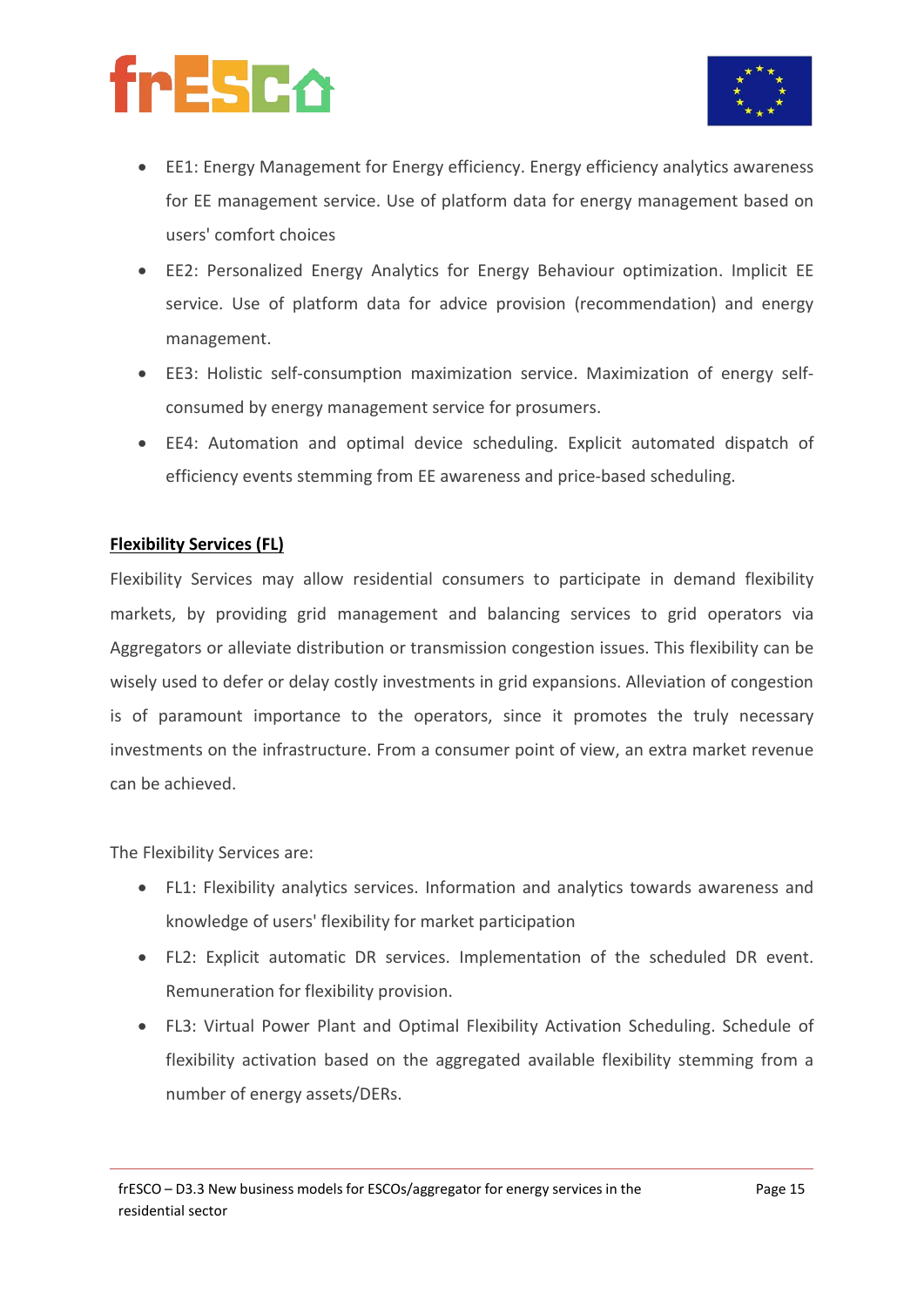

- EE1: Energy Management for Energy efficiency. Energy efficiency analytics awareness for EE management service. Use of platform data for energy management based on users' comfort choices
- EE2: Personalized Energy Analytics for Energy Behaviour optimization. Implicit EE service. Use of platform data for advice provision (recommendation) and energy management.
- EE3: Holistic self-consumption maximization service. Maximization of energy selfconsumed by energy management service for prosumers.
- EE4: Automation and optimal device scheduling. Explicit automated dispatch of efficiency events stemming from EE awareness and price-based scheduling.

#### **Flexibility Services (FL)**

Flexibility Services may allow residential consumers to participate in demand flexibility markets, by providing grid management and balancing services to grid operators via Aggregators or alleviate distribution or transmission congestion issues. This flexibility can be wisely used to defer or delay costly investments in grid expansions. Alleviation of congestion is of paramount importance to the operators, since it promotes the truly necessary investments on the infrastructure. From a consumer point of view, an extra market revenue can be achieved.

The Flexibility Services are:

- FL1: Flexibility analytics services. Information and analytics towards awareness and knowledge of users' flexibility for market participation
- FL2: Explicit automatic DR services. Implementation of the scheduled DR event. Remuneration for flexibility provision.
- FL3: Virtual Power Plant and Optimal Flexibility Activation Scheduling. Schedule of flexibility activation based on the aggregated available flexibility stemming from a number of energy assets/DERs.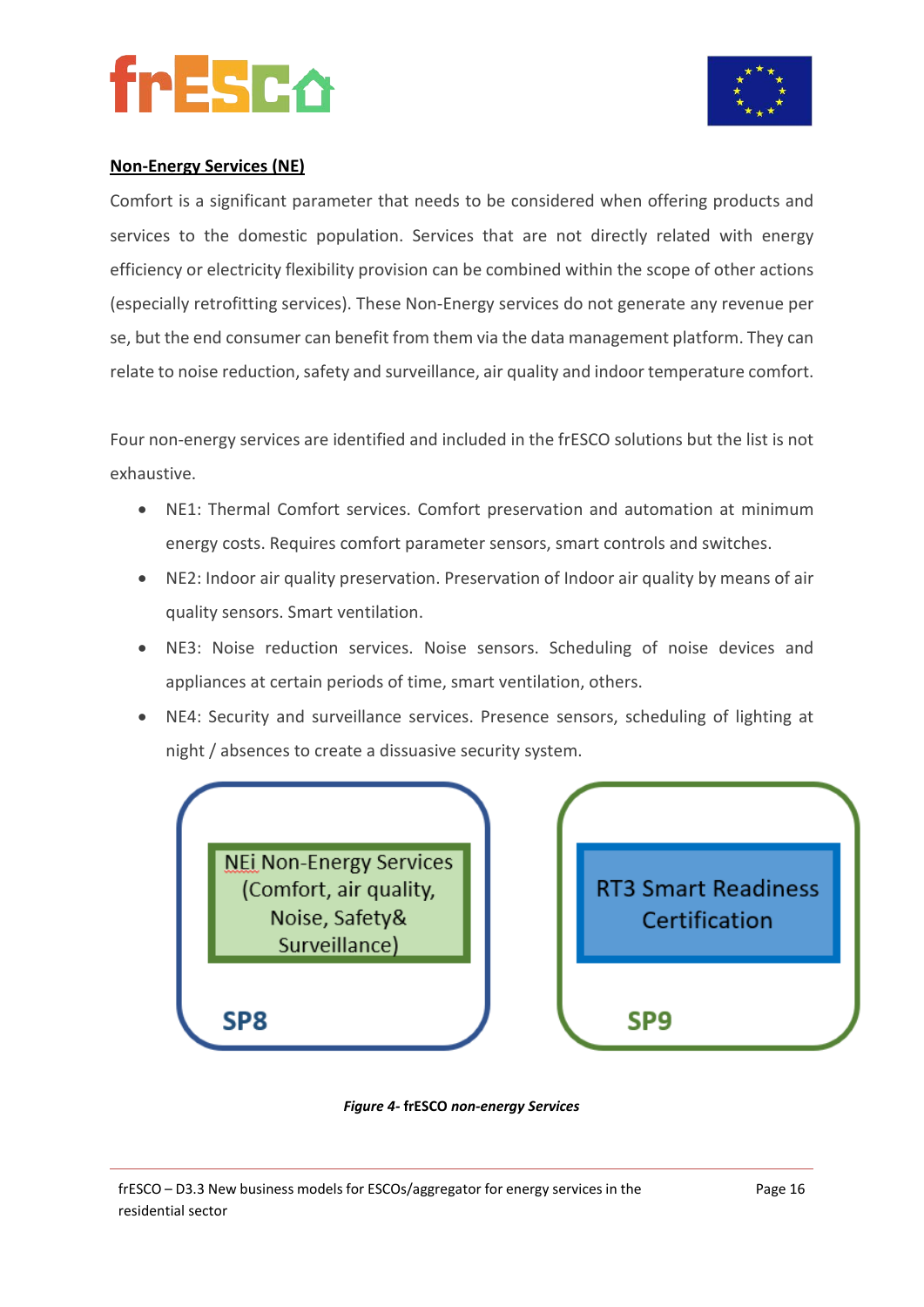



#### **Non-Energy Services (NE)**

Comfort is a significant parameter that needs to be considered when offering products and services to the domestic population. Services that are not directly related with energy efficiency or electricity flexibility provision can be combined within the scope of other actions (especially retrofitting services). These Non-Energy services do not generate any revenue per se, but the end consumer can benefit from them via the data management platform. They can relate to noise reduction, safety and surveillance, air quality and indoor temperature comfort.

Four non-energy services are identified and included in the frESCO solutions but the list is not exhaustive.

- NE1: Thermal Comfort services. Comfort preservation and automation at minimum energy costs. Requires comfort parameter sensors, smart controls and switches.
- NE2: Indoor air quality preservation. Preservation of Indoor air quality by means of air quality sensors. Smart ventilation.
- NE3: Noise reduction services. Noise sensors. Scheduling of noise devices and appliances at certain periods of time, smart ventilation, others.
- NE4: Security and surveillance services. Presence sensors, scheduling of lighting at night / absences to create a dissuasive security system.



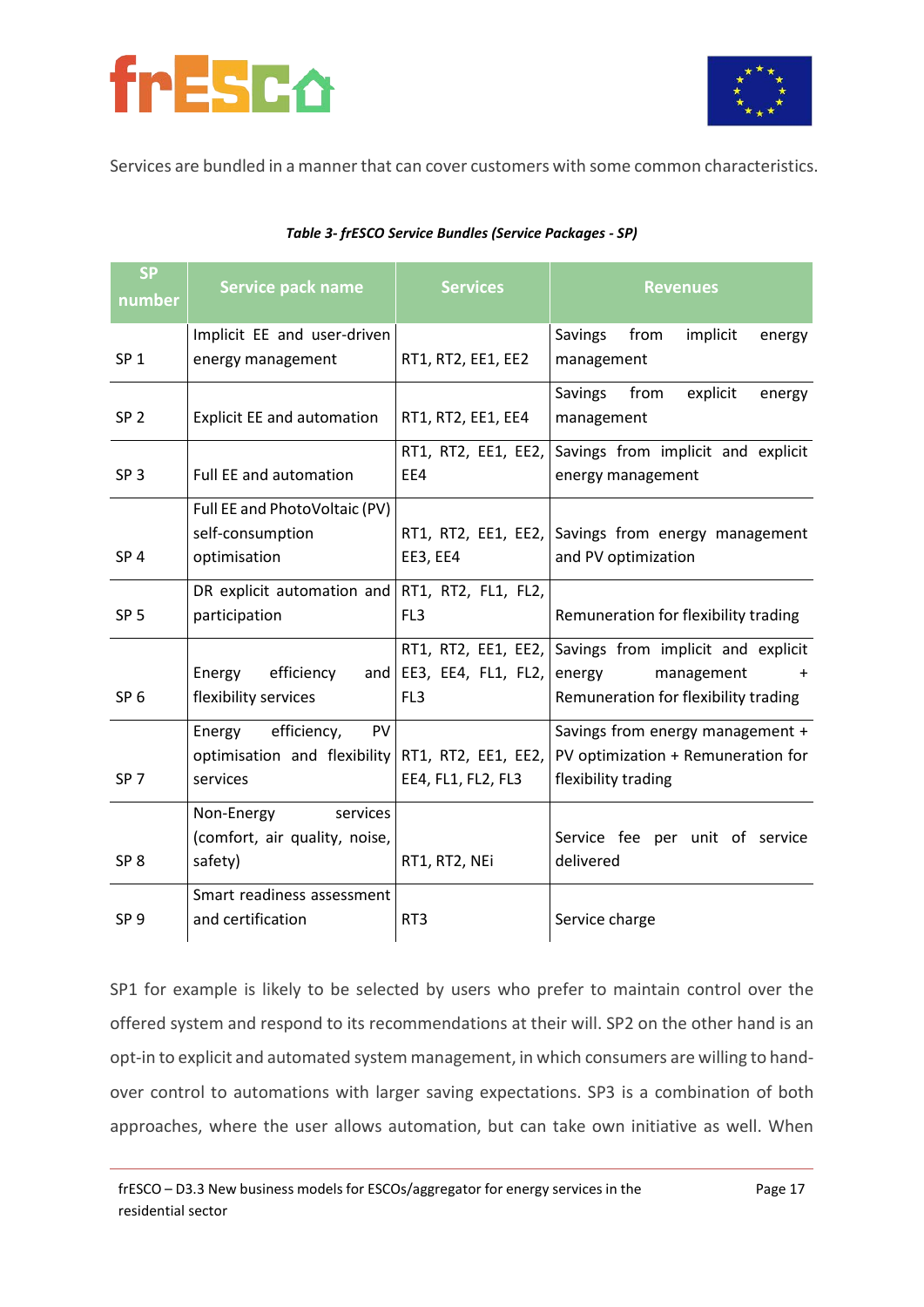



Services are bundled in a manner that can cover customers with some common characteristics.

| <b>SP</b><br>number | <b>Service pack name</b>                                                | <b>Services</b>                                               | <b>Revenues</b>                                                                                                 |
|---------------------|-------------------------------------------------------------------------|---------------------------------------------------------------|-----------------------------------------------------------------------------------------------------------------|
| SP <sub>1</sub>     | Implicit EE and user-driven<br>energy management                        | RT1, RT2, EE1, EE2                                            | Savings<br>from<br>implicit<br>energy<br>management                                                             |
| SP <sub>2</sub>     | <b>Explicit EE and automation</b>                                       | RT1, RT2, EE1, EE4                                            | Savings<br>from<br>explicit<br>energy<br>management                                                             |
| SP <sub>3</sub>     | Full EE and automation                                                  | RT1, RT2, EE1, EE2,<br>EE4                                    | Savings from implicit and explicit<br>energy management                                                         |
| SP <sub>4</sub>     | Full EE and PhotoVoltaic (PV)<br>self-consumption<br>optimisation       | EE3, EE4                                                      | RT1, RT2, EE1, EE2, Savings from energy management<br>and PV optimization                                       |
| SP <sub>5</sub>     | DR explicit automation and<br>participation                             | RT1, RT2, FL1, FL2,<br>FL <sub>3</sub>                        | Remuneration for flexibility trading                                                                            |
| SP <sub>6</sub>     | Energy<br>efficiency<br>and<br>flexibility services                     | RT1, RT2, EE1, EE2,<br>EE3, EE4, FL1, FL2,<br>FL <sub>3</sub> | Savings from implicit and explicit<br>management<br>energy<br>$\ddot{}$<br>Remuneration for flexibility trading |
| SP <sub>7</sub>     | efficiency,<br>PV<br>Energy<br>optimisation and flexibility<br>services | RT1, RT2, EE1, EE2,<br>EE4, FL1, FL2, FL3                     | Savings from energy management +<br>PV optimization + Remuneration for<br>flexibility trading                   |
| SP <sub>8</sub>     | Non-Energy<br>services<br>(comfort, air quality, noise,<br>safety)      | RT1, RT2, NEi                                                 | Service fee per unit of service<br>delivered                                                                    |
| SP <sub>9</sub>     | Smart readiness assessment<br>and certification                         | RT <sub>3</sub>                                               | Service charge                                                                                                  |

#### *Table 3- frESCO Service Bundles (Service Packages - SP)*

SP1 for example is likely to be selected by users who prefer to maintain control over the offered system and respond to its recommendations at their will. SP2 on the other hand is an opt-in to explicit and automated system management, in which consumers are willing to handover control to automations with larger saving expectations. SP3 is a combination of both approaches, where the user allows automation, but can take own initiative as well. When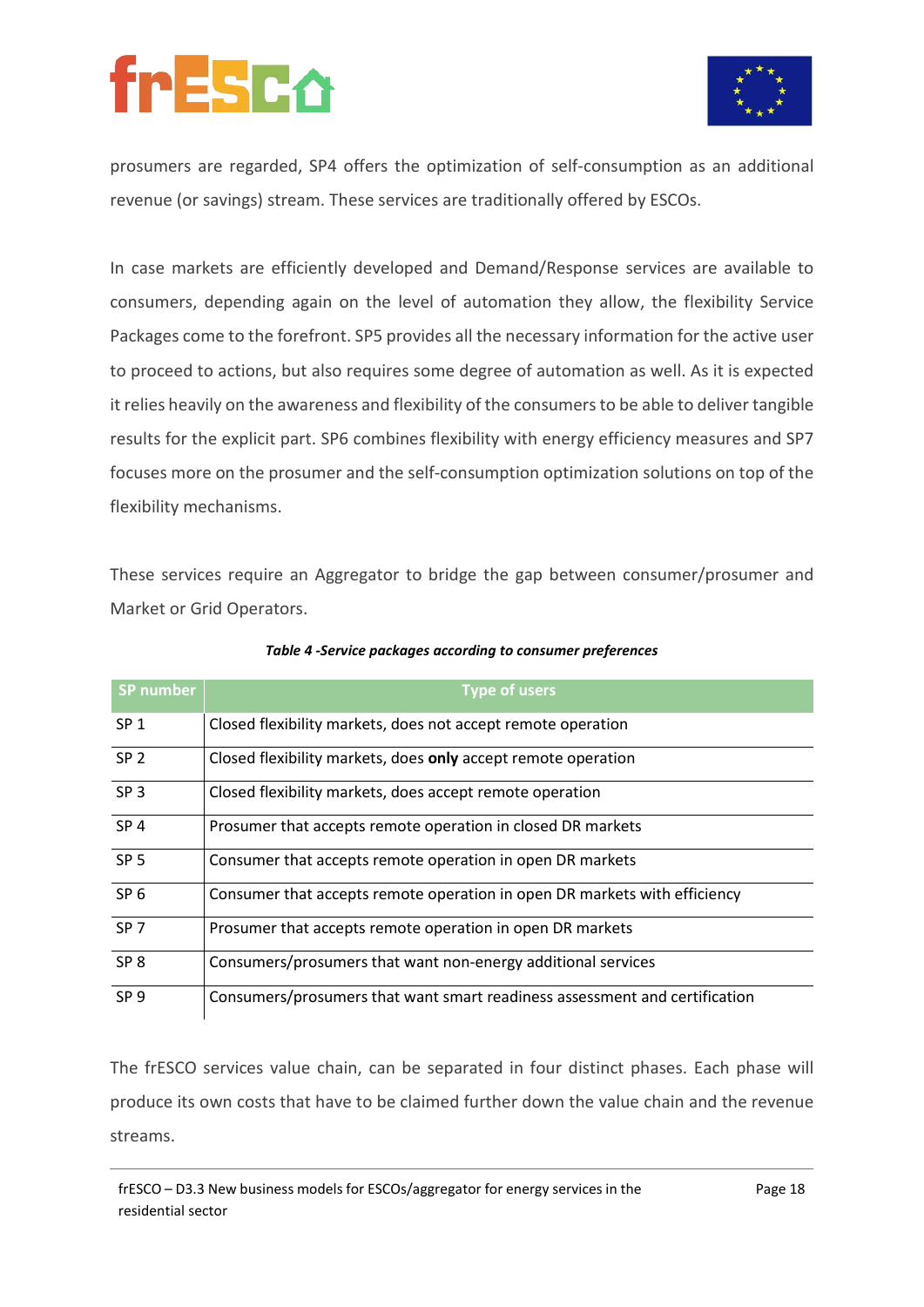

prosumers are regarded, SP4 offers the optimization of self-consumption as an additional revenue (or savings) stream. These services are traditionally offered by ESCOs.

In case markets are efficiently developed and Demand/Response services are available to consumers, depending again on the level of automation they allow, the flexibility Service Packages come to the forefront. SP5 provides all the necessary information for the active user to proceed to actions, but also requires some degree of automation as well. As it is expected it relies heavily on the awareness and flexibility of the consumers to be able to deliver tangible results for the explicit part. SP6 combines flexibility with energy efficiency measures and SP7 focuses more on the prosumer and the self-consumption optimization solutions on top of the flexibility mechanisms.

These services require an Aggregator to bridge the gap between consumer/prosumer and Market or Grid Operators.

| <b>SP number</b> | <b>Type of users</b>                                                       |
|------------------|----------------------------------------------------------------------------|
| SP <sub>1</sub>  | Closed flexibility markets, does not accept remote operation               |
| SP <sub>2</sub>  | Closed flexibility markets, does only accept remote operation              |
| SP <sub>3</sub>  | Closed flexibility markets, does accept remote operation                   |
| SP <sub>4</sub>  | Prosumer that accepts remote operation in closed DR markets                |
| SP <sub>5</sub>  | Consumer that accepts remote operation in open DR markets                  |
| SP <sub>6</sub>  | Consumer that accepts remote operation in open DR markets with efficiency  |
| SP <sub>7</sub>  | Prosumer that accepts remote operation in open DR markets                  |
| SP <sub>8</sub>  | Consumers/prosumers that want non-energy additional services               |
| SP <sub>9</sub>  | Consumers/prosumers that want smart readiness assessment and certification |

#### *Table 4 -Service packages according to consumer preferences*

The frESCO services value chain, can be separated in four distinct phases. Each phase will produce its own costs that have to be claimed further down the value chain and the revenue streams.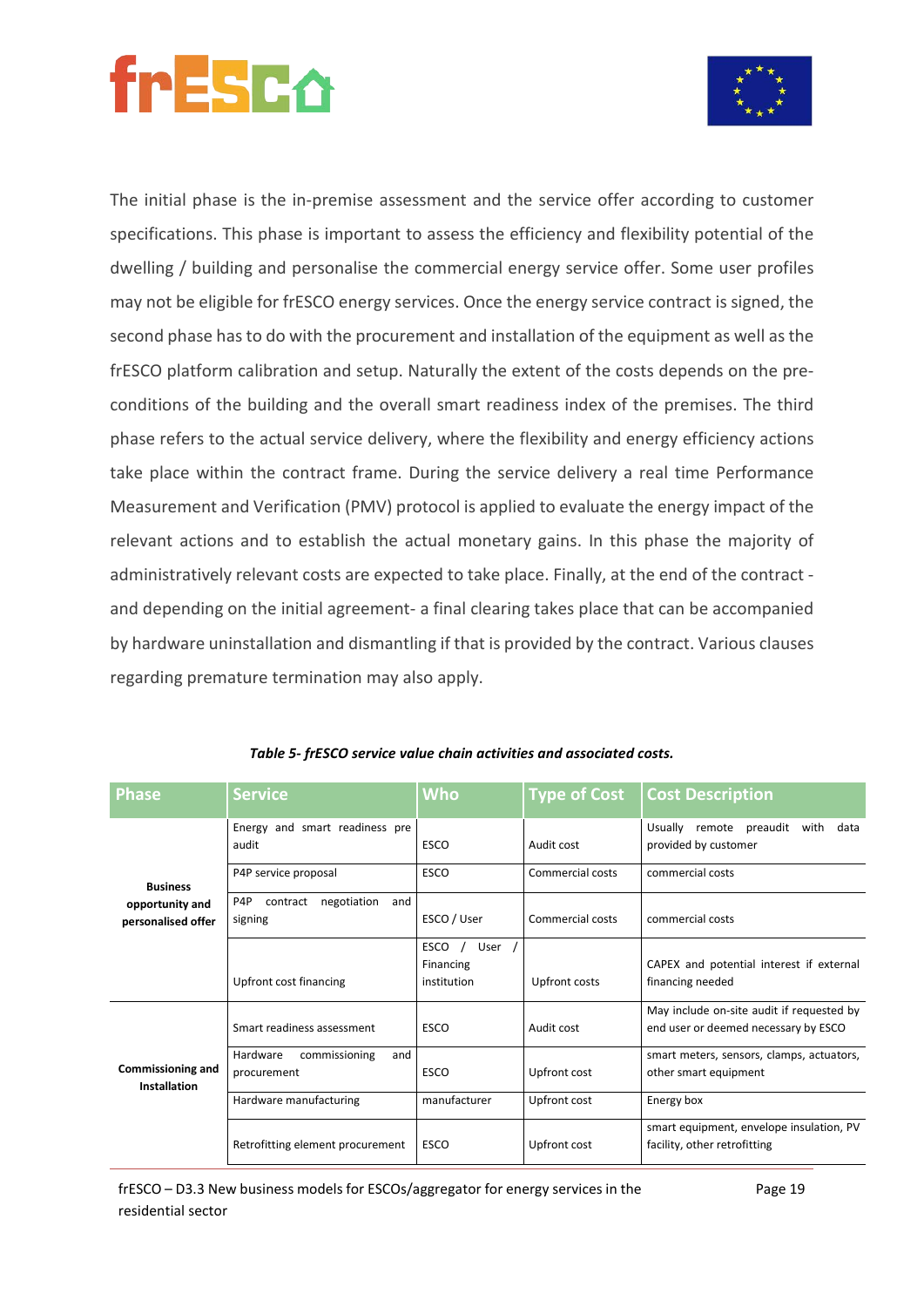

The initial phase is the in-premise assessment and the service offer according to customer specifications. This phase is important to assess the efficiency and flexibility potential of the dwelling / building and personalise the commercial energy service offer. Some user profiles may not be eligible for frESCO energy services. Once the energy service contract is signed, the second phase has to do with the procurement and installation of the equipment as well as the frESCO platform calibration and setup. Naturally the extent of the costs depends on the preconditions of the building and the overall smart readiness index of the premises. The third phase refers to the actual service delivery, where the flexibility and energy efficiency actions take place within the contract frame. During the service delivery a real time Performance Measurement and Verification (PMV) protocol is applied to evaluate the energy impact of the relevant actions and to establish the actual monetary gains. In this phase the majority of administratively relevant costs are expected to take place. Finally, at the end of the contract and depending on the initial agreement- a final clearing takes place that can be accompanied by hardware uninstallation and dismantling if that is provided by the contract. Various clauses regarding premature termination may also apply.

| Phase                                    | <b>Service</b>                                   | <b>Who</b>                                      | <b>Type of Cost</b> | <b>Cost Description</b>                                                           |  |
|------------------------------------------|--------------------------------------------------|-------------------------------------------------|---------------------|-----------------------------------------------------------------------------------|--|
|                                          | Energy and smart readiness pre<br>audit          | <b>ESCO</b>                                     | Audit cost          | Usually<br>remote<br>preaudit<br>with<br>data<br>provided by customer             |  |
| <b>Business</b>                          | P4P service proposal                             | ESCO                                            | Commercial costs    | commercial costs                                                                  |  |
| opportunity and<br>personalised offer    | P4P<br>negotiation<br>contract<br>and<br>signing | ESCO / User                                     | Commercial costs    | commercial costs                                                                  |  |
|                                          | Upfront cost financing                           | <b>ESCO</b><br>User<br>Financing<br>institution | Upfront costs       | CAPEX and potential interest if external<br>financing needed                      |  |
| <b>Commissioning and</b><br>Installation | Smart readiness assessment                       | <b>ESCO</b>                                     | Audit cost          | May include on-site audit if requested by<br>end user or deemed necessary by ESCO |  |
|                                          | Hardware<br>commissioning<br>and<br>procurement  | <b>ESCO</b>                                     | Upfront cost        | smart meters, sensors, clamps, actuators,<br>other smart equipment                |  |
|                                          | Hardware manufacturing                           | manufacturer                                    | Upfront cost        | Energy box                                                                        |  |
|                                          | Retrofitting element procurement                 | <b>ESCO</b>                                     | Upfront cost        | smart equipment, envelope insulation, PV<br>facility, other retrofitting          |  |

*Table 5- frESCO service value chain activities and associated costs.*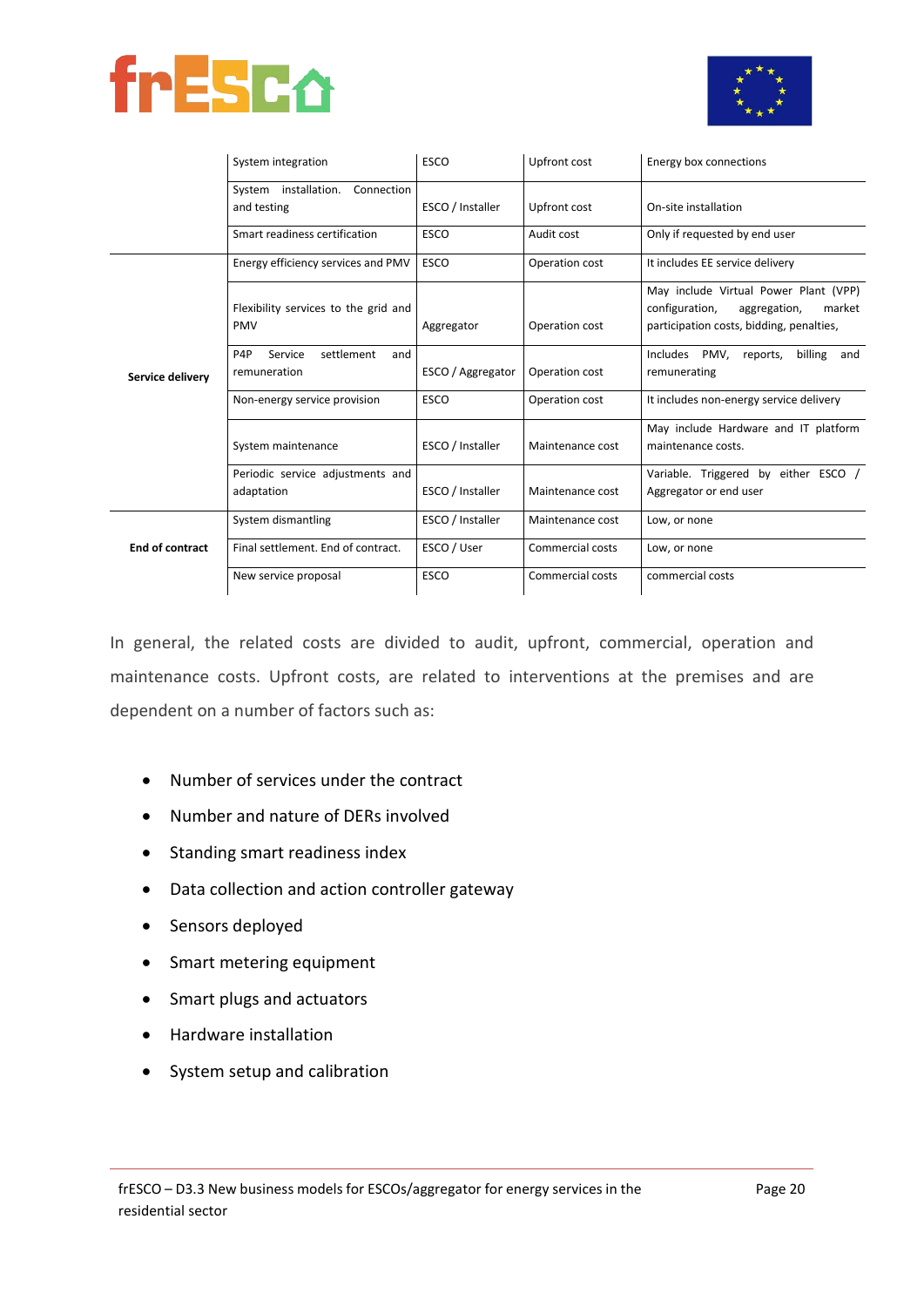



|                        | System integration                                               | <b>ESCO</b>       | Upfront cost     | Energy box connections                                                                                                        |
|------------------------|------------------------------------------------------------------|-------------------|------------------|-------------------------------------------------------------------------------------------------------------------------------|
|                        | System installation.<br>Connection<br>and testing                | ESCO / Installer  | Upfront cost     | On-site installation                                                                                                          |
|                        | Smart readiness certification                                    | <b>ESCO</b>       | Audit cost       | Only if requested by end user                                                                                                 |
|                        | Energy efficiency services and PMV                               | <b>ESCO</b>       | Operation cost   | It includes EE service delivery                                                                                               |
| Service delivery       | Flexibility services to the grid and<br><b>PMV</b>               | Aggregator        | Operation cost   | May include Virtual Power Plant (VPP)<br>configuration,<br>aggregation,<br>market<br>participation costs, bidding, penalties, |
|                        | settlement<br>P <sub>4</sub> P<br>Service<br>and<br>remuneration | ESCO / Aggregator | Operation cost   | Includes<br>PMV,<br>billing<br>reports,<br>and<br>remunerating                                                                |
|                        | Non-energy service provision                                     | <b>ESCO</b>       | Operation cost   | It includes non-energy service delivery                                                                                       |
|                        | System maintenance                                               | ESCO / Installer  | Maintenance cost | May include Hardware and IT platform<br>maintenance costs.                                                                    |
|                        | Periodic service adjustments and<br>adaptation                   | ESCO / Installer  | Maintenance cost | Variable. Triggered by either ESCO /<br>Aggregator or end user                                                                |
|                        | System dismantling                                               | ESCO / Installer  | Maintenance cost | Low, or none                                                                                                                  |
| <b>End of contract</b> | Final settlement. End of contract.                               | ESCO / User       | Commercial costs | Low, or none                                                                                                                  |
|                        | New service proposal                                             | <b>ESCO</b>       | Commercial costs | commercial costs                                                                                                              |

In general, the related costs are divided to audit, upfront, commercial, operation and maintenance costs. Upfront costs, are related to interventions at the premises and are dependent on a number of factors such as:

- Number of services under the contract
- Number and nature of DERs involved
- Standing smart readiness index
- Data collection and action controller gateway
- Sensors deployed
- Smart metering equipment
- Smart plugs and actuators
- Hardware installation
- System setup and calibration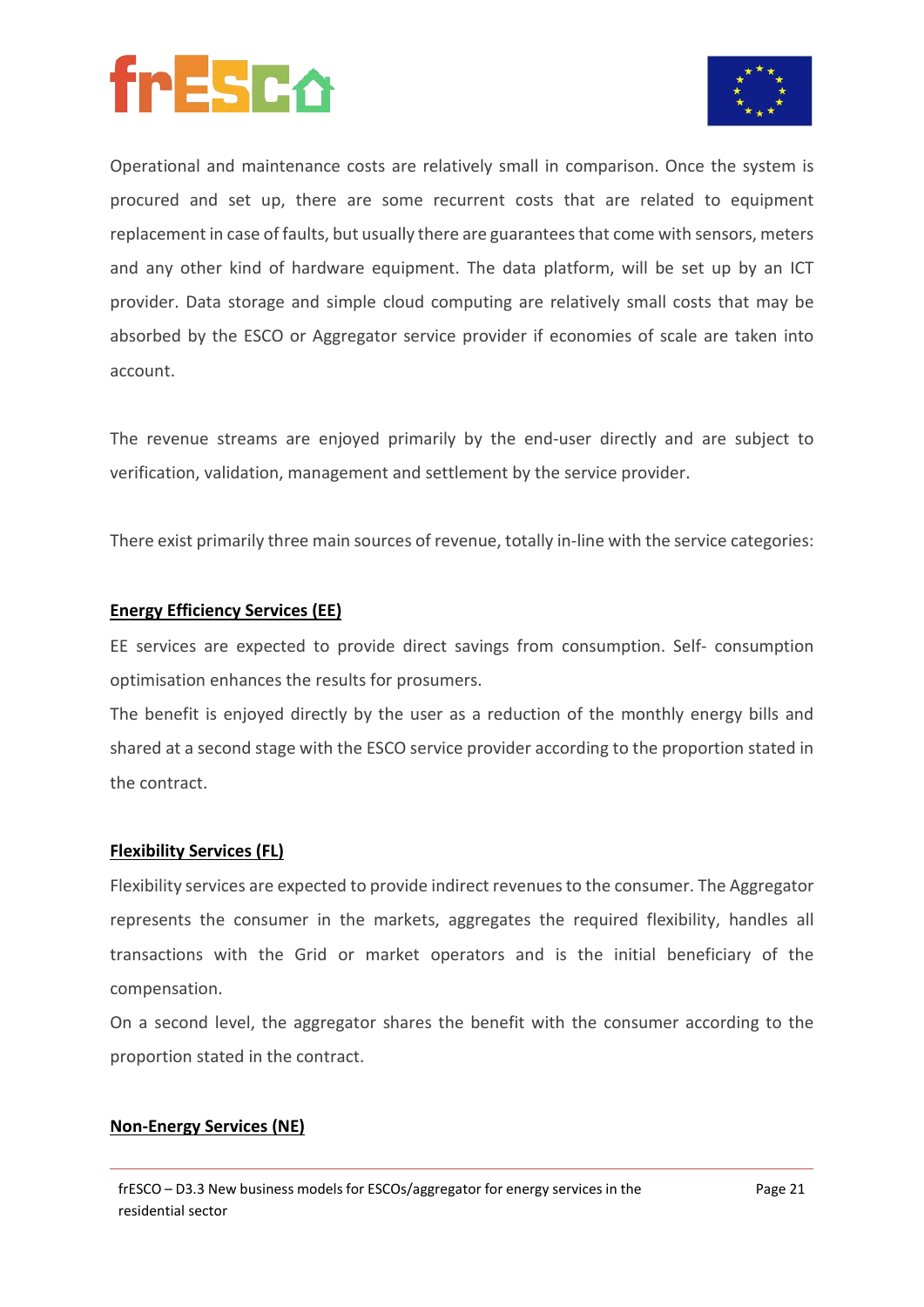



Operational and maintenance costs are relatively small in comparison. Once the system is procured and set up, there are some recurrent costs that are related to equipment replacement in case of faults, but usually there are guarantees that come with sensors, meters and any other kind of hardware equipment. The data platform, will be set up by an ICT provider. Data storage and simple cloud computing are relatively small costs that may be absorbed by the ESCO or Aggregator service provider if economies of scale are taken into account.

The revenue streams are enjoyed primarily by the end-user directly and are subject to verification, validation, management and settlement by the service provider.

There exist primarily three main sources of revenue, totally in-line with the service categories:

#### **Energy Efficiency Services (EE)**

EE services are expected to provide direct savings from consumption. Self- consumption optimisation enhances the results for prosumers.

The benefit is enjoyed directly by the user as a reduction of the monthly energy bills and shared at a second stage with the ESCO service provider according to the proportion stated in the contract.

#### **Flexibility Services (FL)**

Flexibility services are expected to provide indirect revenues to the consumer. The Aggregator represents the consumer in the markets, aggregates the required flexibility, handles all transactions with the Grid or market operators and is the initial beneficiary of the compensation.

On a second level, the aggregator shares the benefit with the consumer according to the proportion stated in the contract.

#### **Non-Energy Services (NE)**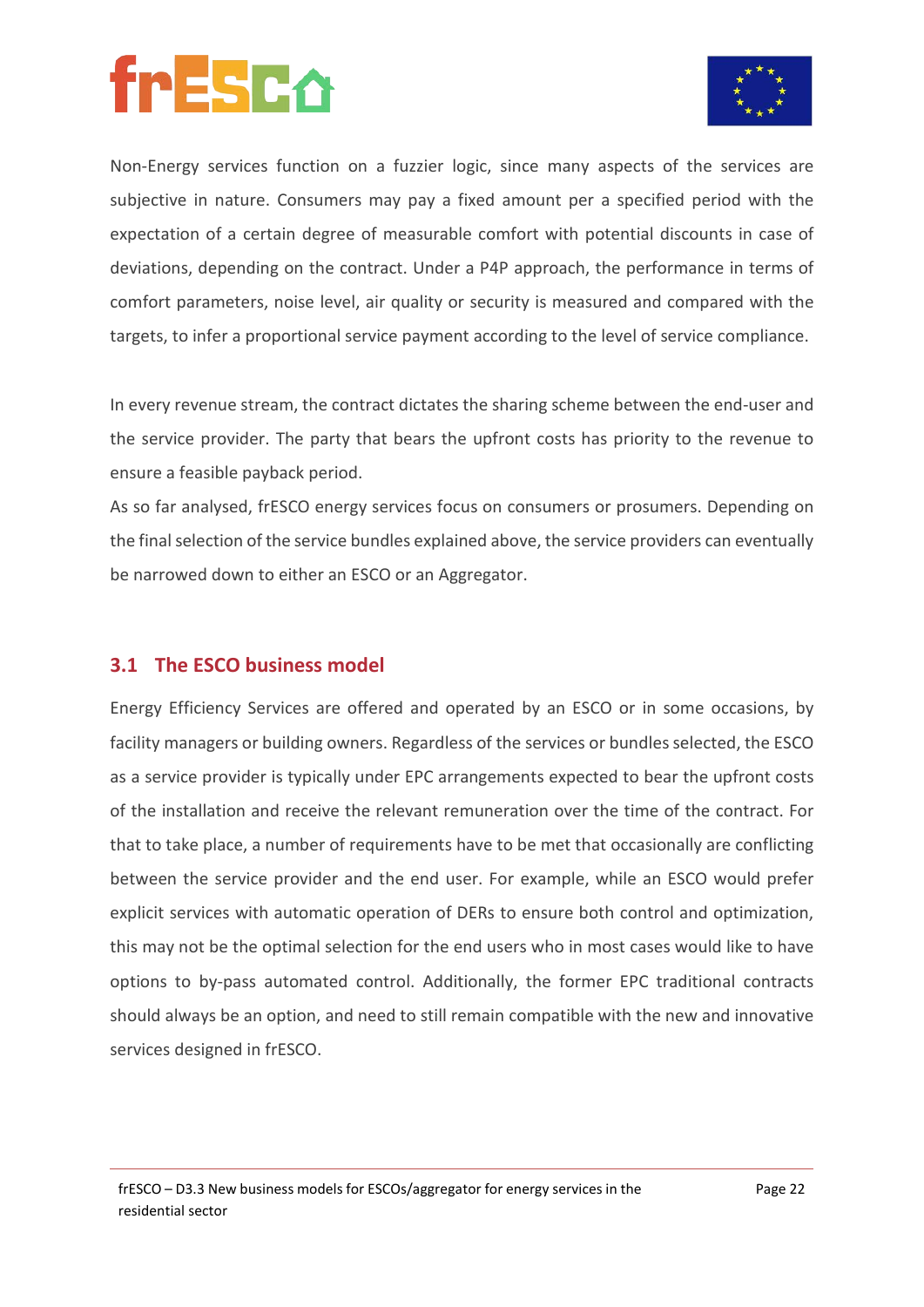

Non-Energy services function on a fuzzier logic, since many aspects of the services are subjective in nature. Consumers may pay a fixed amount per a specified period with the expectation of a certain degree of measurable comfort with potential discounts in case of deviations, depending on the contract. Under a P4P approach, the performance in terms of comfort parameters, noise level, air quality or security is measured and compared with the targets, to infer a proportional service payment according to the level of service compliance.

In every revenue stream, the contract dictates the sharing scheme between the end-user and the service provider. The party that bears the upfront costs has priority to the revenue to ensure a feasible payback period.

As so far analysed, frESCO energy services focus on consumers or prosumers. Depending on the final selection of the service bundles explained above, the service providers can eventually be narrowed down to either an ESCO or an Aggregator.

#### **3.1 The ESCO business model**

Energy Efficiency Services are offered and operated by an ESCO or in some occasions, by facility managers or building owners. Regardless of the services or bundles selected, the ESCO as a service provider is typically under EPC arrangements expected to bear the upfront costs of the installation and receive the relevant remuneration over the time of the contract. For that to take place, a number of requirements have to be met that occasionally are conflicting between the service provider and the end user. For example, while an ESCO would prefer explicit services with automatic operation of DERs to ensure both control and optimization, this may not be the optimal selection for the end users who in most cases would like to have options to by-pass automated control. Additionally, the former EPC traditional contracts should always be an option, and need to still remain compatible with the new and innovative services designed in frESCO.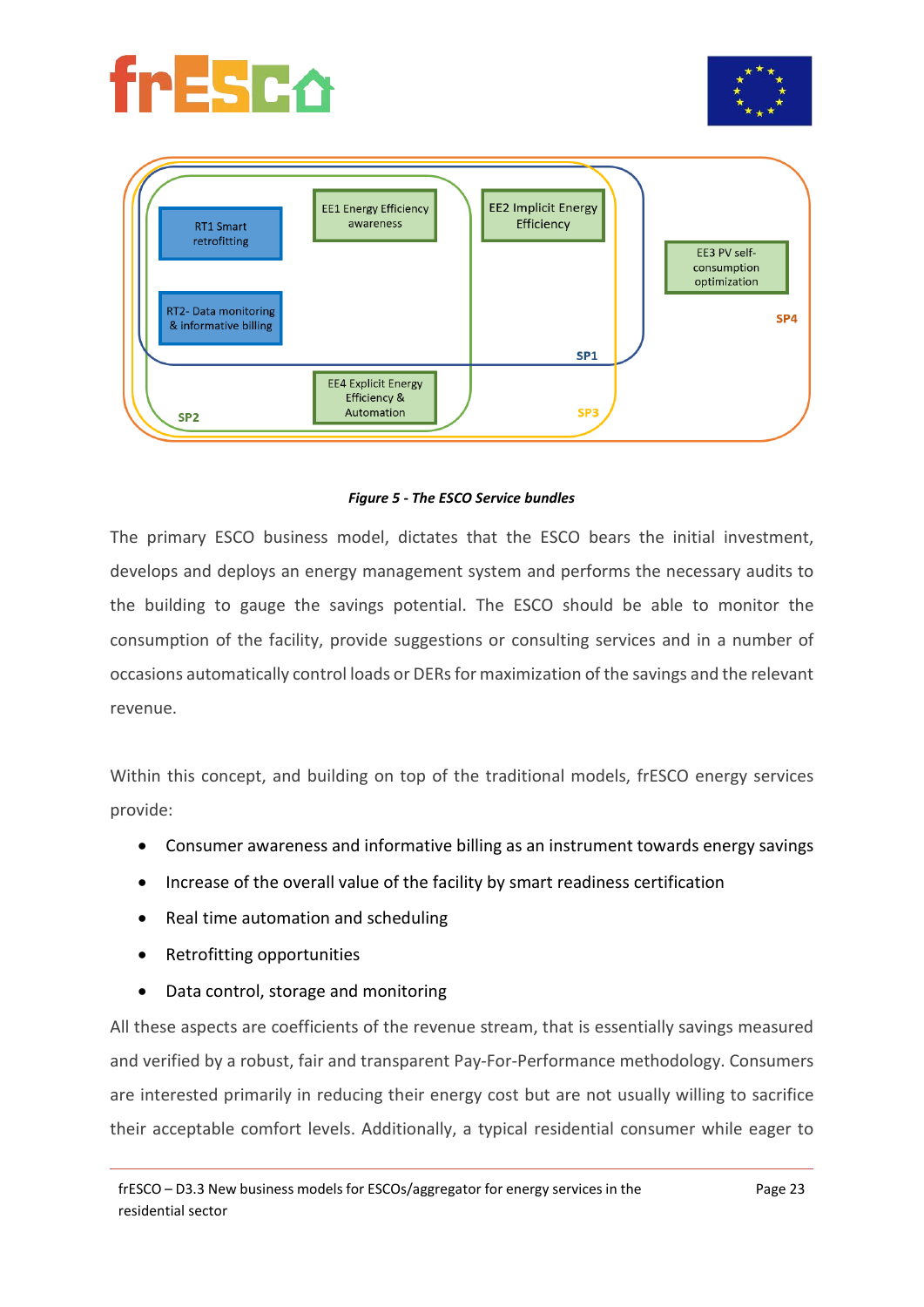





#### *Figure 5 - The ESCO Service bundles*

The primary ESCO business model, dictates that the ESCO bears the initial investment, develops and deploys an energy management system and performs the necessary audits to the building to gauge the savings potential. The ESCO should be able to monitor the consumption of the facility, provide suggestions or consulting services and in a number of occasions automatically control loads or DERs for maximization of the savings and the relevant revenue.

Within this concept, and building on top of the traditional models, frESCO energy services provide:

- Consumer awareness and informative billing as an instrument towards energy savings
- Increase of the overall value of the facility by smart readiness certification
- Real time automation and scheduling
- Retrofitting opportunities
- Data control, storage and monitoring

All these aspects are coefficients of the revenue stream, that is essentially savings measured and verified by a robust, fair and transparent Pay-For-Performance methodology. Consumers are interested primarily in reducing their energy cost but are not usually willing to sacrifice their acceptable comfort levels. Additionally, a typical residential consumer while eager to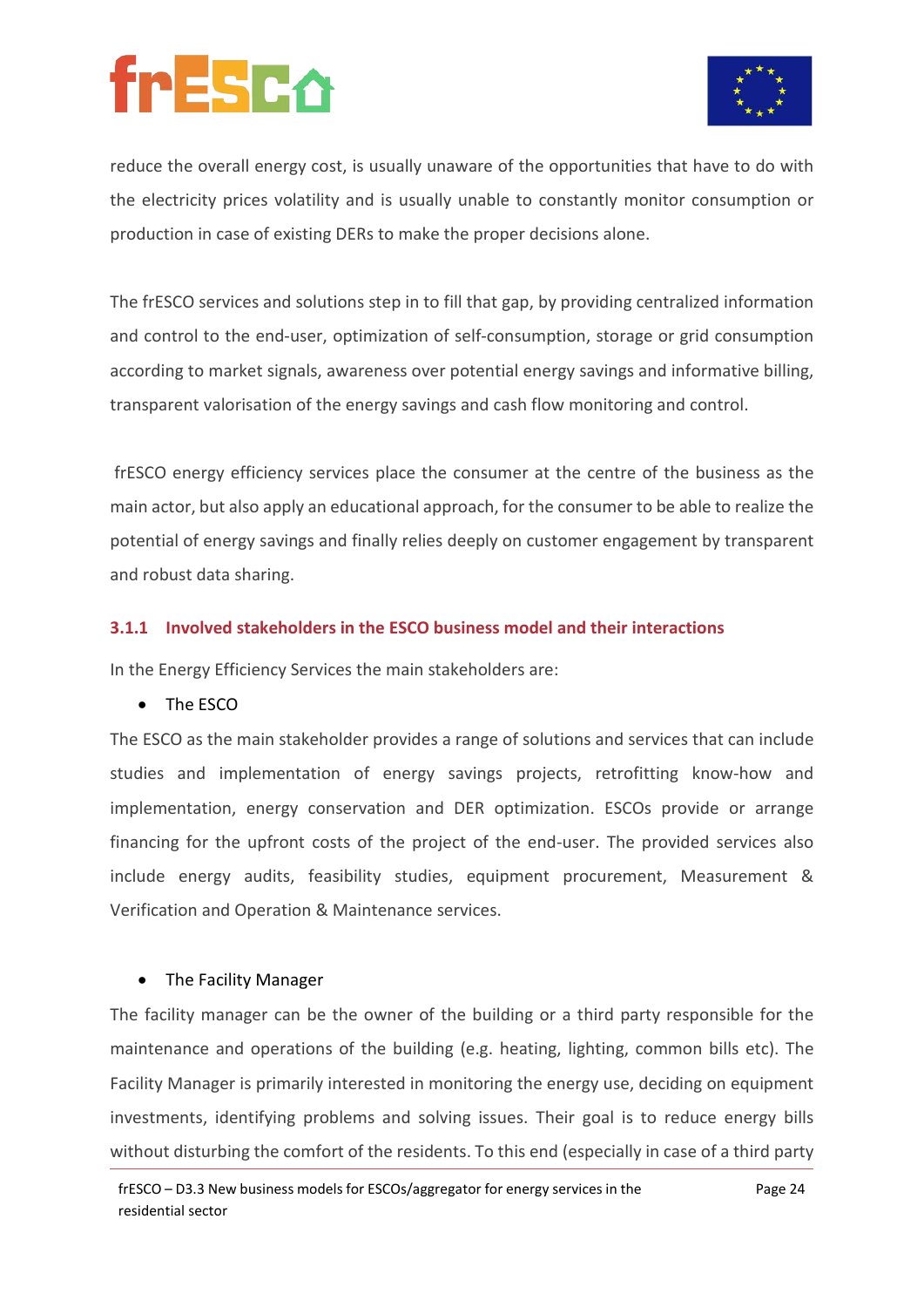

reduce the overall energy cost, is usually unaware of the opportunities that have to do with the electricity prices volatility and is usually unable to constantly monitor consumption or production in case of existing DERs to make the proper decisions alone.

The frESCO services and solutions step in to fill that gap, by providing centralized information and control to the end-user, optimization of self-consumption, storage or grid consumption according to market signals, awareness over potential energy savings and informative billing, transparent valorisation of the energy savings and cash flow monitoring and control.

frESCO energy efficiency services place the consumer at the centre of the business as the main actor, but also apply an educational approach, for the consumer to be able to realize the potential of energy savings and finally relies deeply on customer engagement by transparent and robust data sharing.

#### **3.1.1 Involved stakeholders in the ESCO business model and their interactions**

In the Energy Efficiency Services the main stakeholders are:

• The ESCO

The ESCO as the main stakeholder provides a range of solutions and services that can include studies and implementation of energy savings projects, retrofitting know-how and implementation, energy conservation and DER optimization. ESCOs provide or arrange financing for the upfront costs of the project of the end-user. The provided services also include energy audits, feasibility studies, equipment procurement, Measurement & Verification and Operation & Maintenance services.

#### • The Facility Manager

The facility manager can be the owner of the building or a third party responsible for the maintenance and operations of the building (e.g. heating, lighting, common bills etc). The Facility Manager is primarily interested in monitoring the energy use, deciding on equipment investments, identifying problems and solving issues. Their goal is to reduce energy bills without disturbing the comfort of the residents. To this end (especially in case of a third party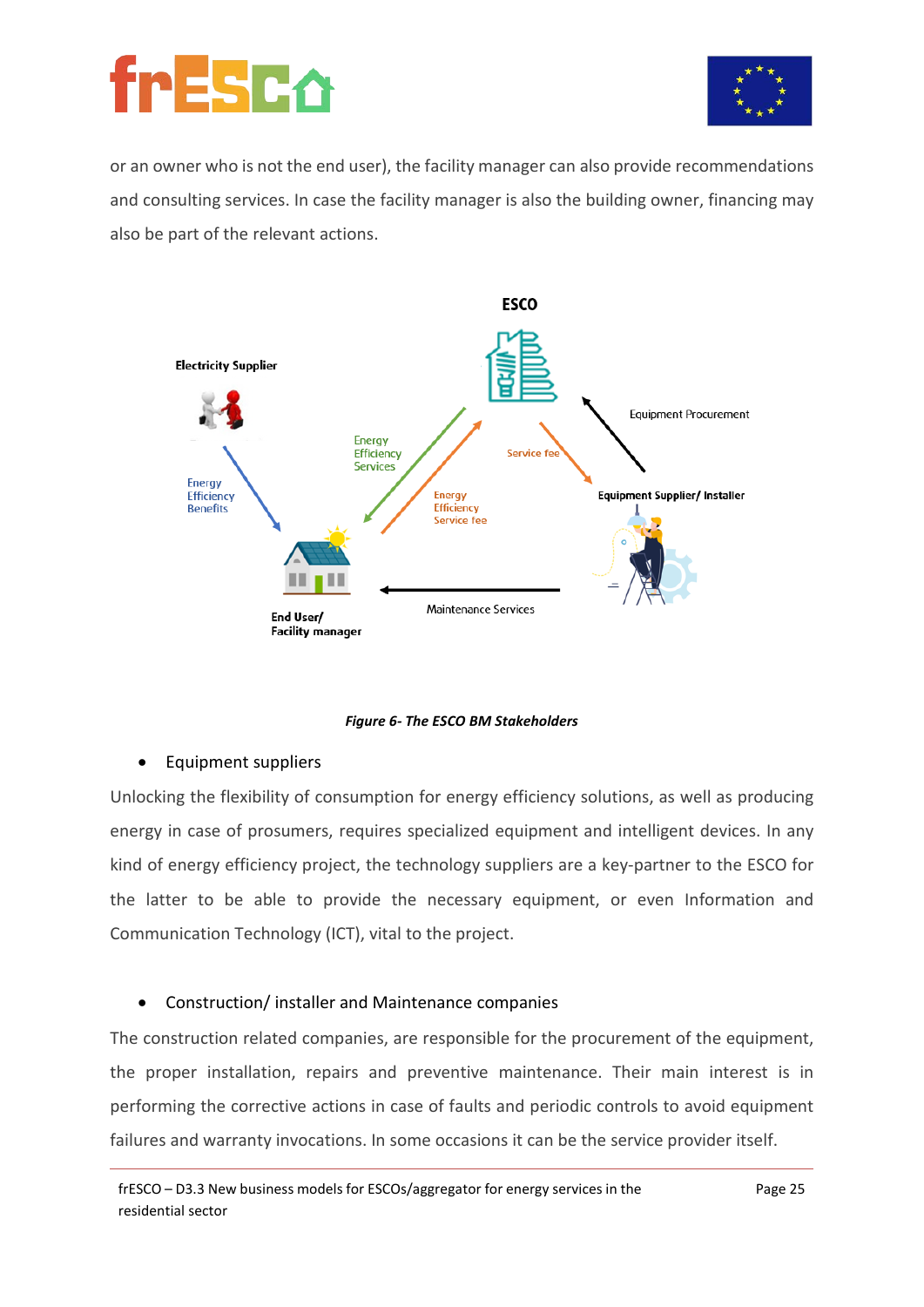



or an owner who is not the end user), the facility manager can also provide recommendations and consulting services. In case the facility manager is also the building owner, financing may also be part of the relevant actions.



*Figure 6- The ESCO BM Stakeholders*

#### • Equipment suppliers

Unlocking the flexibility of consumption for energy efficiency solutions, as well as producing energy in case of prosumers, requires specialized equipment and intelligent devices. In any kind of energy efficiency project, the technology suppliers are a key-partner to the ESCO for the latter to be able to provide the necessary equipment, or even Information and Communication Technology (ICT), vital to the project.

#### • Construction/ installer and Maintenance companies

The construction related companies, are responsible for the procurement of the equipment, the proper installation, repairs and preventive maintenance. Their main interest is in performing the corrective actions in case of faults and periodic controls to avoid equipment failures and warranty invocations. In some occasions it can be the service provider itself.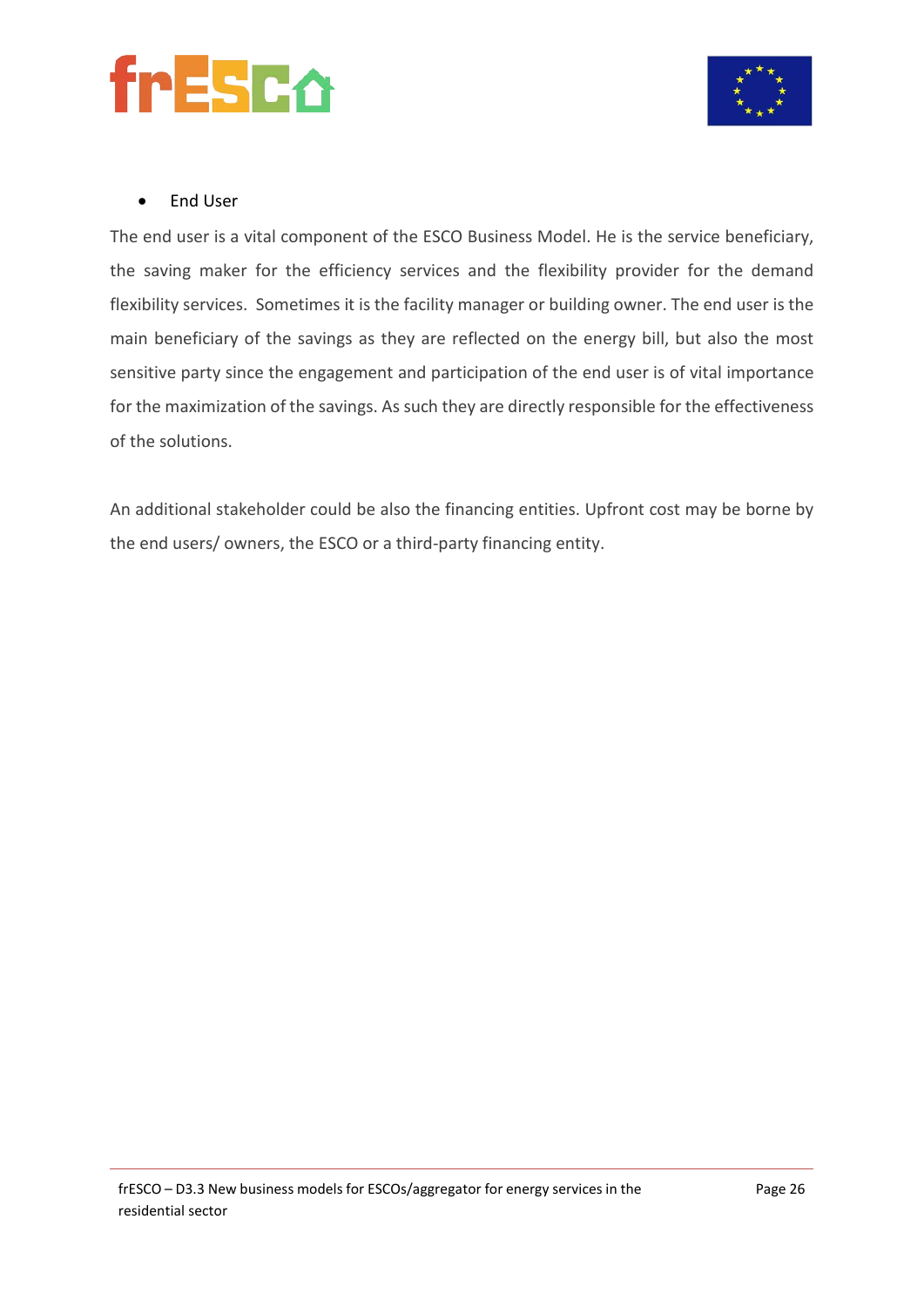



#### • End User

The end user is a vital component of the ESCO Business Model. He is the service beneficiary, the saving maker for the efficiency services and the flexibility provider for the demand flexibility services. Sometimes it is the facility manager or building owner. The end user is the main beneficiary of the savings as they are reflected on the energy bill, but also the most sensitive party since the engagement and participation of the end user is of vital importance for the maximization of the savings. As such they are directly responsible for the effectiveness of the solutions.

An additional stakeholder could be also the financing entities. Upfront cost may be borne by the end users/ owners, the ESCO or a third-party financing entity.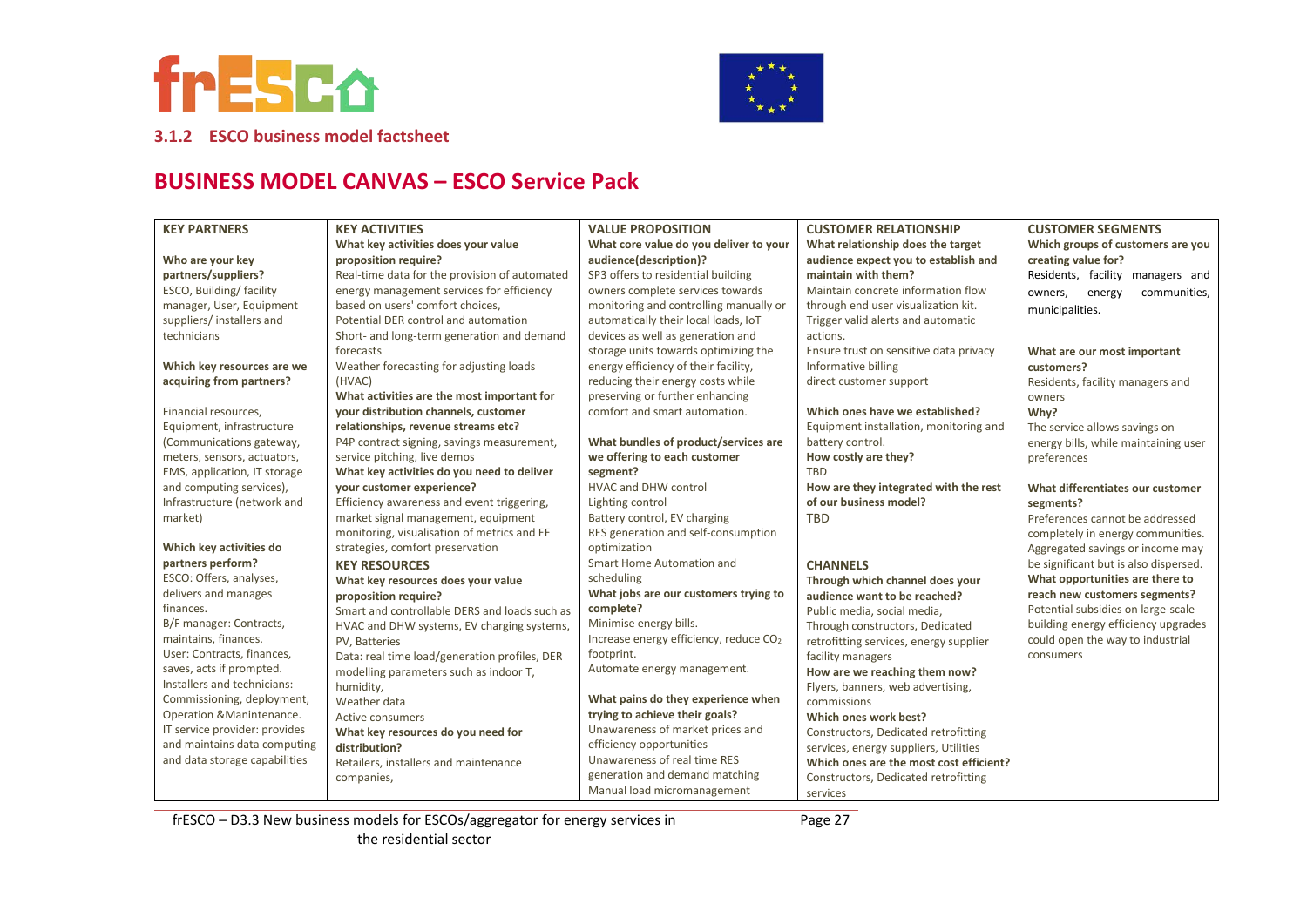



**3.1.2 ESCO business model factsheet**

### **BUSINESS MODEL CANVAS – ESCO Service Pack**

| <b>KEY PARTNERS</b>           | <b>KEY ACTIVITIES</b>                         | <b>VALUE PROPOSITION</b>                           | <b>CUSTOMER RELATIONSHIP</b>            | <b>CUSTOMER SEGMENTS</b>              |
|-------------------------------|-----------------------------------------------|----------------------------------------------------|-----------------------------------------|---------------------------------------|
|                               | What key activities does your value           | What core value do you deliver to your             | What relationship does the target       | Which groups of customers are you     |
| Who are your key              | proposition require?                          | audience(description)?                             | audience expect you to establish and    | creating value for?                   |
| partners/suppliers?           | Real-time data for the provision of automated | SP3 offers to residential building                 | maintain with them?                     | Residents, facility managers and      |
| ESCO, Building/facility       | energy management services for efficiency     | owners complete services towards                   | Maintain concrete information flow      | communities,<br>owners,<br>energy     |
| manager, User, Equipment      | based on users' comfort choices,              | monitoring and controlling manually or             | through end user visualization kit.     | municipalities.                       |
| suppliers/installers and      | Potential DER control and automation          | automatically their local loads, IoT               | Trigger valid alerts and automatic      |                                       |
| technicians                   | Short- and long-term generation and demand    | devices as well as generation and                  | actions.                                |                                       |
|                               | forecasts                                     | storage units towards optimizing the               | Ensure trust on sensitive data privacy  | What are our most important           |
| Which key resources are we    | Weather forecasting for adjusting loads       | energy efficiency of their facility,               | Informative billing                     | customers?                            |
| acquiring from partners?      | (HVAC)                                        | reducing their energy costs while                  | direct customer support                 | Residents, facility managers and      |
|                               | What activities are the most important for    | preserving or further enhancing                    |                                         | owners                                |
| Financial resources,          | your distribution channels, customer          | comfort and smart automation.                      | Which ones have we established?         | Why?                                  |
| Equipment, infrastructure     | relationships, revenue streams etc?           |                                                    | Equipment installation, monitoring and  | The service allows savings on         |
| (Communications gateway,      | P4P contract signing, savings measurement,    | What bundles of product/services are               | battery control.                        | energy bills, while maintaining user  |
| meters, sensors, actuators,   | service pitching, live demos                  | we offering to each customer                       | How costly are they?                    | preferences                           |
| EMS, application, IT storage  | What key activities do you need to deliver    | segment?                                           | <b>TBD</b>                              |                                       |
| and computing services),      | your customer experience?                     | <b>HVAC and DHW control</b>                        | How are they integrated with the rest   | What differentiates our customer      |
| Infrastructure (network and   | Efficiency awareness and event triggering,    | Lighting control                                   | of our business model?                  | segments?                             |
| market)                       | market signal management, equipment           | Battery control, EV charging                       | <b>TBD</b>                              | Preferences cannot be addressed       |
|                               | monitoring, visualisation of metrics and EE   | RES generation and self-consumption                |                                         | completely in energy communities.     |
| Which key activities do       | strategies, comfort preservation              | optimization                                       |                                         | Aggregated savings or income may      |
| partners perform?             | <b>KEY RESOURCES</b>                          | Smart Home Automation and                          | <b>CHANNELS</b>                         | be significant but is also dispersed. |
| ESCO: Offers, analyses,       | What key resources does your value            | scheduling                                         | Through which channel does your         | What opportunities are there to       |
| delivers and manages          | proposition require?                          | What jobs are our customers trying to              | audience want to be reached?            | reach new customers segments?         |
| finances.                     | Smart and controllable DERS and loads such as | complete?                                          | Public media, social media,             | Potential subsidies on large-scale    |
| B/F manager: Contracts,       | HVAC and DHW systems, EV charging systems,    | Minimise energy bills.                             | Through constructors, Dedicated         | building energy efficiency upgrades   |
| maintains, finances.          | PV, Batteries                                 | Increase energy efficiency, reduce CO <sub>2</sub> | retrofitting services, energy supplier  | could open the way to industrial      |
| User: Contracts, finances,    | Data: real time load/generation profiles, DER | footprint.                                         | facility managers                       | consumers                             |
| saves, acts if prompted.      | modelling parameters such as indoor T,        | Automate energy management.                        | How are we reaching them now?           |                                       |
| Installers and technicians:   | humidity,                                     |                                                    | Flyers, banners, web advertising,       |                                       |
| Commissioning, deployment,    | Weather data                                  | What pains do they experience when                 | commissions                             |                                       |
| Operation & Manintenance.     | <b>Active consumers</b>                       | trying to achieve their goals?                     | Which ones work best?                   |                                       |
| IT service provider: provides | What key resources do you need for            | Unawareness of market prices and                   | Constructors, Dedicated retrofitting    |                                       |
| and maintains data computing  | distribution?                                 | efficiency opportunities                           | services, energy suppliers, Utilities   |                                       |
| and data storage capabilities | Retailers, installers and maintenance         | Unawareness of real time RES                       | Which ones are the most cost efficient? |                                       |
|                               | companies,                                    | generation and demand matching                     | Constructors, Dedicated retrofitting    |                                       |
|                               |                                               | Manual load micromanagement                        | services                                |                                       |

frESCO – D3.3 New business models for ESCOs/aggregator for energy services in the residential sector

Page 27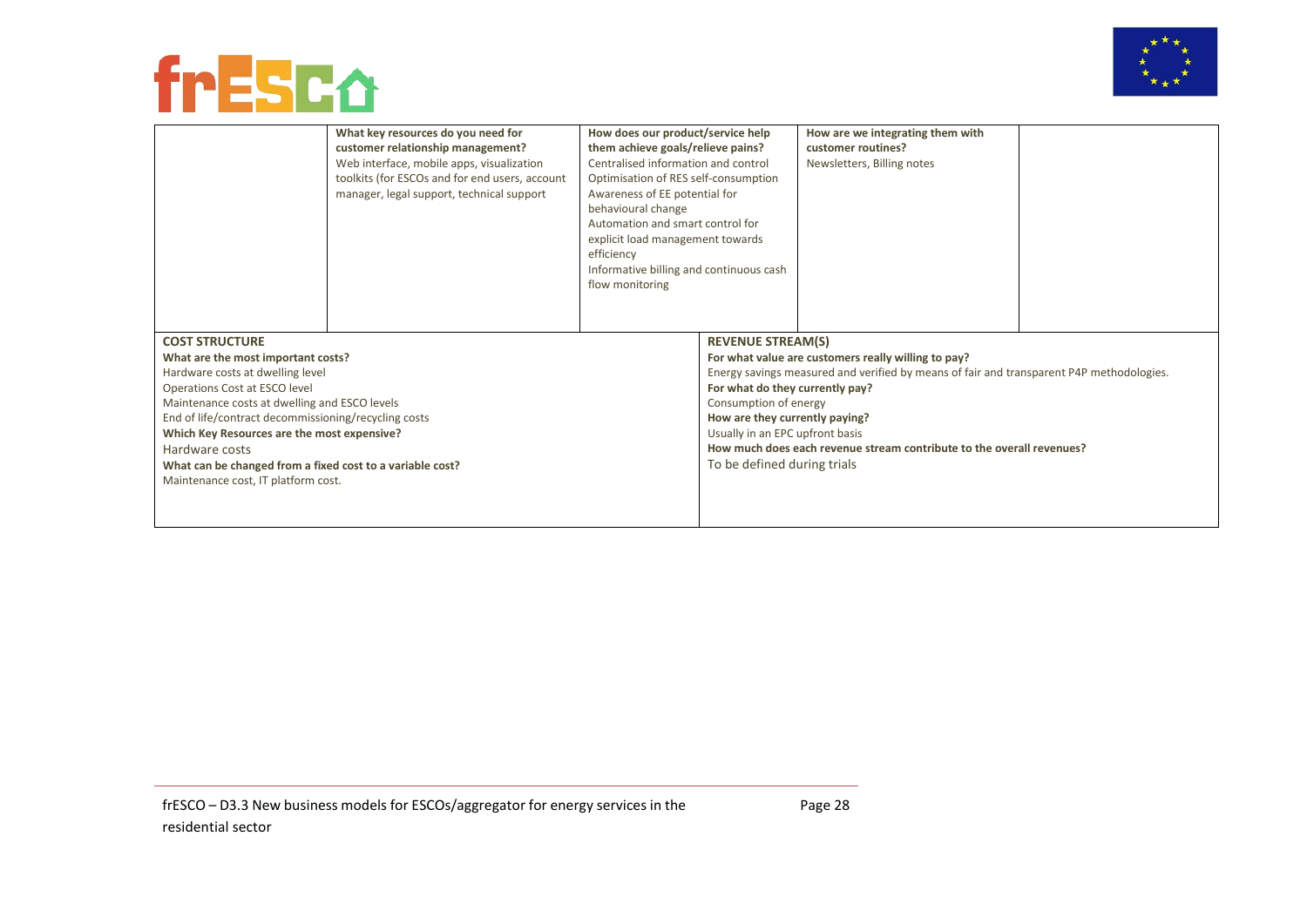



|                                                                                                  | What key resources do you need for<br>customer relationship management?<br>Web interface, mobile apps, visualization<br>toolkits (for ESCOs and for end users, account<br>manager, legal support, technical support | How does our product/service help<br>them achieve goals/relieve pains?<br>Centralised information and control<br>Optimisation of RES self-consumption<br>Awareness of EE potential for<br>behavioural change<br>Automation and smart control for<br>explicit load management towards<br>efficiency<br>Informative billing and continuous cash<br>flow monitoring |                                 | How are we integrating them with<br>customer routines?<br>Newsletters, Billing notes |  |
|--------------------------------------------------------------------------------------------------|---------------------------------------------------------------------------------------------------------------------------------------------------------------------------------------------------------------------|------------------------------------------------------------------------------------------------------------------------------------------------------------------------------------------------------------------------------------------------------------------------------------------------------------------------------------------------------------------|---------------------------------|--------------------------------------------------------------------------------------|--|
| <b>COST STRUCTURE</b><br>What are the most important costs?<br>Hardware costs at dwelling level  |                                                                                                                                                                                                                     | <b>REVENUE STREAM(S)</b><br>For what value are customers really willing to pay?<br>Energy savings measured and verified by means of fair and transparent P4P methodologies.                                                                                                                                                                                      |                                 |                                                                                      |  |
| Operations Cost at ESCO level                                                                    |                                                                                                                                                                                                                     |                                                                                                                                                                                                                                                                                                                                                                  | For what do they currently pay? |                                                                                      |  |
| Maintenance costs at dwelling and ESCO levels                                                    |                                                                                                                                                                                                                     |                                                                                                                                                                                                                                                                                                                                                                  | Consumption of energy           |                                                                                      |  |
| End of life/contract decommissioning/recycling costs                                             |                                                                                                                                                                                                                     |                                                                                                                                                                                                                                                                                                                                                                  | How are they currently paying?  |                                                                                      |  |
| Which Key Resources are the most expensive?                                                      |                                                                                                                                                                                                                     | Usually in an EPC upfront basis                                                                                                                                                                                                                                                                                                                                  |                                 |                                                                                      |  |
| Hardware costs                                                                                   |                                                                                                                                                                                                                     | How much does each revenue stream contribute to the overall revenues?<br>To be defined during trials                                                                                                                                                                                                                                                             |                                 |                                                                                      |  |
| What can be changed from a fixed cost to a variable cost?<br>Maintenance cost, IT platform cost. |                                                                                                                                                                                                                     |                                                                                                                                                                                                                                                                                                                                                                  |                                 |                                                                                      |  |
|                                                                                                  |                                                                                                                                                                                                                     |                                                                                                                                                                                                                                                                                                                                                                  |                                 |                                                                                      |  |
|                                                                                                  |                                                                                                                                                                                                                     |                                                                                                                                                                                                                                                                                                                                                                  |                                 |                                                                                      |  |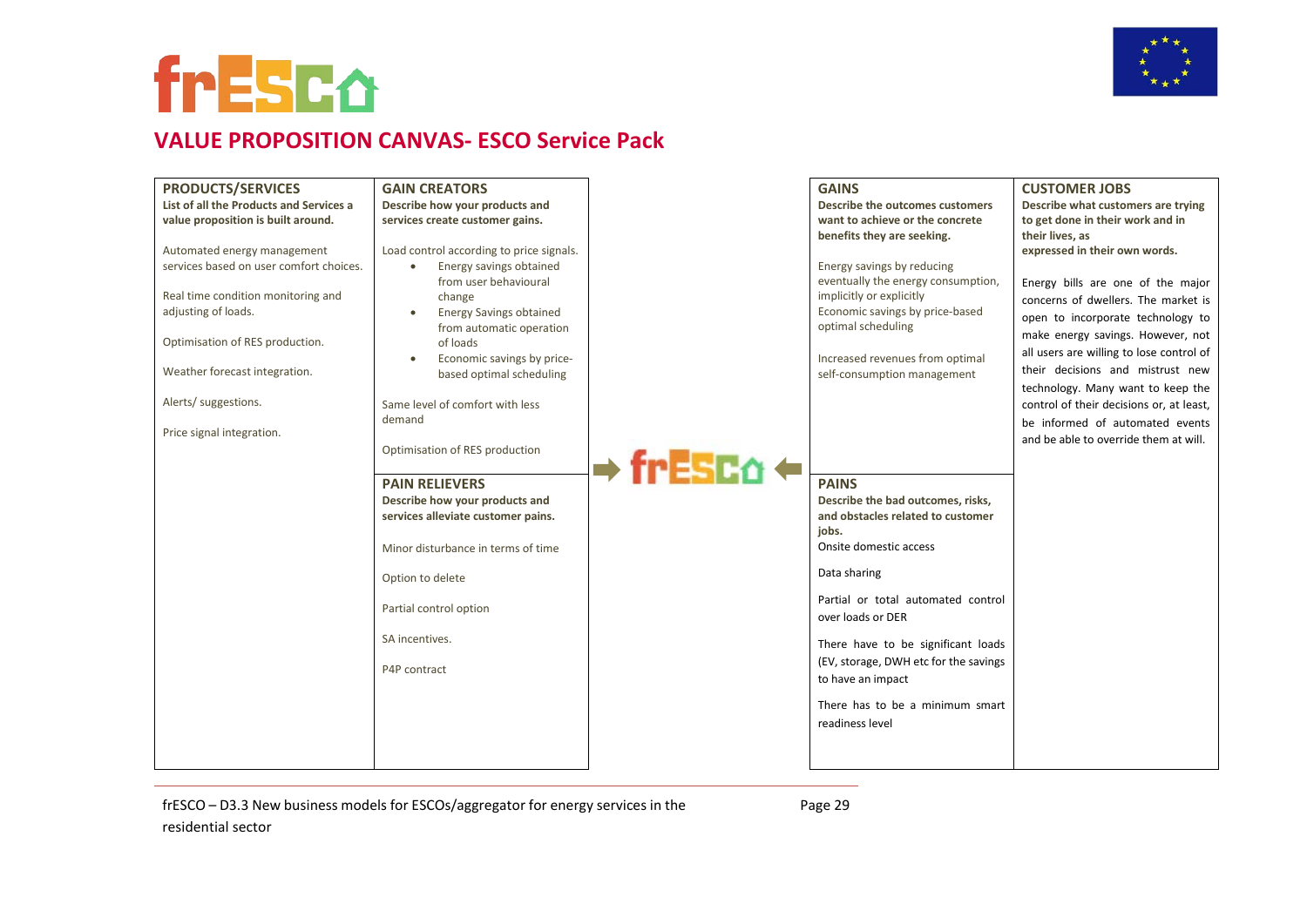



### **VALUE PROPOSITION CANVAS- ESCO Service Pack**

| <b>PRODUCTS/SERVICES</b>                | <b>GAIN CREATORS</b>                     |            | <b>GAINS</b>                                          | <b>CUSTOMER JOBS</b>                     |
|-----------------------------------------|------------------------------------------|------------|-------------------------------------------------------|------------------------------------------|
| List of all the Products and Services a | Describe how your products and           |            | Describe the outcomes customers                       | Describe what customers are trying       |
| value proposition is built around.      | services create customer gains.          |            | want to achieve or the concrete                       | to get done in their work and in         |
|                                         |                                          |            | benefits they are seeking.                            | their lives, as                          |
| Automated energy management             | Load control according to price signals. |            |                                                       | expressed in their own words.            |
| services based on user comfort choices. | Energy savings obtained                  |            | Energy savings by reducing                            |                                          |
|                                         | from user behavioural                    |            | eventually the energy consumption,                    | Energy bills are one of the major        |
| Real time condition monitoring and      | change                                   |            | implicitly or explicitly                              | concerns of dwellers. The market is      |
| adjusting of loads.                     | <b>Energy Savings obtained</b>           |            | Economic savings by price-based<br>optimal scheduling | open to incorporate technology to        |
| Optimisation of RES production.         | from automatic operation<br>of loads     |            |                                                       | make energy savings. However, not        |
|                                         | Economic savings by price-<br>$\bullet$  |            | Increased revenues from optimal                       | all users are willing to lose control of |
| Weather forecast integration.           | based optimal scheduling                 |            | self-consumption management                           | their decisions and mistrust new         |
|                                         |                                          |            |                                                       | technology. Many want to keep the        |
| Alerts/ suggestions.                    | Same level of comfort with less          |            |                                                       | control of their decisions or, at least, |
|                                         | demand                                   |            |                                                       | be informed of automated events          |
| Price signal integration.               |                                          |            |                                                       | and be able to override them at will.    |
|                                         | Optimisation of RES production           |            |                                                       |                                          |
|                                         |                                          | → frESC∆ ← |                                                       |                                          |
|                                         | <b>PAIN RELIEVERS</b>                    |            | <b>PAINS</b>                                          |                                          |
|                                         | Describe how your products and           |            | Describe the bad outcomes, risks,                     |                                          |
|                                         | services alleviate customer pains.       |            | and obstacles related to customer                     |                                          |
|                                         |                                          |            | jobs.<br>Onsite domestic access                       |                                          |
|                                         | Minor disturbance in terms of time       |            |                                                       |                                          |
|                                         | Option to delete                         |            | Data sharing                                          |                                          |
|                                         |                                          |            | Partial or total automated control                    |                                          |
|                                         | Partial control option                   |            | over loads or DER                                     |                                          |
|                                         |                                          |            |                                                       |                                          |
|                                         | SA incentives.                           |            | There have to be significant loads                    |                                          |
|                                         |                                          |            | (EV, storage, DWH etc for the savings                 |                                          |
|                                         | P4P contract                             |            | to have an impact                                     |                                          |
|                                         |                                          |            |                                                       |                                          |
|                                         |                                          |            | There has to be a minimum smart                       |                                          |
|                                         |                                          |            | readiness level                                       |                                          |
|                                         |                                          |            |                                                       |                                          |
|                                         |                                          |            |                                                       |                                          |

frESCO – D3.3 New business models for ESCOs/aggregator for energy services in the residential sector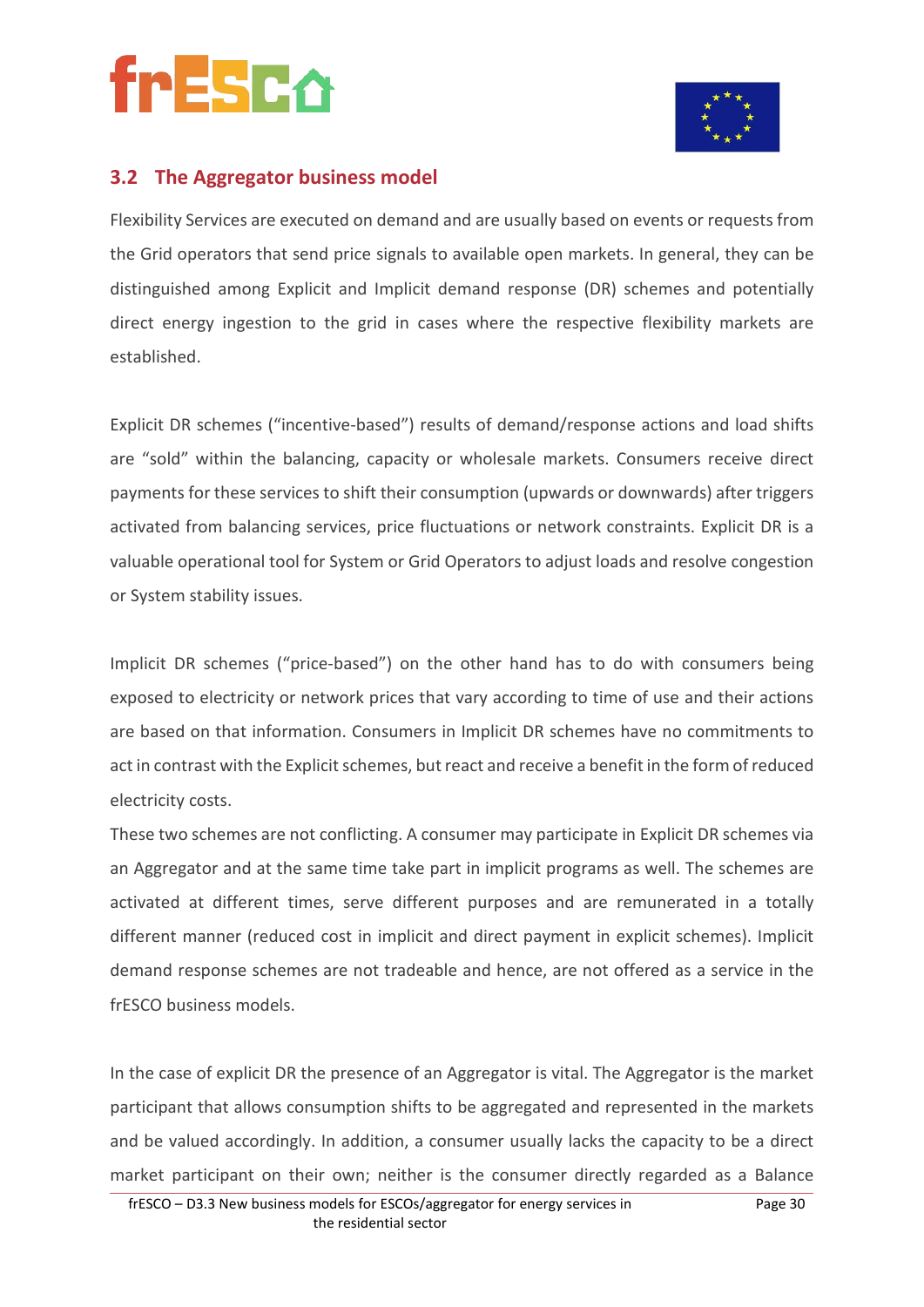



### **3.2 The Aggregator business model**

Flexibility Services are executed on demand and are usually based on events or requests from the Grid operators that send price signals to available open markets. In general, they can be distinguished among Explicit and Implicit demand response (DR) schemes and potentially direct energy ingestion to the grid in cases where the respective flexibility markets are established.

Explicit DR schemes ("incentive-based") results of demand/response actions and load shifts are "sold" within the balancing, capacity or wholesale markets. Consumers receive direct payments for these services to shift their consumption (upwards or downwards) after triggers activated from balancing services, price fluctuations or network constraints. Explicit DR is a valuable operational tool for System or Grid Operators to adjust loads and resolve congestion or System stability issues.

Implicit DR schemes ("price-based") on the other hand has to do with consumers being exposed to electricity or network prices that vary according to time of use and their actions are based on that information. Consumers in Implicit DR schemes have no commitments to act in contrast with the Explicit schemes, but react and receive a benefit in the form of reduced electricity costs.

These two schemes are not conflicting. A consumer may participate in Explicit DR schemes via an Aggregator and at the same time take part in implicit programs as well. The schemes are activated at different times, serve different purposes and are remunerated in a totally different manner (reduced cost in implicit and direct payment in explicit schemes). Implicit demand response schemes are not tradeable and hence, are not offered as a service in the frESCO business models.

In the case of explicit DR the presence of an Aggregator is vital. The Aggregator is the market participant that allows consumption shifts to be aggregated and represented in the markets and be valued accordingly. In addition, a consumer usually lacks the capacity to be a direct market participant on their own; neither is the consumer directly regarded as a Balance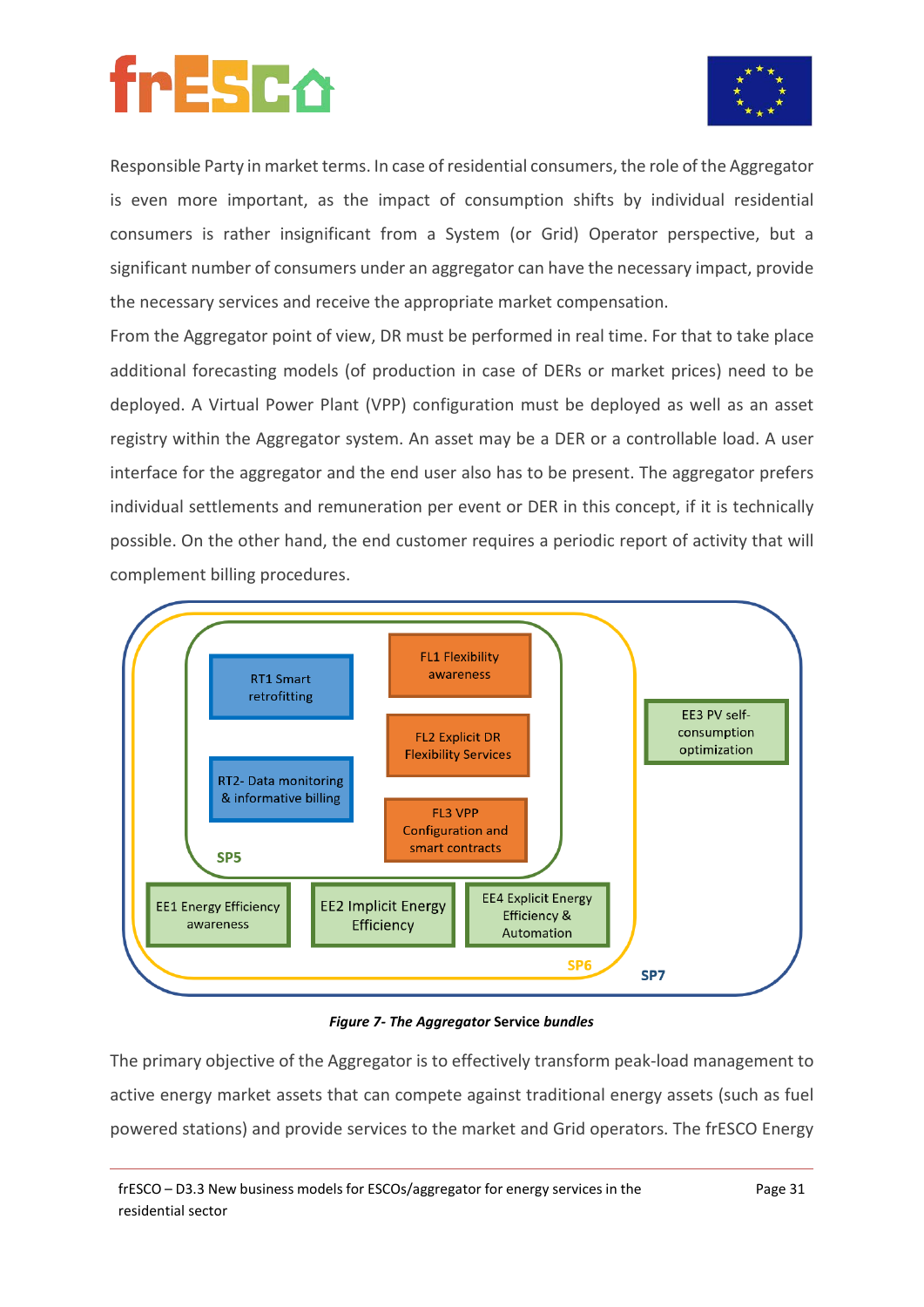



Responsible Party in market terms. In case of residential consumers, the role of the Aggregator is even more important, as the impact of consumption shifts by individual residential consumers is rather insignificant from a System (or Grid) Operator perspective, but a significant number of consumers under an aggregator can have the necessary impact, provide the necessary services and receive the appropriate market compensation.

From the Aggregator point of view, DR must be performed in real time. For that to take place additional forecasting models (of production in case of DERs or market prices) need to be deployed. A Virtual Power Plant (VPP) configuration must be deployed as well as an asset registry within the Aggregator system. An asset may be a DER or a controllable load. A user interface for the aggregator and the end user also has to be present. The aggregator prefers individual settlements and remuneration per event or DER in this concept, if it is technically possible. On the other hand, the end customer requires a periodic report of activity that will complement billing procedures.



*Figure 7- The Aggregator* **Service** *bundles*

The primary objective of the Aggregator is to effectively transform peak-load management to active energy market assets that can compete against traditional energy assets (such as fuel powered stations) and provide services to the market and Grid operators. The frESCO Energy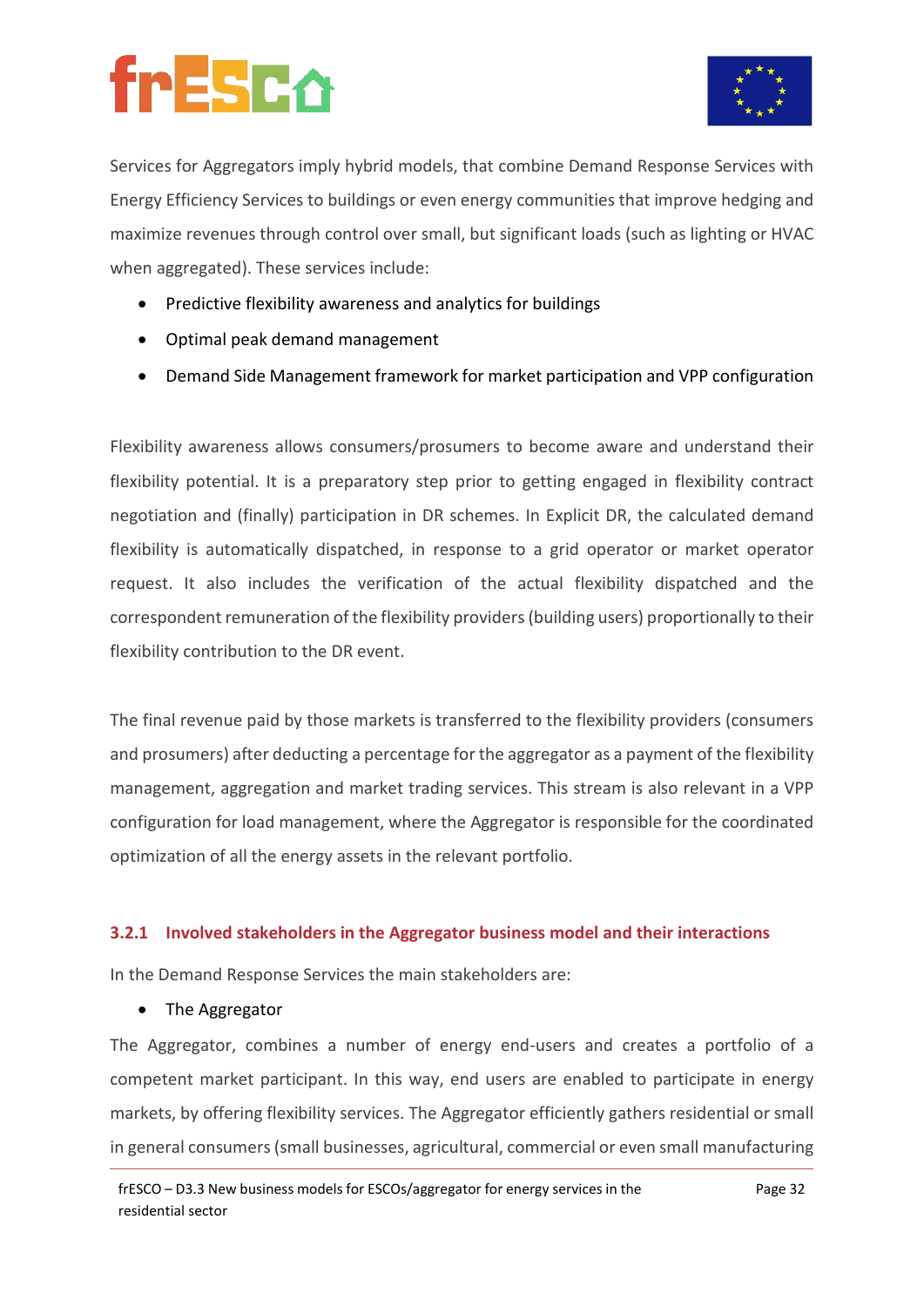

Services for Aggregators imply hybrid models, that combine Demand Response Services with Energy Efficiency Services to buildings or even energy communities that improve hedging and maximize revenues through control over small, but significant loads (such as lighting or HVAC when aggregated). These services include:

- Predictive flexibility awareness and analytics for buildings
- Optimal peak demand management
- Demand Side Management framework for market participation and VPP configuration

Flexibility awareness allows consumers/prosumers to become aware and understand their flexibility potential. It is a preparatory step prior to getting engaged in flexibility contract negotiation and (finally) participation in DR schemes. In Explicit DR, the calculated demand flexibility is automatically dispatched, in response to a grid operator or market operator request. It also includes the verification of the actual flexibility dispatched and the correspondent remuneration of the flexibility providers (building users) proportionally to their flexibility contribution to the DR event.

The final revenue paid by those markets is transferred to the flexibility providers (consumers and prosumers) after deducting a percentage for the aggregator as a payment of the flexibility management, aggregation and market trading services. This stream is also relevant in a VPP configuration for load management, where the Aggregator is responsible for the coordinated optimization of all the energy assets in the relevant portfolio.

#### **3.2.1 Involved stakeholders in the Aggregator business model and their interactions**

In the Demand Response Services the main stakeholders are:

• The Aggregator

The Aggregator, combines a number of energy end-users and creates a portfolio of a competent market participant. In this way, end users are enabled to participate in energy markets, by offering flexibility services. The Aggregator efficiently gathers residential or small in general consumers (small businesses, agricultural, commercial or even small manufacturing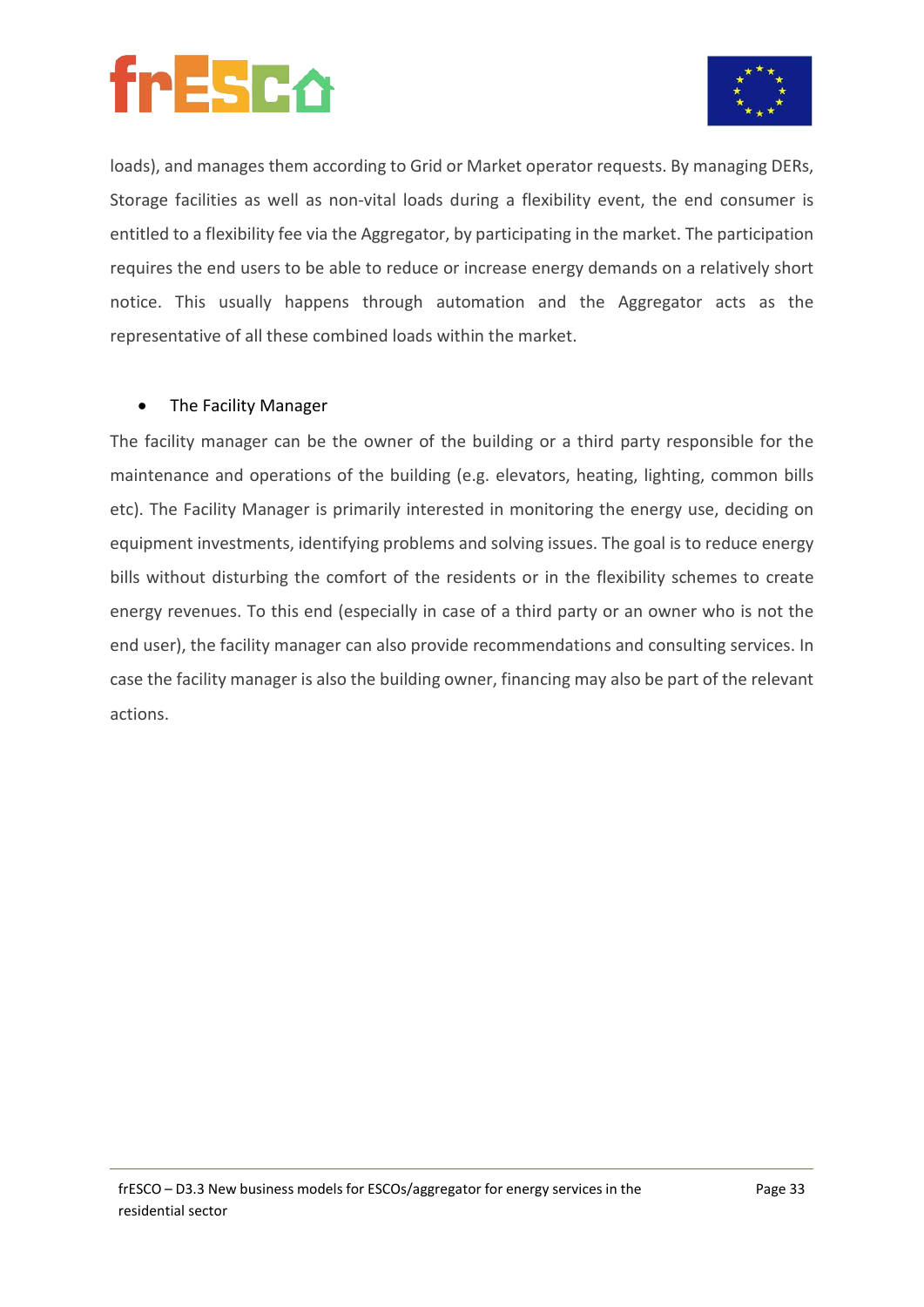



loads), and manages them according to Grid or Market operator requests. By managing DERs, Storage facilities as well as non-vital loads during a flexibility event, the end consumer is entitled to a flexibility fee via the Aggregator, by participating in the market. The participation requires the end users to be able to reduce or increase energy demands on a relatively short notice. This usually happens through automation and the Aggregator acts as the representative of all these combined loads within the market.

#### • The Facility Manager

The facility manager can be the owner of the building or a third party responsible for the maintenance and operations of the building (e.g. elevators, heating, lighting, common bills etc). The Facility Manager is primarily interested in monitoring the energy use, deciding on equipment investments, identifying problems and solving issues. The goal is to reduce energy bills without disturbing the comfort of the residents or in the flexibility schemes to create energy revenues. To this end (especially in case of a third party or an owner who is not the end user), the facility manager can also provide recommendations and consulting services. In case the facility manager is also the building owner, financing may also be part of the relevant actions.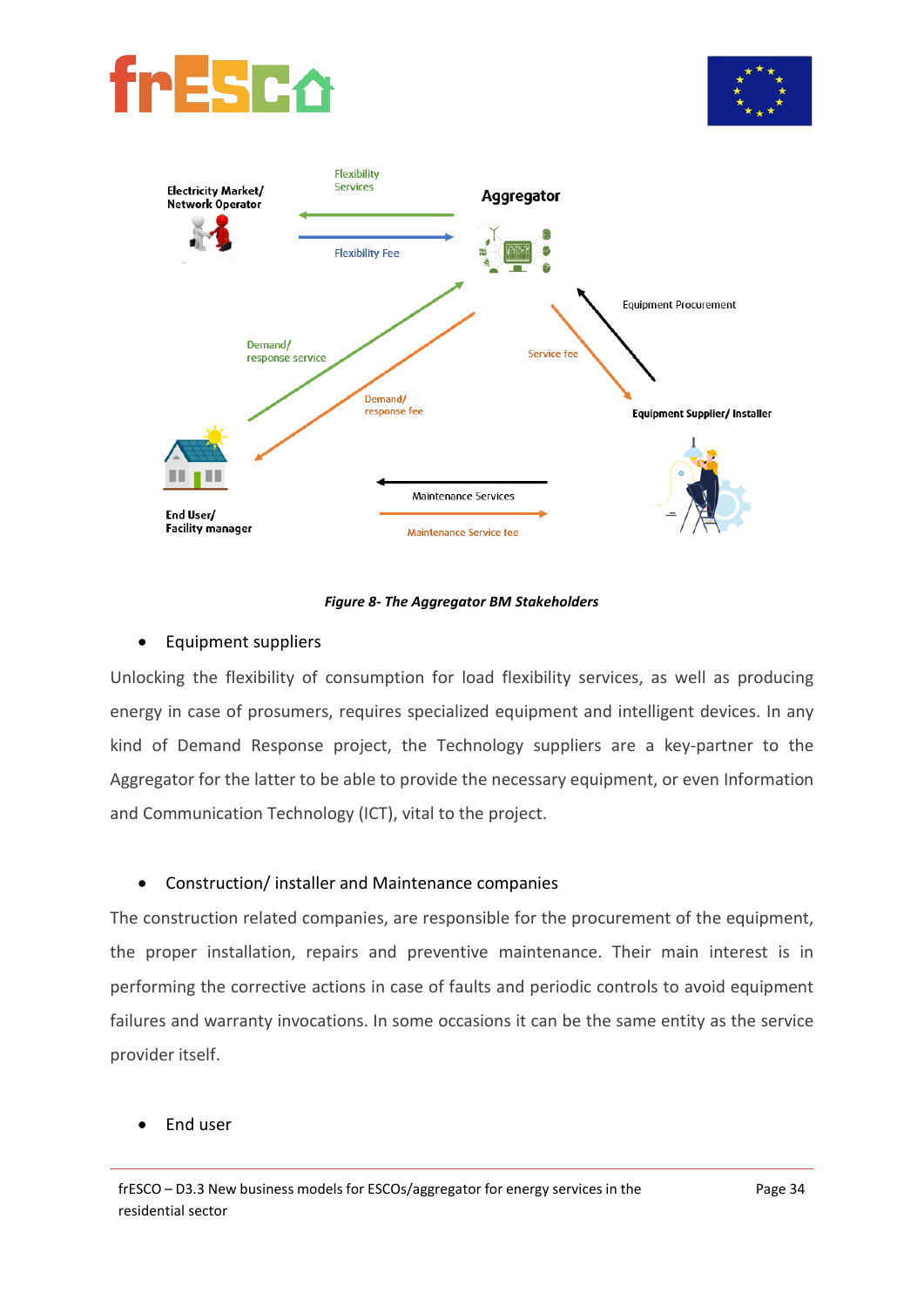





#### *Figure 8- The Aggregator BM Stakeholders*

#### • Equipment suppliers

Unlocking the flexibility of consumption for load flexibility services, as well as producing energy in case of prosumers, requires specialized equipment and intelligent devices. In any kind of Demand Response project, the Technology suppliers are a key-partner to the Aggregator for the latter to be able to provide the necessary equipment, or even Information and Communication Technology (ICT), vital to the project.

#### • Construction/ installer and Maintenance companies

The construction related companies, are responsible for the procurement of the equipment, the proper installation, repairs and preventive maintenance. Their main interest is in performing the corrective actions in case of faults and periodic controls to avoid equipment failures and warranty invocations. In some occasions it can be the same entity as the service provider itself.

#### • End user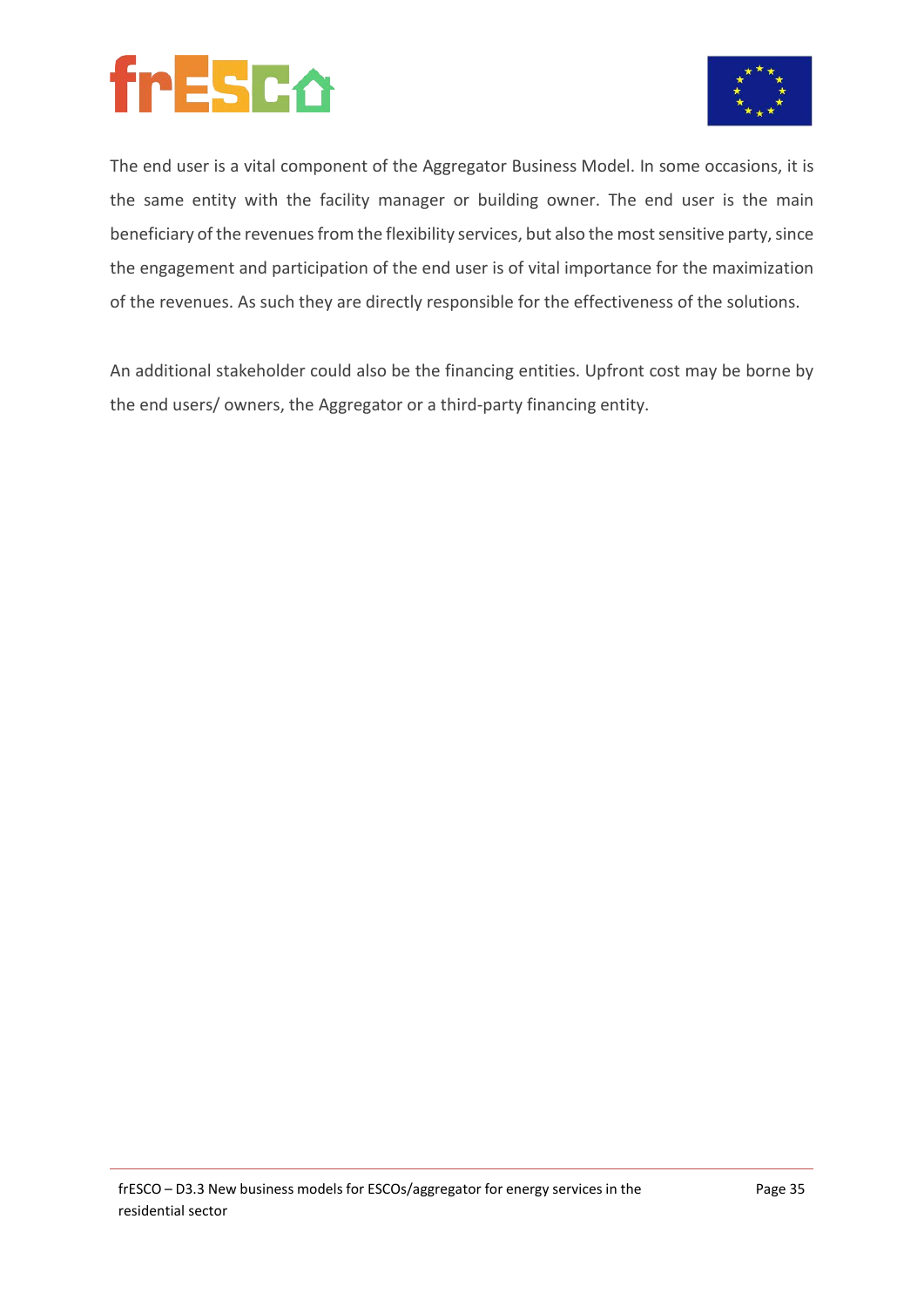

The end user is a vital component of the Aggregator Business Model. In some occasions, it is the same entity with the facility manager or building owner. The end user is the main beneficiary of the revenues from the flexibility services, but also the most sensitive party, since the engagement and participation of the end user is of vital importance for the maximization of the revenues. As such they are directly responsible for the effectiveness of the solutions.

An additional stakeholder could also be the financing entities. Upfront cost may be borne by the end users/ owners, the Aggregator or a third-party financing entity.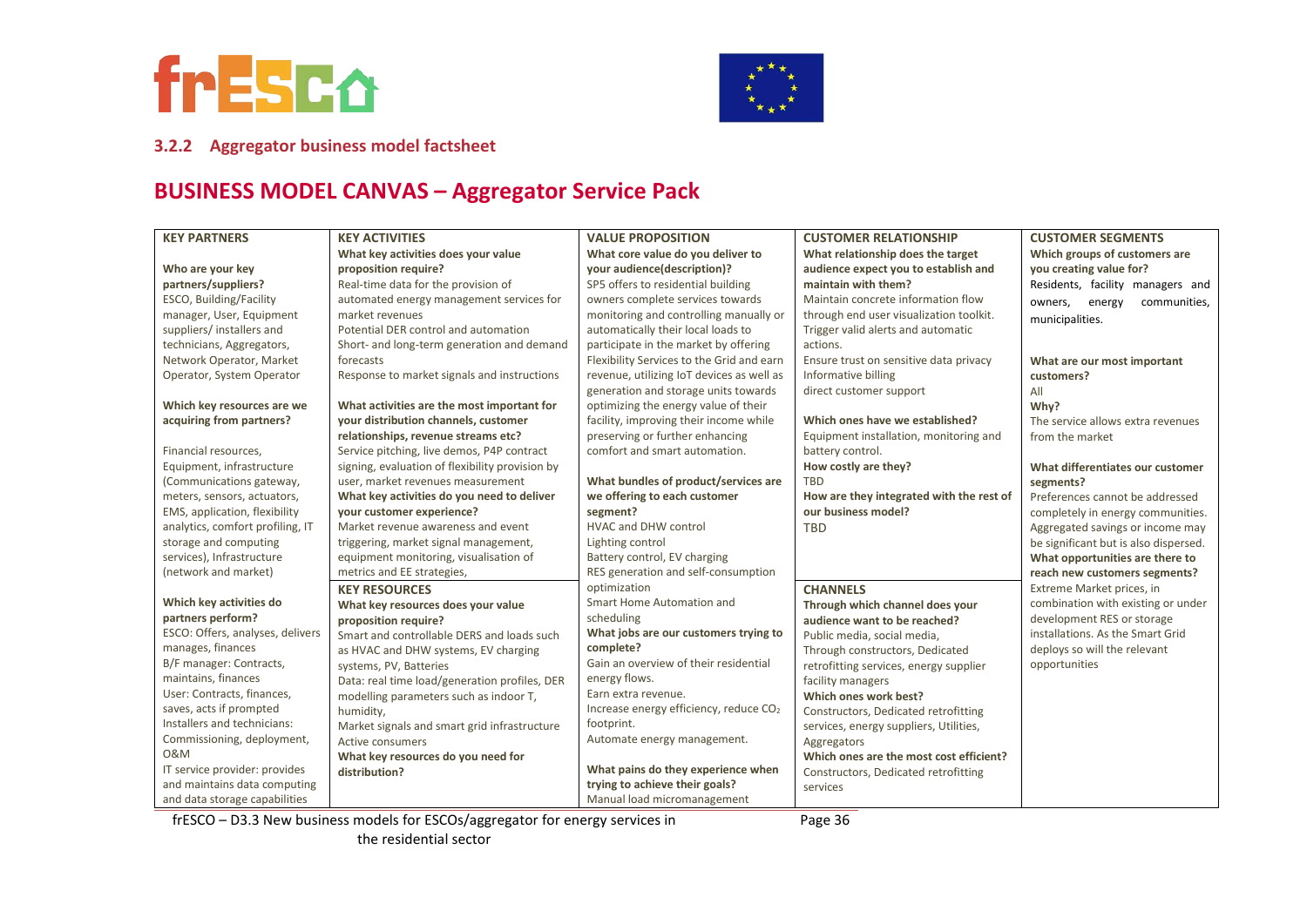



#### **3.2.2 Aggregator business model factsheet**

### **BUSINESS MODEL CANVAS – Aggregator Service Pack**

| <b>KEY PARTNERS</b>              | <b>KEY ACTIVITIES</b>                           | <b>VALUE PROPOSITION</b>                           | <b>CUSTOMER RELATIONSHIP</b>             | <b>CUSTOMER SEGMENTS</b>              |
|----------------------------------|-------------------------------------------------|----------------------------------------------------|------------------------------------------|---------------------------------------|
|                                  | What key activities does your value             | What core value do you deliver to                  | What relationship does the target        | Which groups of customers are         |
| Who are your key                 | proposition require?                            | your audience(description)?                        | audience expect you to establish and     | you creating value for?               |
| partners/suppliers?              | Real-time data for the provision of             | SP5 offers to residential building                 | maintain with them?                      | Residents, facility managers and      |
| ESCO, Building/Facility          | automated energy management services for        | owners complete services towards                   | Maintain concrete information flow       | communities,<br>owners,<br>energy     |
| manager, User, Equipment         | market revenues                                 | monitoring and controlling manually or             | through end user visualization toolkit.  | municipalities.                       |
| suppliers/ installers and        | Potential DER control and automation            | automatically their local loads to                 | Trigger valid alerts and automatic       |                                       |
| technicians, Aggregators,        | Short- and long-term generation and demand      | participate in the market by offering              | actions.                                 |                                       |
| Network Operator, Market         | forecasts                                       | Flexibility Services to the Grid and earn          | Ensure trust on sensitive data privacy   | What are our most important           |
| Operator, System Operator        | Response to market signals and instructions     | revenue, utilizing IoT devices as well as          | Informative billing                      | customers?                            |
|                                  |                                                 | generation and storage units towards               | direct customer support                  | All                                   |
| Which key resources are we       | What activities are the most important for      | optimizing the energy value of their               |                                          | Why?                                  |
| acquiring from partners?         | your distribution channels, customer            | facility, improving their income while             | Which ones have we established?          | The service allows extra revenues     |
|                                  | relationships, revenue streams etc?             | preserving or further enhancing                    | Equipment installation, monitoring and   | from the market                       |
| Financial resources,             | Service pitching, live demos, P4P contract      | comfort and smart automation.                      | battery control.                         |                                       |
| Equipment, infrastructure        | signing, evaluation of flexibility provision by |                                                    | How costly are they?                     | What differentiates our customer      |
| (Communications gateway,         | user, market revenues measurement               | What bundles of product/services are               | <b>TBD</b>                               | segments?                             |
| meters, sensors, actuators,      | What key activities do you need to deliver      | we offering to each customer                       | How are they integrated with the rest of | Preferences cannot be addressed       |
| EMS, application, flexibility    | your customer experience?                       | segment?                                           | our business model?                      | completely in energy communities.     |
| analytics, comfort profiling, IT | Market revenue awareness and event              | <b>HVAC and DHW control</b>                        | <b>TBD</b>                               | Aggregated savings or income may      |
| storage and computing            | triggering, market signal management,           | Lighting control                                   |                                          | be significant but is also dispersed. |
| services), Infrastructure        | equipment monitoring, visualisation of          | Battery control, EV charging                       |                                          | What opportunities are there to       |
| (network and market)             | metrics and EE strategies,                      | RES generation and self-consumption                |                                          | reach new customers segments?         |
|                                  | <b>KEY RESOURCES</b>                            | optimization                                       | <b>CHANNELS</b>                          | Extreme Market prices, in             |
| Which key activities do          | What key resources does your value              | Smart Home Automation and                          | Through which channel does your          | combination with existing or under    |
| partners perform?                | proposition require?                            | scheduling                                         | audience want to be reached?             | development RES or storage            |
| ESCO: Offers, analyses, delivers | Smart and controllable DERS and loads such      | What jobs are our customers trying to              | Public media, social media,              | installations. As the Smart Grid      |
| manages, finances                | as HVAC and DHW systems, EV charging            | complete?                                          | Through constructors, Dedicated          | deploys so will the relevant          |
| B/F manager: Contracts,          | systems, PV, Batteries                          | Gain an overview of their residential              | retrofitting services, energy supplier   | opportunities                         |
| maintains, finances              | Data: real time load/generation profiles, DER   | energy flows.                                      | facility managers                        |                                       |
| User: Contracts, finances,       | modelling parameters such as indoor T,          | Earn extra revenue.                                | Which ones work best?                    |                                       |
| saves, acts if prompted          | humidity,                                       | Increase energy efficiency, reduce CO <sub>2</sub> | Constructors, Dedicated retrofitting     |                                       |
| Installers and technicians:      | Market signals and smart grid infrastructure    | footprint.                                         | services, energy suppliers, Utilities,   |                                       |
| Commissioning, deployment,       | Active consumers                                | Automate energy management.                        | Aggregators                              |                                       |
| <b>0&amp;M</b>                   | What key resources do you need for              |                                                    | Which ones are the most cost efficient?  |                                       |
| IT service provider: provides    | distribution?                                   | What pains do they experience when                 | Constructors, Dedicated retrofitting     |                                       |
| and maintains data computing     |                                                 | trying to achieve their goals?                     | services                                 |                                       |
| and data storage capabilities    |                                                 | Manual load micromanagement                        |                                          |                                       |

frESCO – D3.3 New business models for ESCOs/aggregator for energy services in the residential sector

Page 36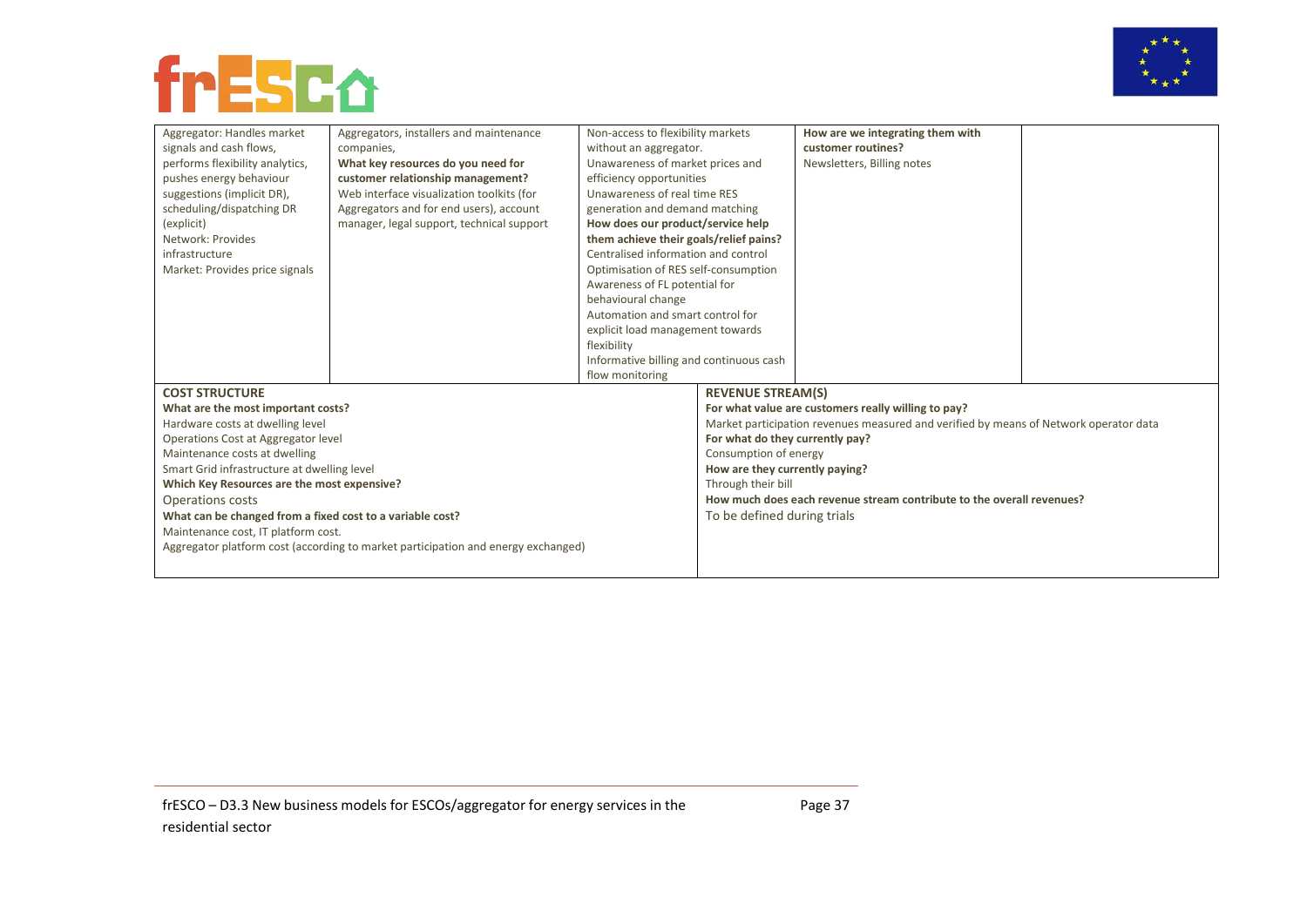



| Aggregator: Handles market                                                                       | Aggregators, installers and maintenance                                           | Non-access to flexibility markets                                     |                                 | How are we integrating them with                                                      |  |
|--------------------------------------------------------------------------------------------------|-----------------------------------------------------------------------------------|-----------------------------------------------------------------------|---------------------------------|---------------------------------------------------------------------------------------|--|
| signals and cash flows,                                                                          | companies,                                                                        | without an aggregator.                                                |                                 | customer routines?                                                                    |  |
| performs flexibility analytics,                                                                  | What key resources do you need for                                                | Unawareness of market prices and                                      |                                 | Newsletters, Billing notes                                                            |  |
| pushes energy behaviour                                                                          | customer relationship management?                                                 | efficiency opportunities                                              |                                 |                                                                                       |  |
| suggestions (implicit DR),                                                                       | Web interface visualization toolkits (for                                         | Unawareness of real time RES                                          |                                 |                                                                                       |  |
| scheduling/dispatching DR                                                                        | Aggregators and for end users), account                                           | generation and demand matching                                        |                                 |                                                                                       |  |
| (explicit)                                                                                       | manager, legal support, technical support                                         | How does our product/service help                                     |                                 |                                                                                       |  |
| Network: Provides                                                                                |                                                                                   | them achieve their goals/relief pains?                                |                                 |                                                                                       |  |
| infrastructure                                                                                   |                                                                                   | Centralised information and control                                   |                                 |                                                                                       |  |
| Market: Provides price signals                                                                   |                                                                                   | Optimisation of RES self-consumption                                  |                                 |                                                                                       |  |
|                                                                                                  |                                                                                   | Awareness of FL potential for                                         |                                 |                                                                                       |  |
|                                                                                                  |                                                                                   | behavioural change                                                    |                                 |                                                                                       |  |
|                                                                                                  |                                                                                   | Automation and smart control for                                      |                                 |                                                                                       |  |
|                                                                                                  |                                                                                   | explicit load management towards                                      |                                 |                                                                                       |  |
|                                                                                                  |                                                                                   | flexibility                                                           |                                 |                                                                                       |  |
|                                                                                                  |                                                                                   | Informative billing and continuous cash                               |                                 |                                                                                       |  |
|                                                                                                  |                                                                                   | flow monitoring                                                       |                                 |                                                                                       |  |
| <b>COST STRUCTURE</b>                                                                            |                                                                                   |                                                                       | <b>REVENUE STREAM(S)</b>        |                                                                                       |  |
| What are the most important costs?                                                               |                                                                                   |                                                                       |                                 | For what value are customers really willing to pay?                                   |  |
| Hardware costs at dwelling level                                                                 |                                                                                   |                                                                       |                                 | Market participation revenues measured and verified by means of Network operator data |  |
| Operations Cost at Aggregator level                                                              |                                                                                   |                                                                       | For what do they currently pay? |                                                                                       |  |
| Maintenance costs at dwelling                                                                    |                                                                                   |                                                                       | Consumption of energy           |                                                                                       |  |
| Smart Grid infrastructure at dwelling level                                                      |                                                                                   |                                                                       | How are they currently paying?  |                                                                                       |  |
|                                                                                                  |                                                                                   |                                                                       | Through their bill              |                                                                                       |  |
| Which Key Resources are the most expensive?<br>Operations costs                                  |                                                                                   | How much does each revenue stream contribute to the overall revenues? |                                 |                                                                                       |  |
|                                                                                                  |                                                                                   | To be defined during trials                                           |                                 |                                                                                       |  |
| What can be changed from a fixed cost to a variable cost?<br>Maintenance cost, IT platform cost. |                                                                                   |                                                                       |                                 |                                                                                       |  |
|                                                                                                  |                                                                                   |                                                                       |                                 |                                                                                       |  |
|                                                                                                  | Aggregator platform cost (according to market participation and energy exchanged) |                                                                       |                                 |                                                                                       |  |
|                                                                                                  |                                                                                   |                                                                       |                                 |                                                                                       |  |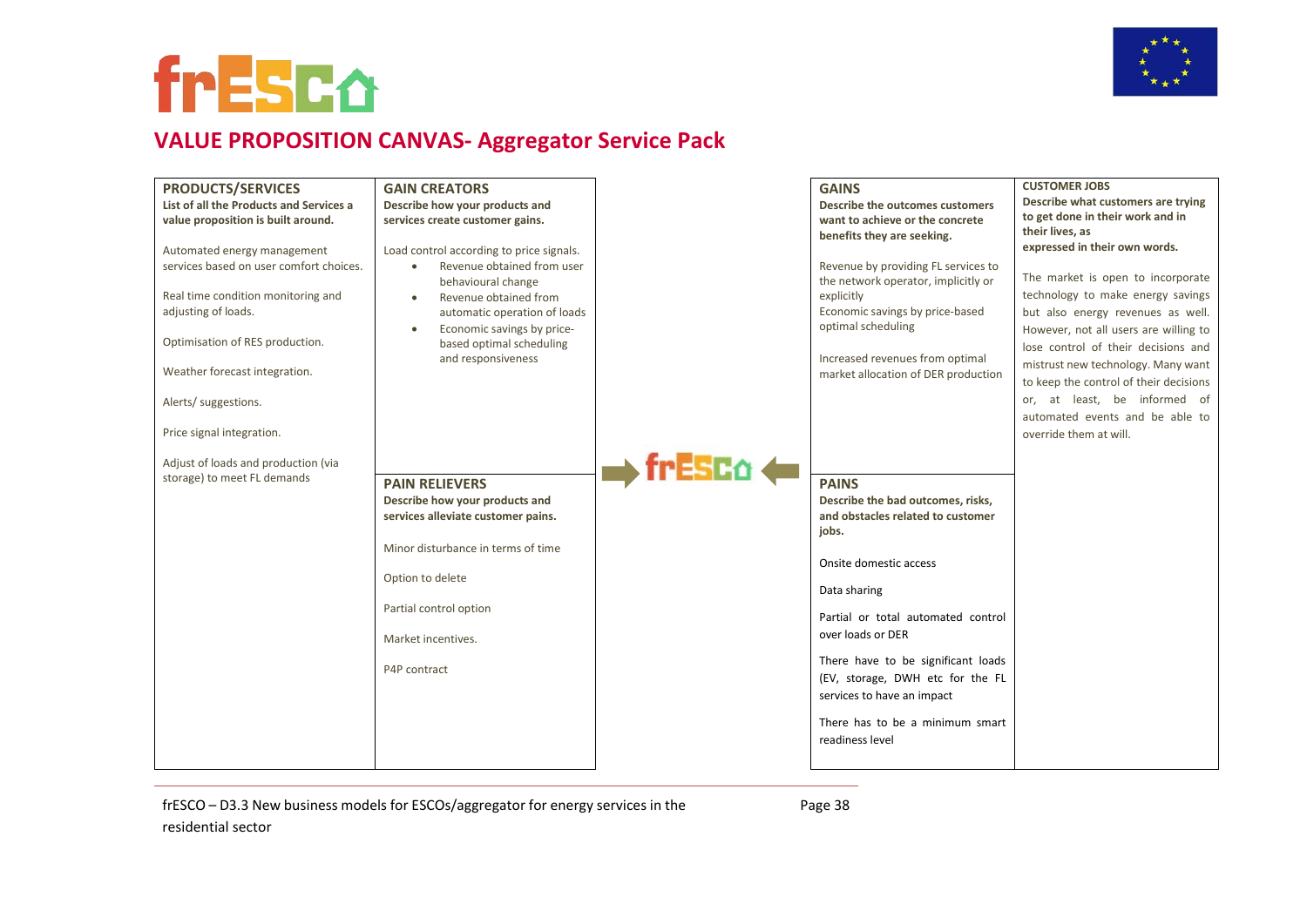



### **VALUE PROPOSITION CANVAS- Aggregator Service Pack**

| <b>PRODUCTS/SERVICES</b>                | <b>GAIN CREATORS</b>                           |          | <b>GAINS</b>                                          | <b>CUSTOMER JOBS</b>                   |
|-----------------------------------------|------------------------------------------------|----------|-------------------------------------------------------|----------------------------------------|
| List of all the Products and Services a | Describe how your products and                 |          | Describe the outcomes customers                       | Describe what customers are trying     |
| value proposition is built around.      | services create customer gains.                |          | want to achieve or the concrete                       | to get done in their work and in       |
|                                         |                                                |          | benefits they are seeking.                            | their lives, as                        |
| Automated energy management             | Load control according to price signals.       |          |                                                       | expressed in their own words.          |
| services based on user comfort choices. | Revenue obtained from user<br>$\bullet$        |          | Revenue by providing FL services to                   | The market is open to incorporate      |
|                                         | behavioural change                             |          | the network operator, implicitly or                   |                                        |
| Real time condition monitoring and      | Revenue obtained from<br>$\bullet$             |          | explicitly                                            | technology to make energy savings      |
| adjusting of loads.                     | automatic operation of loads                   |          | Economic savings by price-based<br>optimal scheduling | but also energy revenues as well.      |
| Optimisation of RES production.         | Economic savings by price-<br>$\bullet$        |          |                                                       | However, not all users are willing to  |
|                                         | based optimal scheduling<br>and responsiveness |          | Increased revenues from optimal                       | lose control of their decisions and    |
| Weather forecast integration.           |                                                |          | market allocation of DER production                   | mistrust new technology. Many want     |
|                                         |                                                |          |                                                       | to keep the control of their decisions |
| Alerts/ suggestions.                    |                                                |          |                                                       | or, at least, be informed of           |
|                                         |                                                |          |                                                       | automated events and be able to        |
| Price signal integration.               |                                                |          |                                                       | override them at will.                 |
|                                         |                                                |          |                                                       |                                        |
| Adjust of loads and production (via     |                                                | fresco < |                                                       |                                        |
| storage) to meet FL demands             | <b>PAIN RELIEVERS</b>                          |          | <b>PAINS</b>                                          |                                        |
|                                         | Describe how your products and                 |          | Describe the bad outcomes, risks,                     |                                        |
|                                         | services alleviate customer pains.             |          | and obstacles related to customer                     |                                        |
|                                         |                                                |          | jobs.                                                 |                                        |
|                                         | Minor disturbance in terms of time             |          |                                                       |                                        |
|                                         |                                                |          | Onsite domestic access                                |                                        |
|                                         | Option to delete                               |          | Data sharing                                          |                                        |
|                                         | Partial control option                         |          |                                                       |                                        |
|                                         |                                                |          | Partial or total automated control                    |                                        |
|                                         | Market incentives.                             |          | over loads or DER                                     |                                        |
|                                         |                                                |          | There have to be significant loads                    |                                        |
|                                         | P4P contract                                   |          | (EV, storage, DWH etc for the FL                      |                                        |
|                                         |                                                |          |                                                       |                                        |
|                                         |                                                |          | services to have an impact                            |                                        |
|                                         |                                                |          | There has to be a minimum smart                       |                                        |
|                                         |                                                |          | readiness level                                       |                                        |
|                                         |                                                |          |                                                       |                                        |
|                                         |                                                |          |                                                       |                                        |

frESCO – D3.3 New business models for ESCOs/aggregator for energy services in the residential sector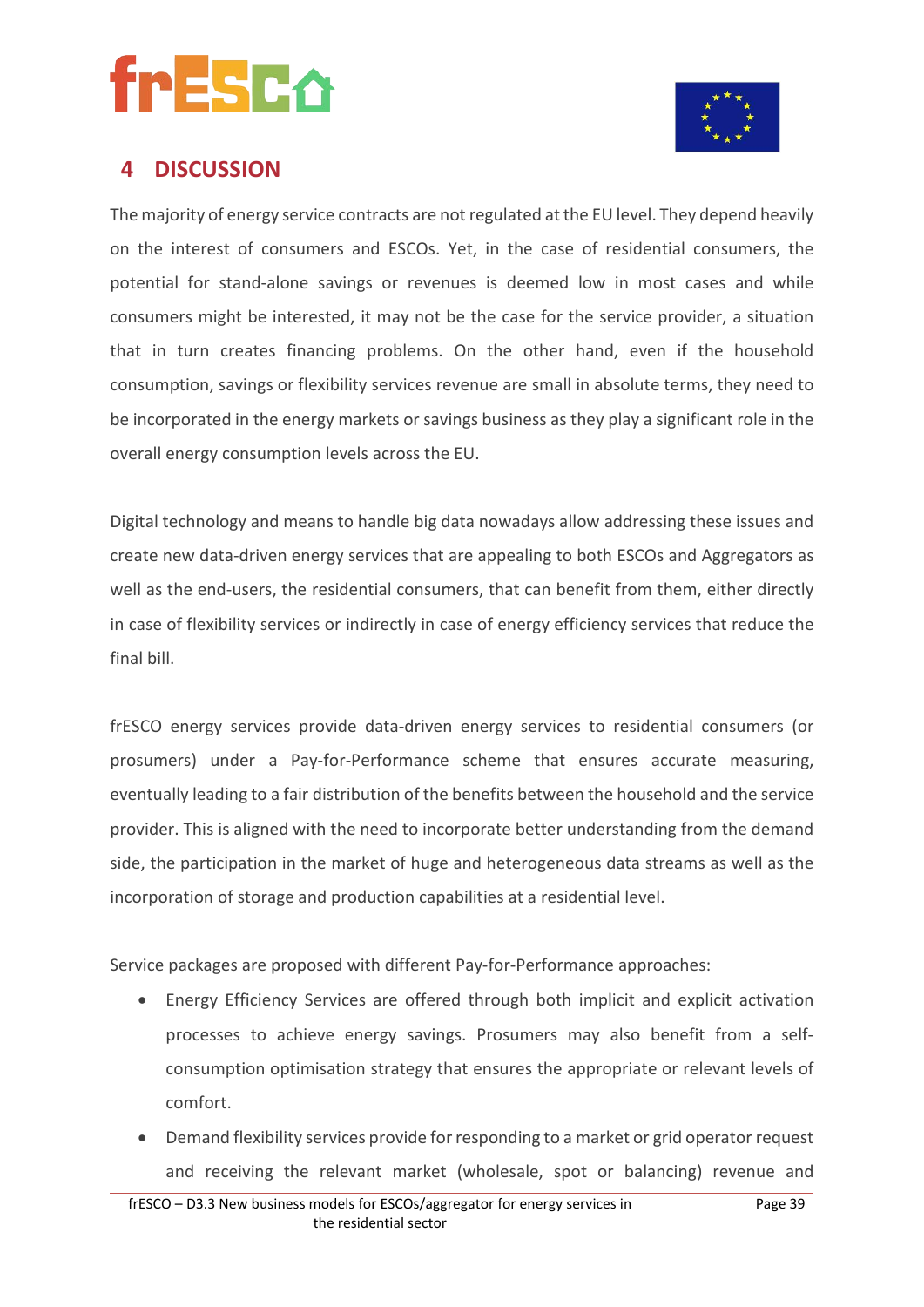



### **4 DISCUSSION**

The majority of energy service contracts are not regulated at the EU level. They depend heavily on the interest of consumers and ESCOs. Yet, in the case of residential consumers, the potential for stand-alone savings or revenues is deemed low in most cases and while consumers might be interested, it may not be the case for the service provider, a situation that in turn creates financing problems. On the other hand, even if the household consumption, savings or flexibility services revenue are small in absolute terms, they need to be incorporated in the energy markets or savings business as they play a significant role in the overall energy consumption levels across the EU.

Digital technology and means to handle big data nowadays allow addressing these issues and create new data-driven energy services that are appealing to both ESCOs and Aggregators as well as the end-users, the residential consumers, that can benefit from them, either directly in case of flexibility services or indirectly in case of energy efficiency services that reduce the final bill.

frESCO energy services provide data-driven energy services to residential consumers (or prosumers) under a Pay-for-Performance scheme that ensures accurate measuring, eventually leading to a fair distribution of the benefits between the household and the service provider. This is aligned with the need to incorporate better understanding from the demand side, the participation in the market of huge and heterogeneous data streams as well as the incorporation of storage and production capabilities at a residential level.

Service packages are proposed with different Pay-for-Performance approaches:

- Energy Efficiency Services are offered through both implicit and explicit activation processes to achieve energy savings. Prosumers may also benefit from a selfconsumption optimisation strategy that ensures the appropriate or relevant levels of comfort.
- Demand flexibility services provide for responding to a market or grid operator request and receiving the relevant market (wholesale, spot or balancing) revenue and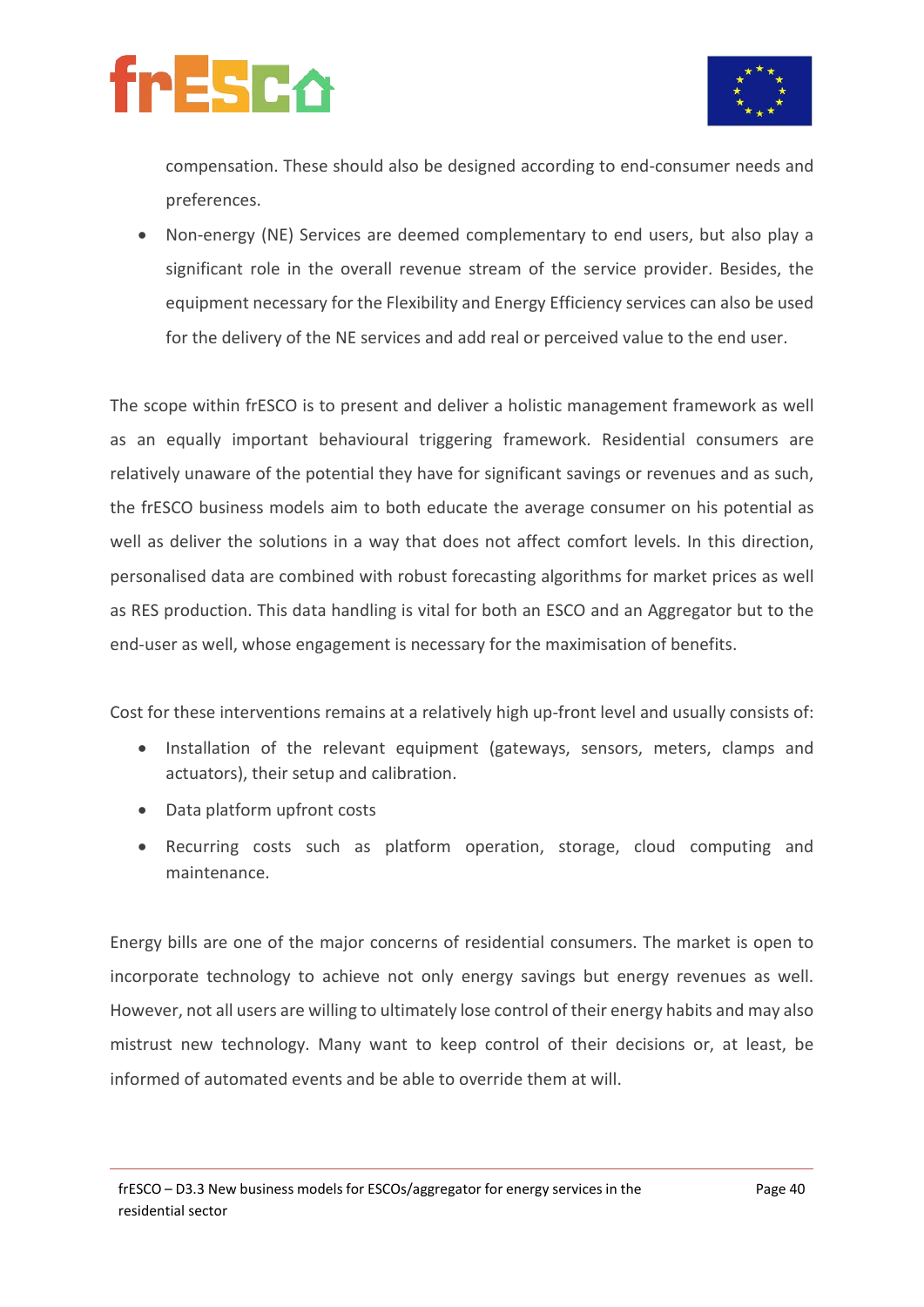



compensation. These should also be designed according to end-consumer needs and preferences.

• Non-energy (NE) Services are deemed complementary to end users, but also play a significant role in the overall revenue stream of the service provider. Besides, the equipment necessary for the Flexibility and Energy Efficiency services can also be used for the delivery of the NE services and add real or perceived value to the end user.

The scope within frESCO is to present and deliver a holistic management framework as well as an equally important behavioural triggering framework. Residential consumers are relatively unaware of the potential they have for significant savings or revenues and as such, the frESCO business models aim to both educate the average consumer on his potential as well as deliver the solutions in a way that does not affect comfort levels. In this direction, personalised data are combined with robust forecasting algorithms for market prices as well as RES production. This data handling is vital for both an ESCO and an Aggregator but to the end-user as well, whose engagement is necessary for the maximisation of benefits.

Cost for these interventions remains at a relatively high up-front level and usually consists of:

- Installation of the relevant equipment (gateways, sensors, meters, clamps and actuators), their setup and calibration.
- Data platform upfront costs
- Recurring costs such as platform operation, storage, cloud computing and maintenance.

Energy bills are one of the major concerns of residential consumers. The market is open to incorporate technology to achieve not only energy savings but energy revenues as well. However, not all users are willing to ultimately lose control of their energy habits and may also mistrust new technology. Many want to keep control of their decisions or, at least, be informed of automated events and be able to override them at will.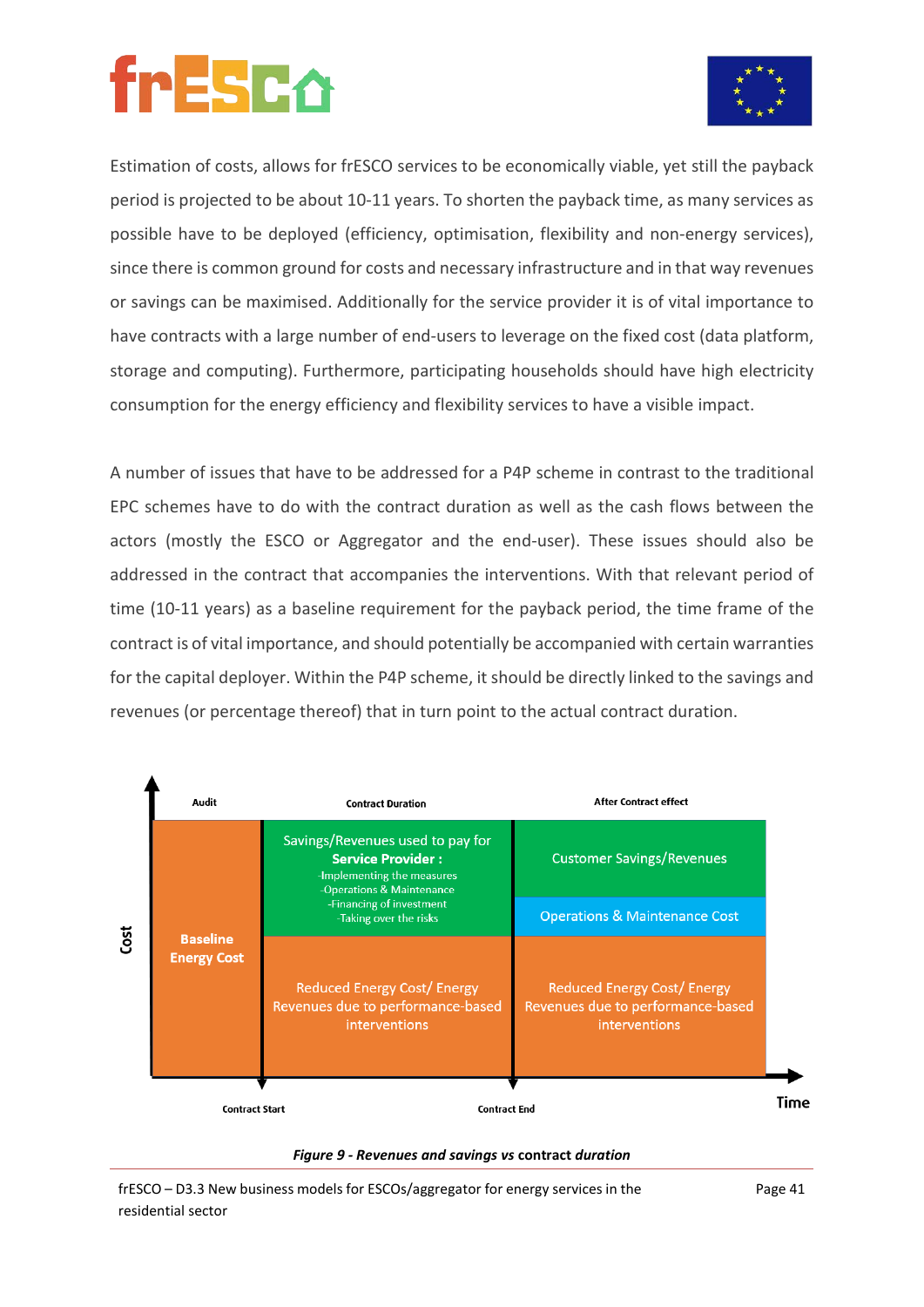

Estimation of costs, allows for frESCO services to be economically viable, yet still the payback period is projected to be about 10-11 years. To shorten the payback time, as many services as possible have to be deployed (efficiency, optimisation, flexibility and non-energy services), since there is common ground for costs and necessary infrastructure and in that way revenues or savings can be maximised. Additionally for the service provider it is of vital importance to have contracts with a large number of end-users to leverage on the fixed cost (data platform, storage and computing). Furthermore, participating households should have high electricity consumption for the energy efficiency and flexibility services to have a visible impact.

A number of issues that have to be addressed for a P4P scheme in contrast to the traditional EPC schemes have to do with the contract duration as well as the cash flows between the actors (mostly the ESCO or Aggregator and the end-user). These issues should also be addressed in the contract that accompanies the interventions. With that relevant period of time (10-11 years) as a baseline requirement for the payback period, the time frame of the contract is of vital importance, and should potentially be accompanied with certain warranties for the capital deployer. Within the P4P scheme, it should be directly linked to the savings and revenues (or percentage thereof) that in turn point to the actual contract duration.





frESCO – D3.3 New business models for ESCOs/aggregator for energy services in the residential sector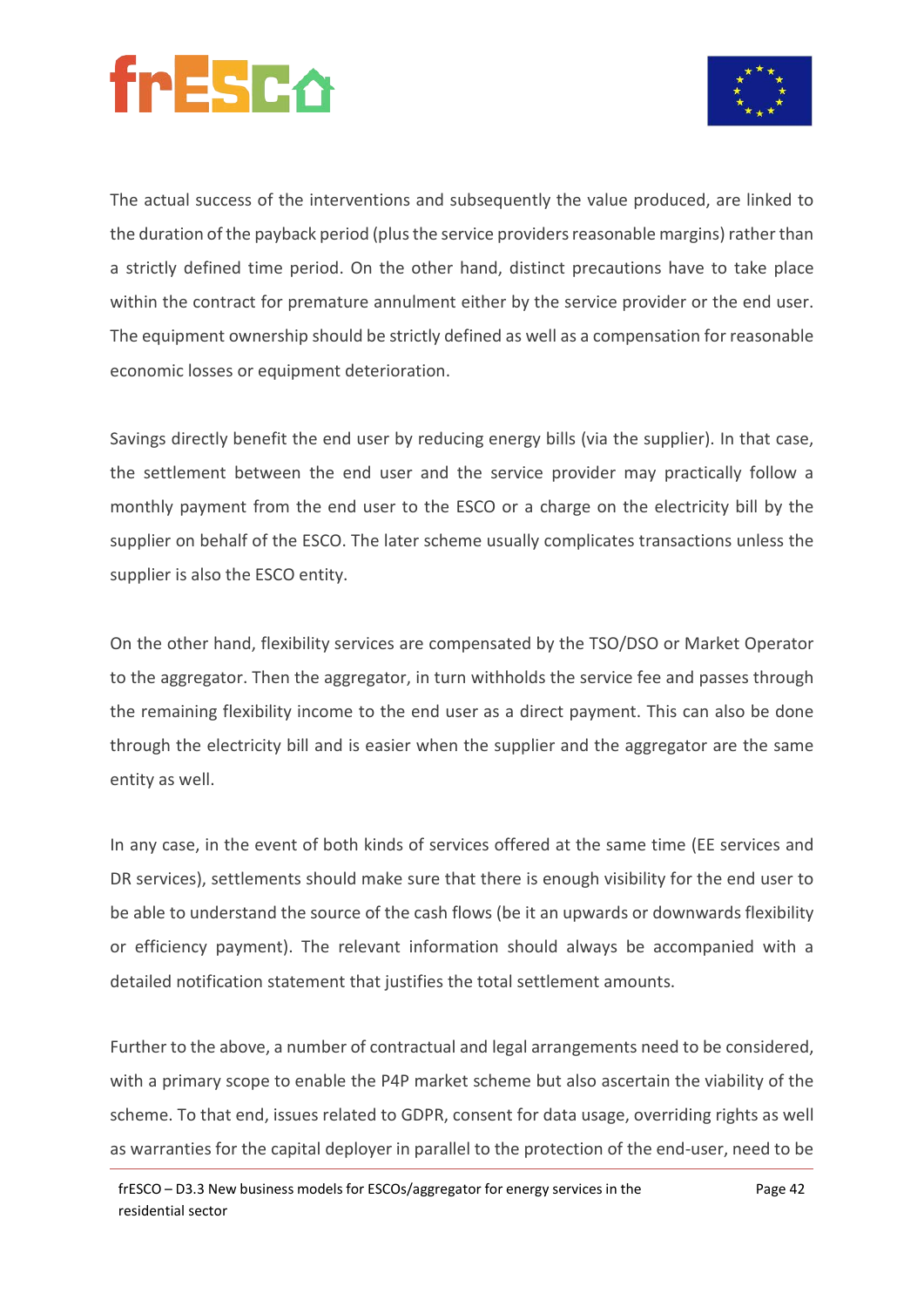



The actual success of the interventions and subsequently the value produced, are linked to the duration of the payback period (plus the service providers reasonable margins) rather than a strictly defined time period. On the other hand, distinct precautions have to take place within the contract for premature annulment either by the service provider or the end user. The equipment ownership should be strictly defined as well as a compensation for reasonable economic losses or equipment deterioration.

Savings directly benefit the end user by reducing energy bills (via the supplier). In that case, the settlement between the end user and the service provider may practically follow a monthly payment from the end user to the ESCO or a charge on the electricity bill by the supplier on behalf of the ESCO. The later scheme usually complicates transactions unless the supplier is also the ESCO entity.

On the other hand, flexibility services are compensated by the TSO/DSO or Market Operator to the aggregator. Then the aggregator, in turn withholds the service fee and passes through the remaining flexibility income to the end user as a direct payment. This can also be done through the electricity bill and is easier when the supplier and the aggregator are the same entity as well.

In any case, in the event of both kinds of services offered at the same time (EE services and DR services), settlements should make sure that there is enough visibility for the end user to be able to understand the source of the cash flows (be it an upwards or downwards flexibility or efficiency payment). The relevant information should always be accompanied with a detailed notification statement that justifies the total settlement amounts.

Further to the above, a number of contractual and legal arrangements need to be considered, with a primary scope to enable the P4P market scheme but also ascertain the viability of the scheme. To that end, issues related to GDPR, consent for data usage, overriding rights as well as warranties for the capital deployer in parallel to the protection of the end-user, need to be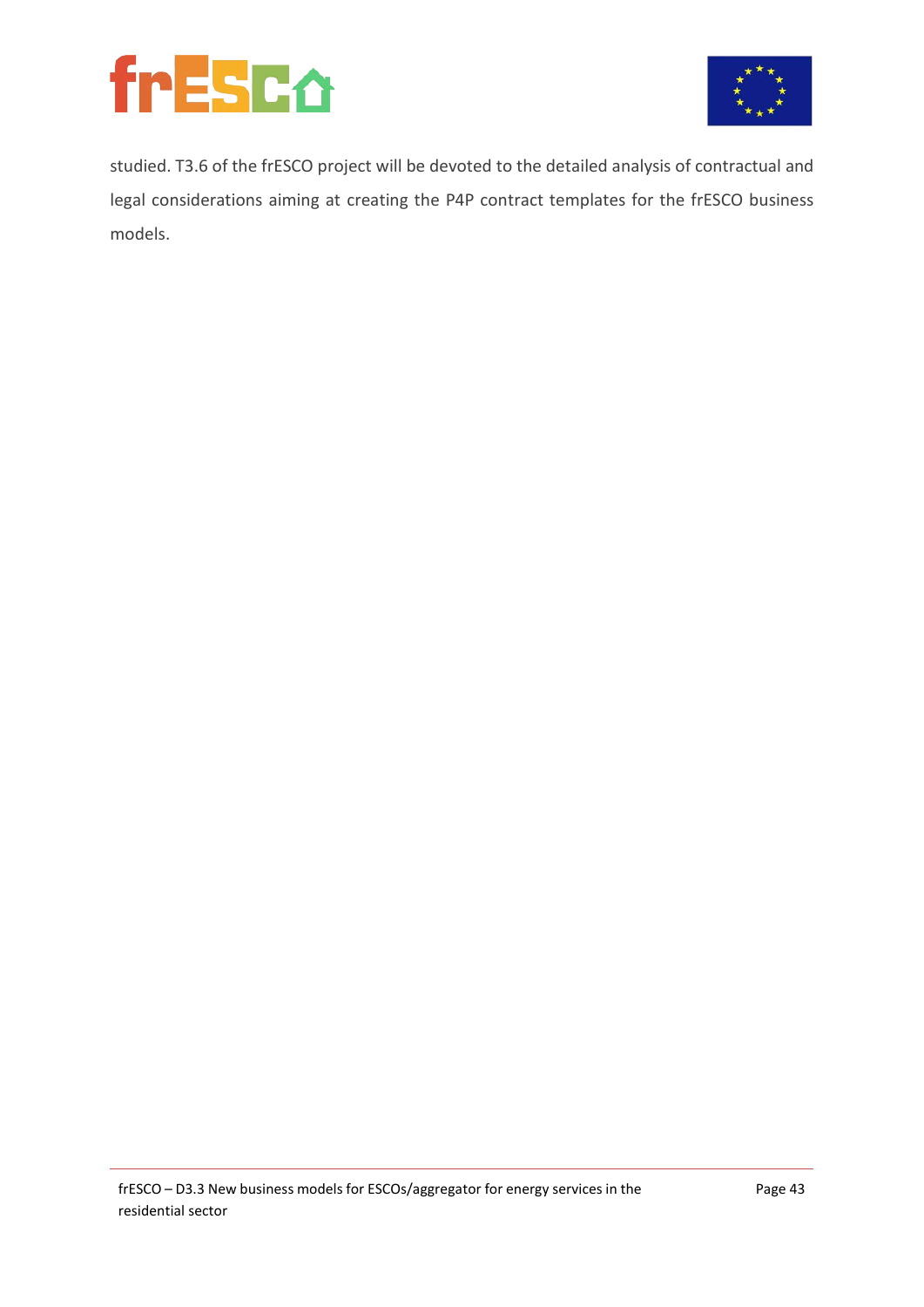



studied. T3.6 of the frESCO project will be devoted to the detailed analysis of contractual and legal considerations aiming at creating the P4P contract templates for the frESCO business models.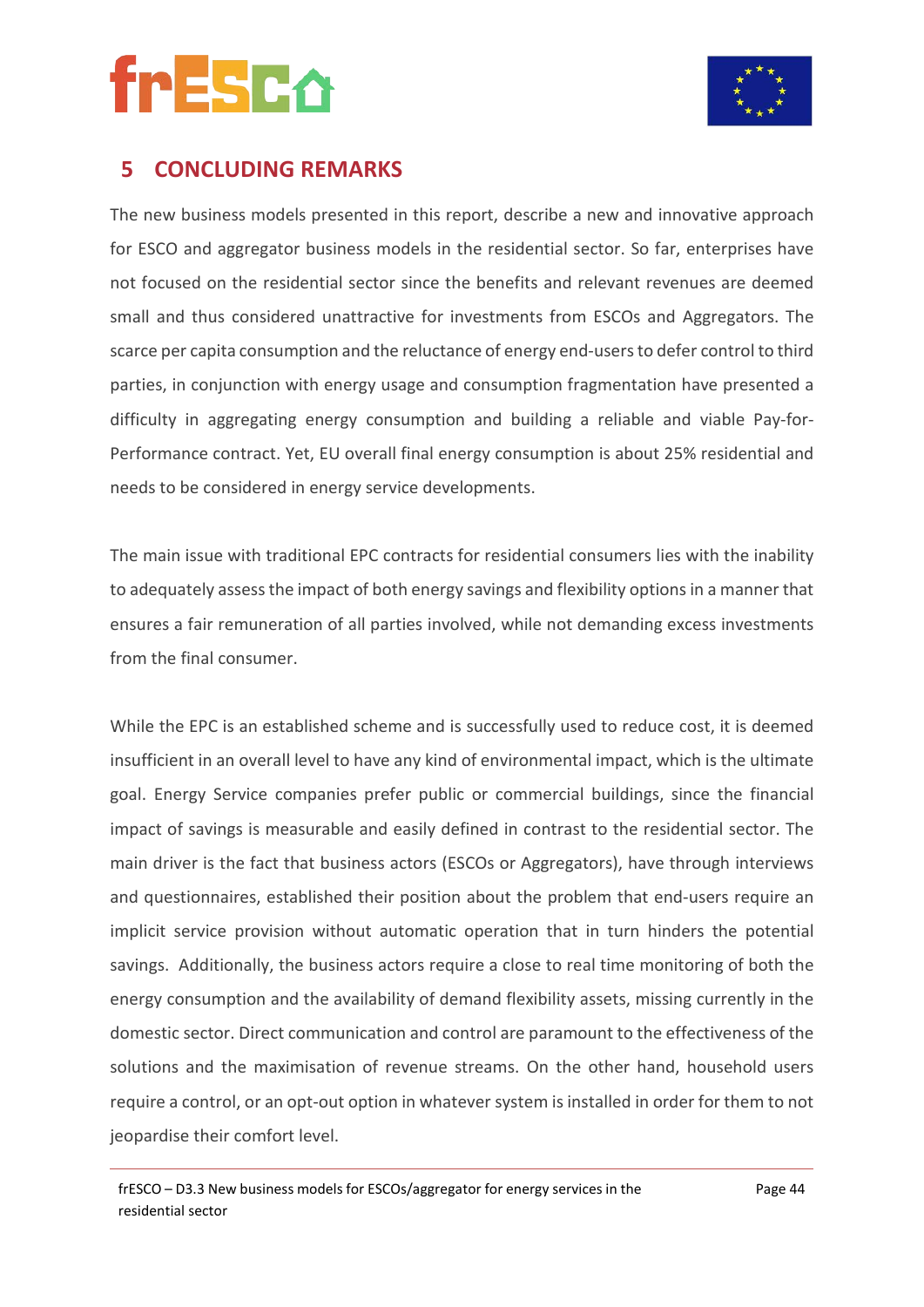



### **5 CONCLUDING REMARKS**

The new business models presented in this report, describe a new and innovative approach for ESCO and aggregator business models in the residential sector. So far, enterprises have not focused on the residential sector since the benefits and relevant revenues are deemed small and thus considered unattractive for investments from ESCOs and Aggregators. The scarce per capita consumption and the reluctance of energy end-users to defer control to third parties, in conjunction with energy usage and consumption fragmentation have presented a difficulty in aggregating energy consumption and building a reliable and viable Pay-for-Performance contract. Yet, EU overall final energy consumption is about 25% residential and needs to be considered in energy service developments.

The main issue with traditional EPC contracts for residential consumers lies with the inability to adequately assess the impact of both energy savings and flexibility options in a manner that ensures a fair remuneration of all parties involved, while not demanding excess investments from the final consumer.

While the EPC is an established scheme and is successfully used to reduce cost, it is deemed insufficient in an overall level to have any kind of environmental impact, which is the ultimate goal. Energy Service companies prefer public or commercial buildings, since the financial impact of savings is measurable and easily defined in contrast to the residential sector. The main driver is the fact that business actors (ESCOs or Aggregators), have through interviews and questionnaires, established their position about the problem that end-users require an implicit service provision without automatic operation that in turn hinders the potential savings. Additionally, the business actors require a close to real time monitoring of both the energy consumption and the availability of demand flexibility assets, missing currently in the domestic sector. Direct communication and control are paramount to the effectiveness of the solutions and the maximisation of revenue streams. On the other hand, household users require a control, or an opt-out option in whatever system is installed in order for them to not jeopardise their comfort level.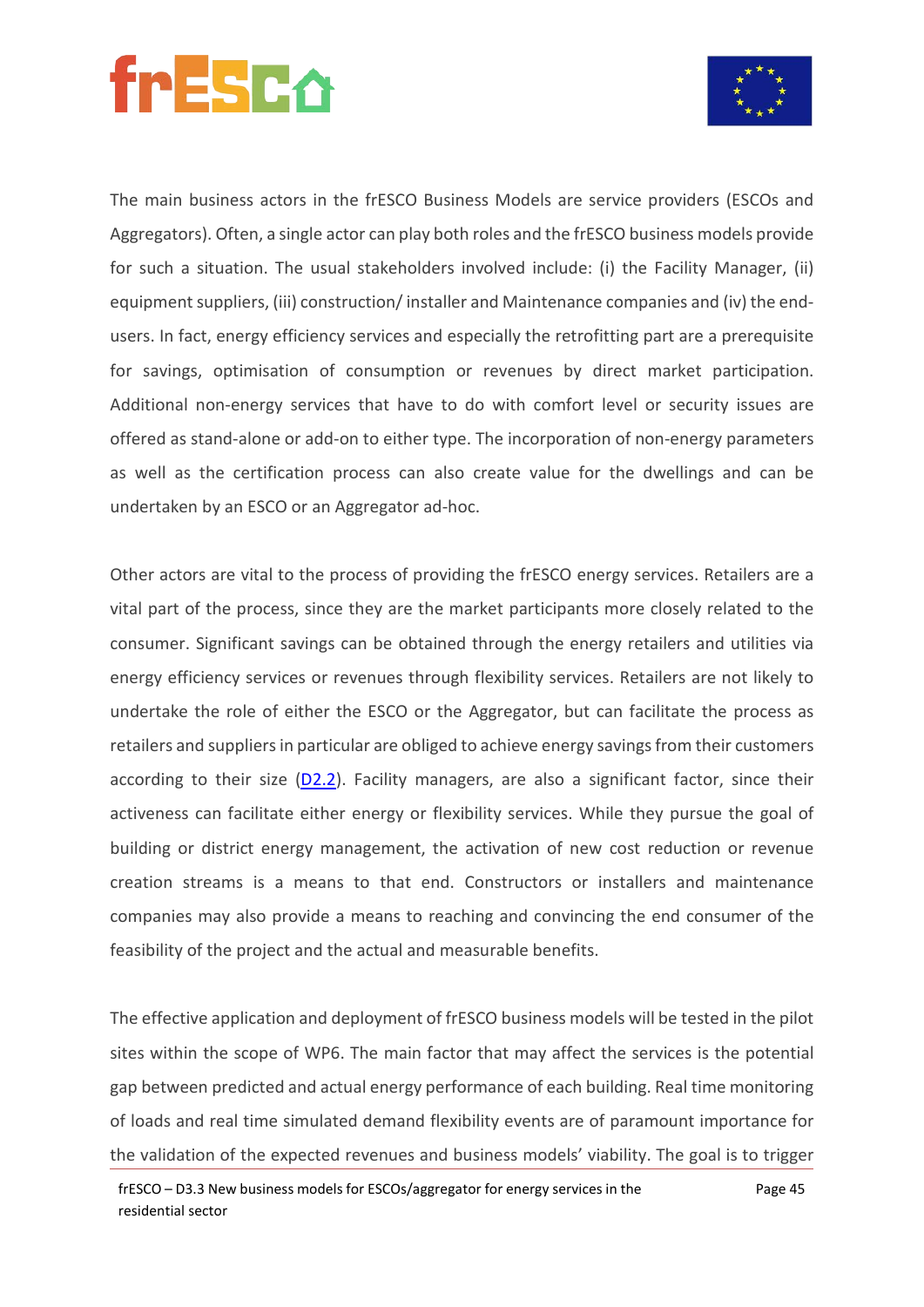

The main business actors in the frESCO Business Models are service providers (ESCOs and Aggregators). Often, a single actor can play both roles and the frESCO business models provide for such a situation. The usual stakeholders involved include: (i) the Facility Manager, (ii) equipment suppliers, (iii) construction/ installer and Maintenance companies and (iv) the endusers. In fact, energy efficiency services and especially the retrofitting part are a prerequisite for savings, optimisation of consumption or revenues by direct market participation. Additional non-energy services that have to do with comfort level or security issues are offered as stand-alone or add-on to either type. The incorporation of non-energy parameters as well as the certification process can also create value for the dwellings and can be undertaken by an ESCO or an Aggregator ad-hoc.

Other actors are vital to the process of providing the frESCO energy services. Retailers are a vital part of the process, since they are the market participants more closely related to the consumer. Significant savings can be obtained through the energy retailers and utilities via energy efficiency services or revenues through flexibility services. Retailers are not likely to undertake the role of either the ESCO or the Aggregator, but can facilitate the process as retailers and suppliers in particular are obliged to achieve energy savings from their customers according to their size [\(D2.2\)](https://www.fresco-project.eu/wp-content/uploads/2021/04/Deliverable-2.2-Overview-of-the-regulatory-and-market-framework-forenergy-services-in-the-residential-sector-2.pdf). Facility managers, are also a significant factor, since their activeness can facilitate either energy or flexibility services. While they pursue the goal of building or district energy management, the activation of new cost reduction or revenue creation streams is a means to that end. Constructors or installers and maintenance companies may also provide a means to reaching and convincing the end consumer of the feasibility of the project and the actual and measurable benefits.

The effective application and deployment of frESCO business models will be tested in the pilot sites within the scope of WP6. The main factor that may affect the services is the potential gap between predicted and actual energy performance of each building. Real time monitoring of loads and real time simulated demand flexibility events are of paramount importance for the validation of the expected revenues and business models' viability. The goal is to trigger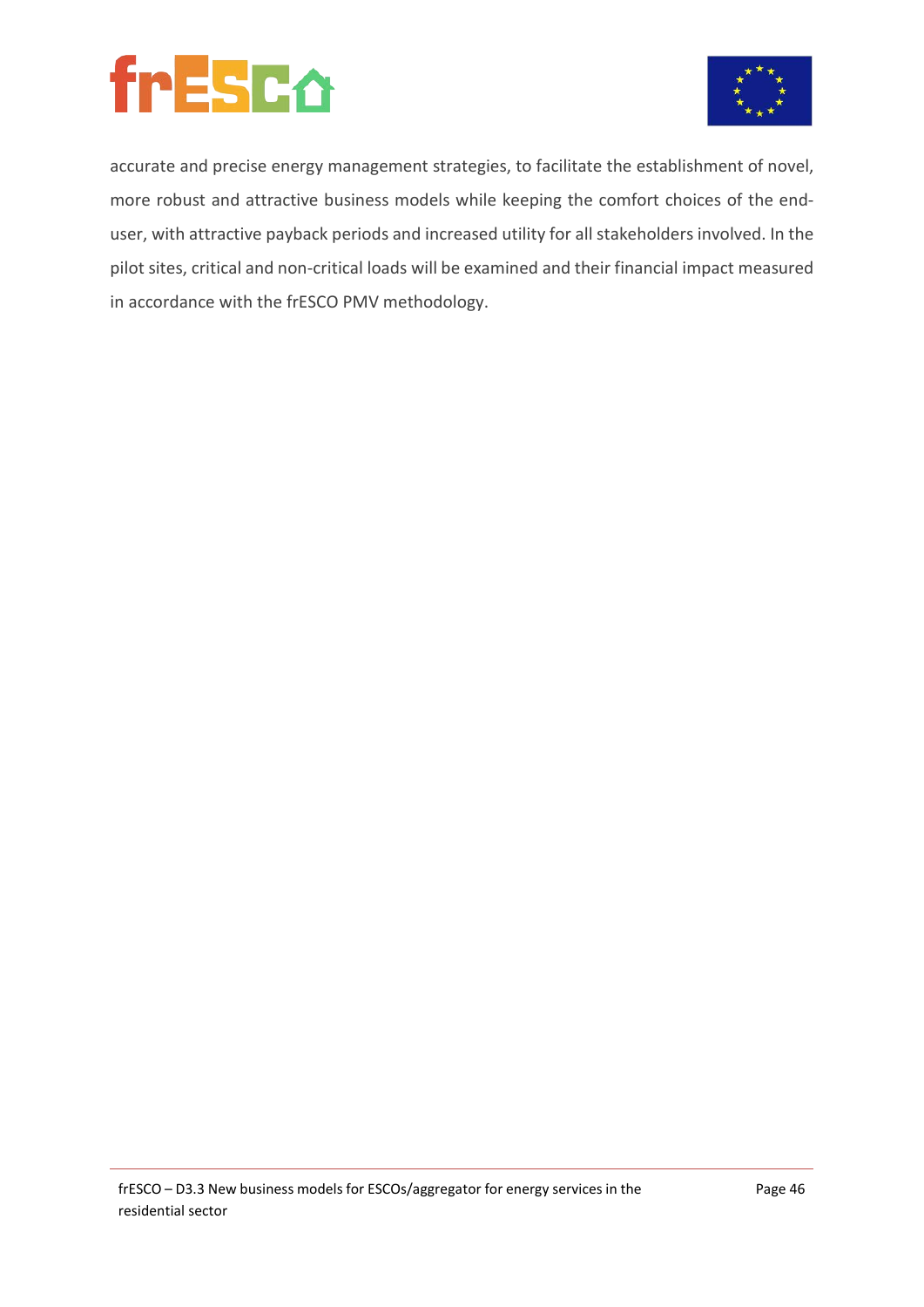



accurate and precise energy management strategies, to facilitate the establishment of novel, more robust and attractive business models while keeping the comfort choices of the enduser, with attractive payback periods and increased utility for all stakeholders involved. In the pilot sites, critical and non-critical loads will be examined and their financial impact measured in accordance with the frESCO PMV methodology.